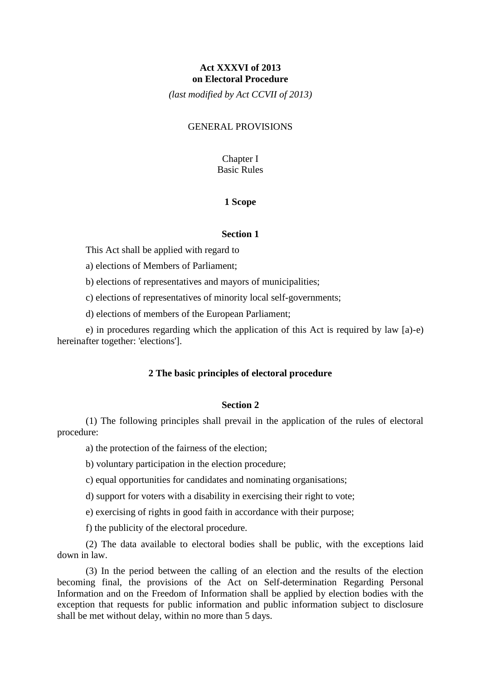# **Act XXXVI of 2013 on Electoral Procedure**

*(last modified by Act CCVII of 2013)*

### GENERAL PROVISIONS

# Chapter I Basic Rules

## **1 Scope**

### **Section 1**

This Act shall be applied with regard to

a) elections of Members of Parliament;

b) elections of representatives and mayors of municipalities;

c) elections of representatives of minority local self-governments;

d) elections of members of the European Parliament;

e) in procedures regarding which the application of this Act is required by law [a)-e) hereinafter together: 'elections'].

## **2 The basic principles of electoral procedure**

## **Section 2**

(1) The following principles shall prevail in the application of the rules of electoral procedure:

a) the protection of the fairness of the election;

b) voluntary participation in the election procedure;

c) equal opportunities for candidates and nominating organisations;

d) support for voters with a disability in exercising their right to vote;

e) exercising of rights in good faith in accordance with their purpose;

f) the publicity of the electoral procedure.

(2) The data available to electoral bodies shall be public, with the exceptions laid down in law.

(3) In the period between the calling of an election and the results of the election becoming final, the provisions of the Act on Self-determination Regarding Personal Information and on the Freedom of Information shall be applied by election bodies with the exception that requests for public information and public information subject to disclosure shall be met without delay, within no more than 5 days.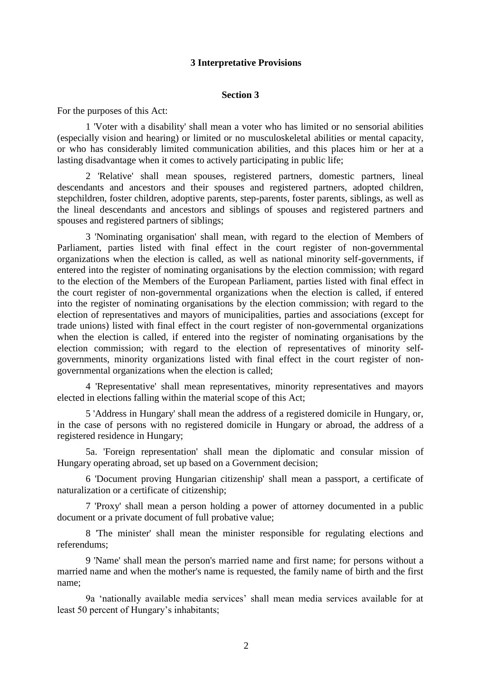## **3 Interpretative Provisions**

## **Section 3**

For the purposes of this Act:

1 'Voter with a disability' shall mean a voter who has limited or no sensorial abilities (especially vision and hearing) or limited or no musculoskeletal abilities or mental capacity, or who has considerably limited communication abilities, and this places him or her at a lasting disadvantage when it comes to actively participating in public life;

2 'Relative' shall mean spouses, registered partners, domestic partners, lineal descendants and ancestors and their spouses and registered partners, adopted children, stepchildren, foster children, adoptive parents, step-parents, foster parents, siblings, as well as the lineal descendants and ancestors and siblings of spouses and registered partners and spouses and registered partners of siblings;

3 'Nominating organisation' shall mean, with regard to the election of Members of Parliament, parties listed with final effect in the court register of non-governmental organizations when the election is called, as well as national minority self-governments, if entered into the register of nominating organisations by the election commission; with regard to the election of the Members of the European Parliament, parties listed with final effect in the court register of non-governmental organizations when the election is called, if entered into the register of nominating organisations by the election commission; with regard to the election of representatives and mayors of municipalities, parties and associations (except for trade unions) listed with final effect in the court register of non-governmental organizations when the election is called, if entered into the register of nominating organisations by the election commission; with regard to the election of representatives of minority selfgovernments, minority organizations listed with final effect in the court register of nongovernmental organizations when the election is called;

4 'Representative' shall mean representatives, minority representatives and mayors elected in elections falling within the material scope of this Act;

5 'Address in Hungary' shall mean the address of a registered domicile in Hungary, or, in the case of persons with no registered domicile in Hungary or abroad, the address of a registered residence in Hungary;

5a. 'Foreign representation' shall mean the diplomatic and consular mission of Hungary operating abroad, set up based on a Government decision;

6 'Document proving Hungarian citizenship' shall mean a passport, a certificate of naturalization or a certificate of citizenship;

7 'Proxy' shall mean a person holding a power of attorney documented in a public document or a private document of full probative value;

8 'The minister' shall mean the minister responsible for regulating elections and referendums;

9 'Name' shall mean the person's married name and first name; for persons without a married name and when the mother's name is requested, the family name of birth and the first name;

9a 'nationally available media services' shall mean media services available for at least 50 percent of Hungary's inhabitants;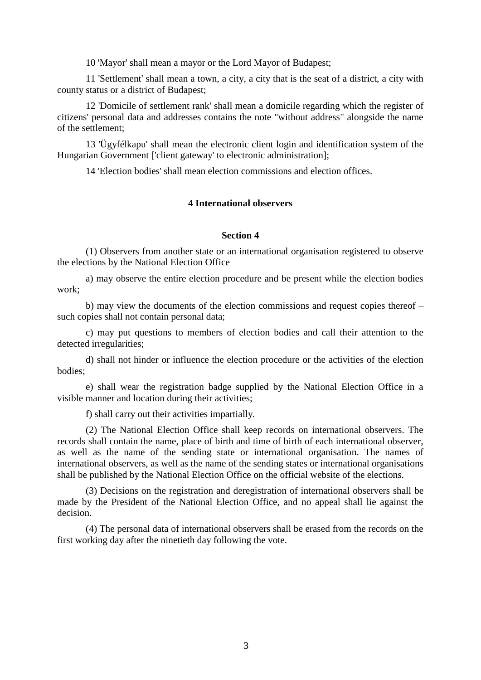10 'Mayor' shall mean a mayor or the Lord Mayor of Budapest;

11 'Settlement' shall mean a town, a city, a city that is the seat of a district, a city with county status or a district of Budapest;

12 'Domicile of settlement rank' shall mean a domicile regarding which the register of citizens' personal data and addresses contains the note "without address" alongside the name of the settlement;

13 'Ügyfélkapu' shall mean the electronic client login and identification system of the Hungarian Government ['client gateway' to electronic administration];

14 'Election bodies' shall mean election commissions and election offices.

# **4 International observers**

## **Section 4**

(1) Observers from another state or an international organisation registered to observe the elections by the National Election Office

a) may observe the entire election procedure and be present while the election bodies work;

b) may view the documents of the election commissions and request copies thereof – such copies shall not contain personal data;

c) may put questions to members of election bodies and call their attention to the detected irregularities;

d) shall not hinder or influence the election procedure or the activities of the election bodies;

e) shall wear the registration badge supplied by the National Election Office in a visible manner and location during their activities;

f) shall carry out their activities impartially.

(2) The National Election Office shall keep records on international observers. The records shall contain the name, place of birth and time of birth of each international observer, as well as the name of the sending state or international organisation. The names of international observers, as well as the name of the sending states or international organisations shall be published by the National Election Office on the official website of the elections.

(3) Decisions on the registration and deregistration of international observers shall be made by the President of the National Election Office, and no appeal shall lie against the decision.

(4) The personal data of international observers shall be erased from the records on the first working day after the ninetieth day following the vote.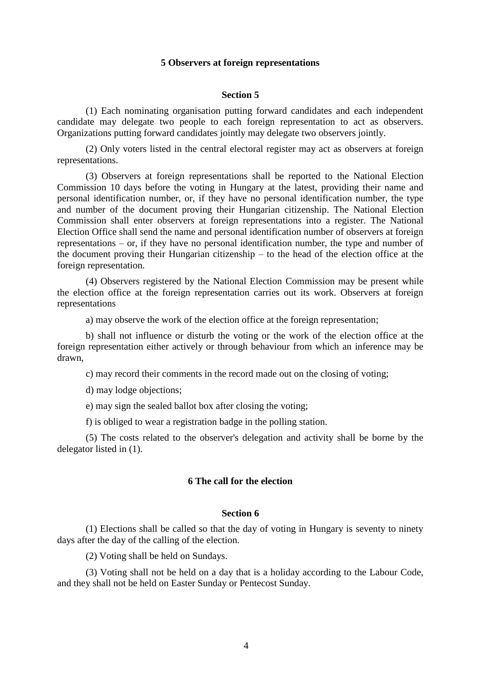## **5 Observers at foreign representations**

## **Section 5**

(1) Each nominating organisation putting forward candidates and each independent candidate may delegate two people to each foreign representation to act as observers. Organizations putting forward candidates jointly may delegate two observers jointly.

(2) Only voters listed in the central electoral register may act as observers at foreign representations.

(3) Observers at foreign representations shall be reported to the National Election Commission 10 days before the voting in Hungary at the latest, providing their name and personal identification number, or, if they have no personal identification number, the type and number of the document proving their Hungarian citizenship. The National Election Commission shall enter observers at foreign representations into a register. The National Election Office shall send the name and personal identification number of observers at foreign representations – or, if they have no personal identification number, the type and number of the document proving their Hungarian citizenship – to the head of the election office at the foreign representation.

(4) Observers registered by the National Election Commission may be present while the election office at the foreign representation carries out its work. Observers at foreign representations

a) may observe the work of the election office at the foreign representation;

b) shall not influence or disturb the voting or the work of the election office at the foreign representation either actively or through behaviour from which an inference may be drawn,

c) may record their comments in the record made out on the closing of voting;

d) may lodge objections;

e) may sign the sealed ballot box after closing the voting;

f) is obliged to wear a registration badge in the polling station.

(5) The costs related to the observer's delegation and activity shall be borne by the delegator listed in (1).

## **6 The call for the election**

## **Section 6**

(1) Elections shall be called so that the day of voting in Hungary is seventy to ninety days after the day of the calling of the election.

(2) Voting shall be held on Sundays.

(3) Voting shall not be held on a day that is a holiday according to the Labour Code, and they shall not be held on Easter Sunday or Pentecost Sunday.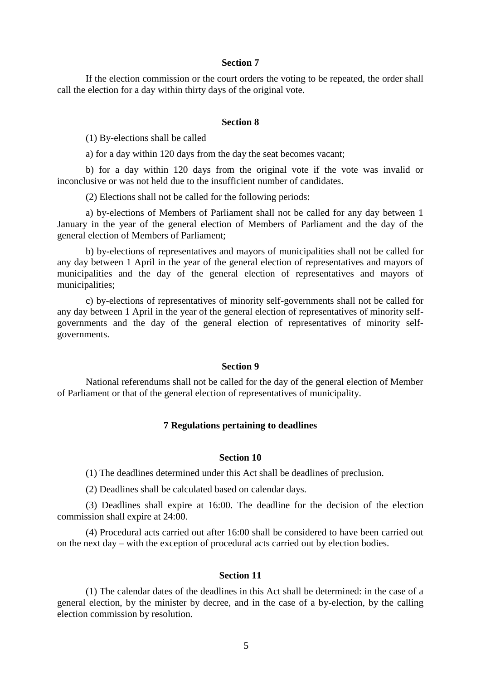### **Section 7**

If the election commission or the court orders the voting to be repeated, the order shall call the election for a day within thirty days of the original vote.

### **Section 8**

(1) By-elections shall be called

a) for a day within 120 days from the day the seat becomes vacant;

b) for a day within 120 days from the original vote if the vote was invalid or inconclusive or was not held due to the insufficient number of candidates.

(2) Elections shall not be called for the following periods:

a) by-elections of Members of Parliament shall not be called for any day between 1 January in the year of the general election of Members of Parliament and the day of the general election of Members of Parliament;

b) by-elections of representatives and mayors of municipalities shall not be called for any day between 1 April in the year of the general election of representatives and mayors of municipalities and the day of the general election of representatives and mayors of municipalities;

c) by-elections of representatives of minority self-governments shall not be called for any day between 1 April in the year of the general election of representatives of minority selfgovernments and the day of the general election of representatives of minority selfgovernments.

## **Section 9**

National referendums shall not be called for the day of the general election of Member of Parliament or that of the general election of representatives of municipality.

#### **7 Regulations pertaining to deadlines**

### **Section 10**

(1) The deadlines determined under this Act shall be deadlines of preclusion.

(2) Deadlines shall be calculated based on calendar days.

(3) Deadlines shall expire at 16:00. The deadline for the decision of the election commission shall expire at 24:00.

(4) Procedural acts carried out after 16:00 shall be considered to have been carried out on the next day – with the exception of procedural acts carried out by election bodies.

### **Section 11**

(1) The calendar dates of the deadlines in this Act shall be determined: in the case of a general election, by the minister by decree, and in the case of a by-election, by the calling election commission by resolution.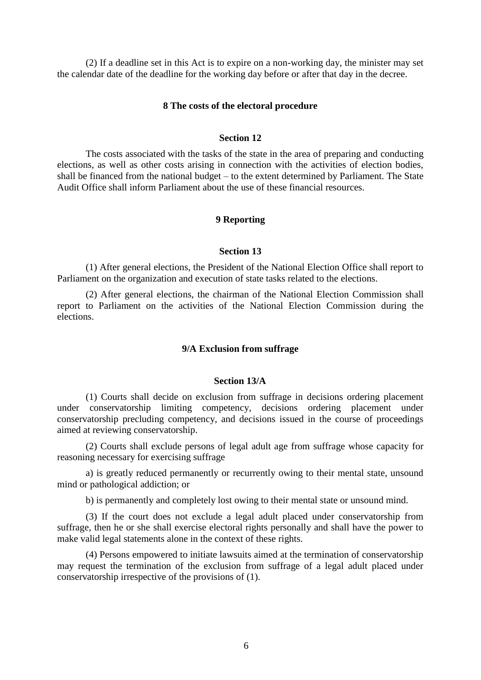(2) If a deadline set in this Act is to expire on a non-working day, the minister may set the calendar date of the deadline for the working day before or after that day in the decree.

#### **8 The costs of the electoral procedure**

## **Section 12**

The costs associated with the tasks of the state in the area of preparing and conducting elections, as well as other costs arising in connection with the activities of election bodies, shall be financed from the national budget – to the extent determined by Parliament. The State Audit Office shall inform Parliament about the use of these financial resources.

## **9 Reporting**

## **Section 13**

(1) After general elections, the President of the National Election Office shall report to Parliament on the organization and execution of state tasks related to the elections.

(2) After general elections, the chairman of the National Election Commission shall report to Parliament on the activities of the National Election Commission during the elections.

### **9/A Exclusion from suffrage**

#### **Section 13/A**

(1) Courts shall decide on exclusion from suffrage in decisions ordering placement under conservatorship limiting competency, decisions ordering placement under conservatorship precluding competency, and decisions issued in the course of proceedings aimed at reviewing conservatorship.

(2) Courts shall exclude persons of legal adult age from suffrage whose capacity for reasoning necessary for exercising suffrage

a) is greatly reduced permanently or recurrently owing to their mental state, unsound mind or pathological addiction; or

b) is permanently and completely lost owing to their mental state or unsound mind.

(3) If the court does not exclude a legal adult placed under conservatorship from suffrage, then he or she shall exercise electoral rights personally and shall have the power to make valid legal statements alone in the context of these rights.

(4) Persons empowered to initiate lawsuits aimed at the termination of conservatorship may request the termination of the exclusion from suffrage of a legal adult placed under conservatorship irrespective of the provisions of (1).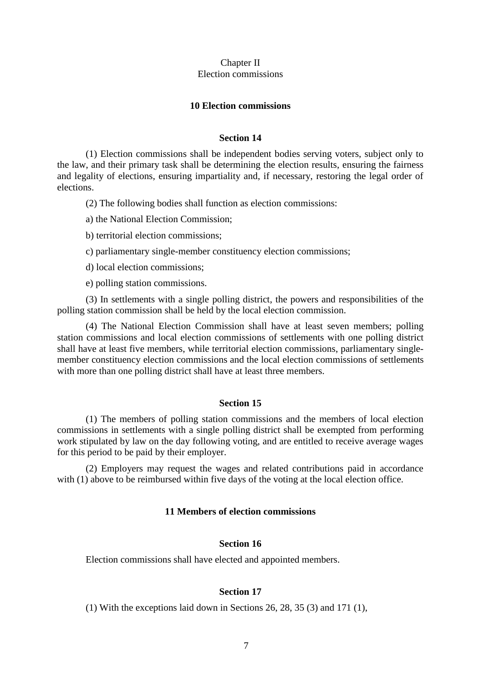## Chapter II Election commissions

## **10 Election commissions**

#### **Section 14**

(1) Election commissions shall be independent bodies serving voters, subject only to the law, and their primary task shall be determining the election results, ensuring the fairness and legality of elections, ensuring impartiality and, if necessary, restoring the legal order of elections.

(2) The following bodies shall function as election commissions:

a) the National Election Commission;

b) territorial election commissions;

c) parliamentary single-member constituency election commissions;

d) local election commissions;

e) polling station commissions.

(3) In settlements with a single polling district, the powers and responsibilities of the polling station commission shall be held by the local election commission.

(4) The National Election Commission shall have at least seven members; polling station commissions and local election commissions of settlements with one polling district shall have at least five members, while territorial election commissions, parliamentary singlemember constituency election commissions and the local election commissions of settlements with more than one polling district shall have at least three members.

## **Section 15**

(1) The members of polling station commissions and the members of local election commissions in settlements with a single polling district shall be exempted from performing work stipulated by law on the day following voting, and are entitled to receive average wages for this period to be paid by their employer.

(2) Employers may request the wages and related contributions paid in accordance with (1) above to be reimbursed within five days of the voting at the local election office.

## **11 Members of election commissions**

# **Section 16**

Election commissions shall have elected and appointed members.

## **Section 17**

(1) With the exceptions laid down in Sections 26, 28, 35 (3) and 171 (1),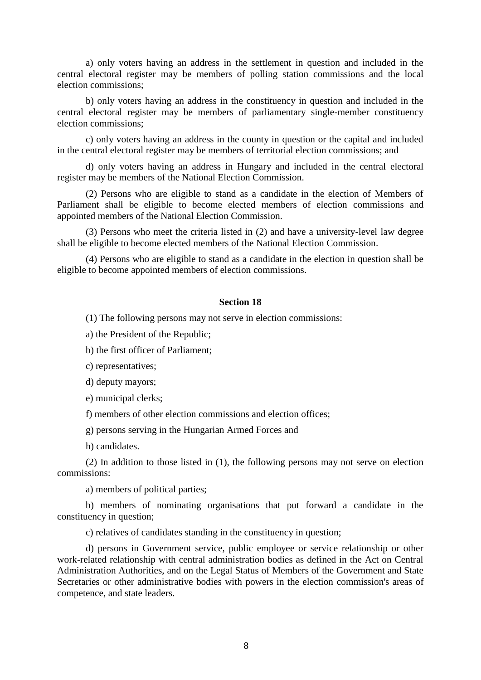a) only voters having an address in the settlement in question and included in the central electoral register may be members of polling station commissions and the local election commissions;

b) only voters having an address in the constituency in question and included in the central electoral register may be members of parliamentary single-member constituency election commissions;

c) only voters having an address in the county in question or the capital and included in the central electoral register may be members of territorial election commissions; and

d) only voters having an address in Hungary and included in the central electoral register may be members of the National Election Commission.

(2) Persons who are eligible to stand as a candidate in the election of Members of Parliament shall be eligible to become elected members of election commissions and appointed members of the National Election Commission.

(3) Persons who meet the criteria listed in (2) and have a university-level law degree shall be eligible to become elected members of the National Election Commission.

(4) Persons who are eligible to stand as a candidate in the election in question shall be eligible to become appointed members of election commissions.

### **Section 18**

(1) The following persons may not serve in election commissions:

a) the President of the Republic;

b) the first officer of Parliament;

c) representatives;

d) deputy mayors;

e) municipal clerks;

f) members of other election commissions and election offices;

g) persons serving in the Hungarian Armed Forces and

h) candidates.

(2) In addition to those listed in (1), the following persons may not serve on election commissions:

a) members of political parties;

b) members of nominating organisations that put forward a candidate in the constituency in question;

c) relatives of candidates standing in the constituency in question;

d) persons in Government service, public employee or service relationship or other work-related relationship with central administration bodies as defined in the Act on Central Administration Authorities, and on the Legal Status of Members of the Government and State Secretaries or other administrative bodies with powers in the election commission's areas of competence, and state leaders.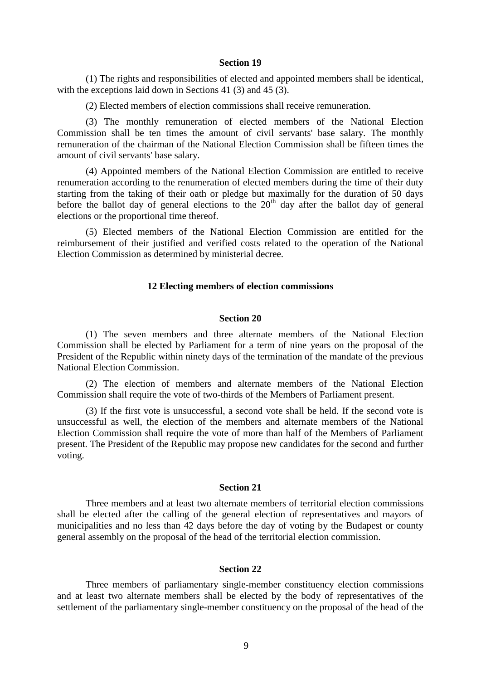#### **Section 19**

(1) The rights and responsibilities of elected and appointed members shall be identical, with the exceptions laid down in Sections 41 (3) and 45 (3).

(2) Elected members of election commissions shall receive remuneration.

(3) The monthly remuneration of elected members of the National Election Commission shall be ten times the amount of civil servants' base salary. The monthly remuneration of the chairman of the National Election Commission shall be fifteen times the amount of civil servants' base salary.

(4) Appointed members of the National Election Commission are entitled to receive renumeration according to the renumeration of elected members during the time of their duty starting from the taking of their oath or pledge but maximally for the duration of 50 days before the ballot day of general elections to the  $20<sup>th</sup>$  day after the ballot day of general elections or the proportional time thereof.

(5) Elected members of the National Election Commission are entitled for the reimbursement of their justified and verified costs related to the operation of the National Election Commission as determined by ministerial decree.

#### **12 Electing members of election commissions**

#### **Section 20**

(1) The seven members and three alternate members of the National Election Commission shall be elected by Parliament for a term of nine years on the proposal of the President of the Republic within ninety days of the termination of the mandate of the previous National Election Commission.

(2) The election of members and alternate members of the National Election Commission shall require the vote of two-thirds of the Members of Parliament present.

(3) If the first vote is unsuccessful, a second vote shall be held. If the second vote is unsuccessful as well, the election of the members and alternate members of the National Election Commission shall require the vote of more than half of the Members of Parliament present. The President of the Republic may propose new candidates for the second and further voting.

#### **Section 21**

Three members and at least two alternate members of territorial election commissions shall be elected after the calling of the general election of representatives and mayors of municipalities and no less than 42 days before the day of voting by the Budapest or county general assembly on the proposal of the head of the territorial election commission.

#### **Section 22**

Three members of parliamentary single-member constituency election commissions and at least two alternate members shall be elected by the body of representatives of the settlement of the parliamentary single-member constituency on the proposal of the head of the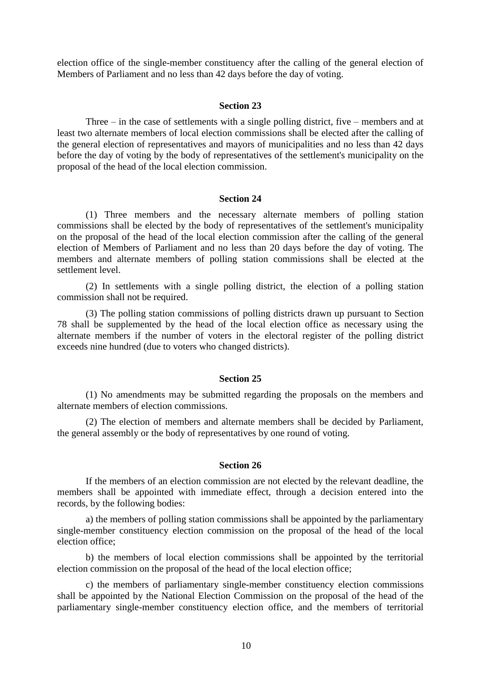election office of the single-member constituency after the calling of the general election of Members of Parliament and no less than 42 days before the day of voting.

### **Section 23**

Three – in the case of settlements with a single polling district, five – members and at least two alternate members of local election commissions shall be elected after the calling of the general election of representatives and mayors of municipalities and no less than 42 days before the day of voting by the body of representatives of the settlement's municipality on the proposal of the head of the local election commission.

### **Section 24**

(1) Three members and the necessary alternate members of polling station commissions shall be elected by the body of representatives of the settlement's municipality on the proposal of the head of the local election commission after the calling of the general election of Members of Parliament and no less than 20 days before the day of voting. The members and alternate members of polling station commissions shall be elected at the settlement level.

(2) In settlements with a single polling district, the election of a polling station commission shall not be required.

(3) The polling station commissions of polling districts drawn up pursuant to Section 78 shall be supplemented by the head of the local election office as necessary using the alternate members if the number of voters in the electoral register of the polling district exceeds nine hundred (due to voters who changed districts).

#### **Section 25**

(1) No amendments may be submitted regarding the proposals on the members and alternate members of election commissions.

(2) The election of members and alternate members shall be decided by Parliament, the general assembly or the body of representatives by one round of voting.

## **Section 26**

If the members of an election commission are not elected by the relevant deadline, the members shall be appointed with immediate effect, through a decision entered into the records, by the following bodies:

a) the members of polling station commissions shall be appointed by the parliamentary single-member constituency election commission on the proposal of the head of the local election office;

b) the members of local election commissions shall be appointed by the territorial election commission on the proposal of the head of the local election office;

c) the members of parliamentary single-member constituency election commissions shall be appointed by the National Election Commission on the proposal of the head of the parliamentary single-member constituency election office, and the members of territorial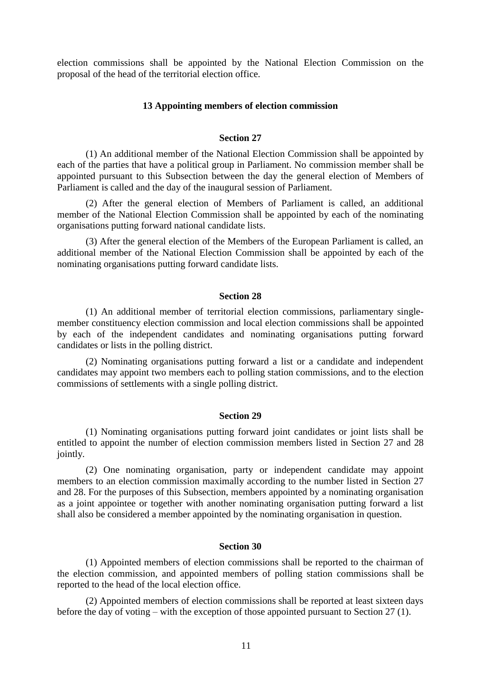election commissions shall be appointed by the National Election Commission on the proposal of the head of the territorial election office.

#### **13 Appointing members of election commission**

## **Section 27**

(1) An additional member of the National Election Commission shall be appointed by each of the parties that have a political group in Parliament. No commission member shall be appointed pursuant to this Subsection between the day the general election of Members of Parliament is called and the day of the inaugural session of Parliament.

(2) After the general election of Members of Parliament is called, an additional member of the National Election Commission shall be appointed by each of the nominating organisations putting forward national candidate lists.

(3) After the general election of the Members of the European Parliament is called, an additional member of the National Election Commission shall be appointed by each of the nominating organisations putting forward candidate lists.

## **Section 28**

(1) An additional member of territorial election commissions, parliamentary singlemember constituency election commission and local election commissions shall be appointed by each of the independent candidates and nominating organisations putting forward candidates or lists in the polling district.

(2) Nominating organisations putting forward a list or a candidate and independent candidates may appoint two members each to polling station commissions, and to the election commissions of settlements with a single polling district.

### **Section 29**

(1) Nominating organisations putting forward joint candidates or joint lists shall be entitled to appoint the number of election commission members listed in Section 27 and 28 jointly.

(2) One nominating organisation, party or independent candidate may appoint members to an election commission maximally according to the number listed in Section 27 and 28. For the purposes of this Subsection, members appointed by a nominating organisation as a joint appointee or together with another nominating organisation putting forward a list shall also be considered a member appointed by the nominating organisation in question.

### **Section 30**

(1) Appointed members of election commissions shall be reported to the chairman of the election commission, and appointed members of polling station commissions shall be reported to the head of the local election office.

(2) Appointed members of election commissions shall be reported at least sixteen days before the day of voting – with the exception of those appointed pursuant to Section 27 (1).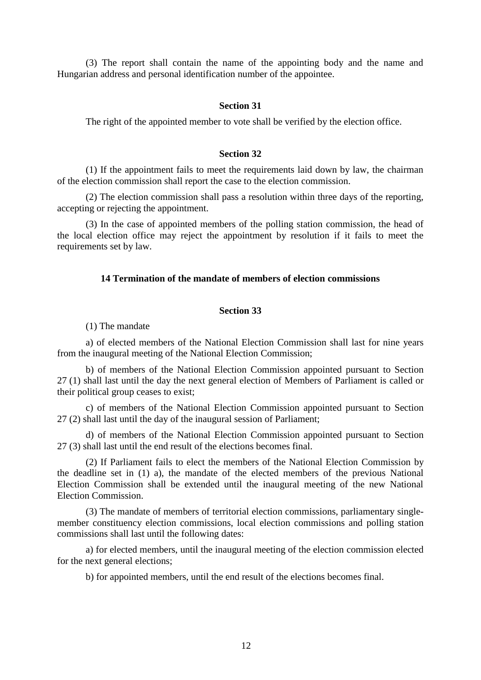(3) The report shall contain the name of the appointing body and the name and Hungarian address and personal identification number of the appointee.

#### **Section 31**

The right of the appointed member to vote shall be verified by the election office.

#### **Section 32**

(1) If the appointment fails to meet the requirements laid down by law, the chairman of the election commission shall report the case to the election commission.

(2) The election commission shall pass a resolution within three days of the reporting, accepting or rejecting the appointment.

(3) In the case of appointed members of the polling station commission, the head of the local election office may reject the appointment by resolution if it fails to meet the requirements set by law.

# **14 Termination of the mandate of members of election commissions**

## **Section 33**

(1) The mandate

a) of elected members of the National Election Commission shall last for nine years from the inaugural meeting of the National Election Commission;

b) of members of the National Election Commission appointed pursuant to Section 27 (1) shall last until the day the next general election of Members of Parliament is called or their political group ceases to exist;

c) of members of the National Election Commission appointed pursuant to Section 27 (2) shall last until the day of the inaugural session of Parliament;

d) of members of the National Election Commission appointed pursuant to Section 27 (3) shall last until the end result of the elections becomes final.

(2) If Parliament fails to elect the members of the National Election Commission by the deadline set in (1) a), the mandate of the elected members of the previous National Election Commission shall be extended until the inaugural meeting of the new National Election Commission.

(3) The mandate of members of territorial election commissions, parliamentary singlemember constituency election commissions, local election commissions and polling station commissions shall last until the following dates:

a) for elected members, until the inaugural meeting of the election commission elected for the next general elections;

b) for appointed members, until the end result of the elections becomes final.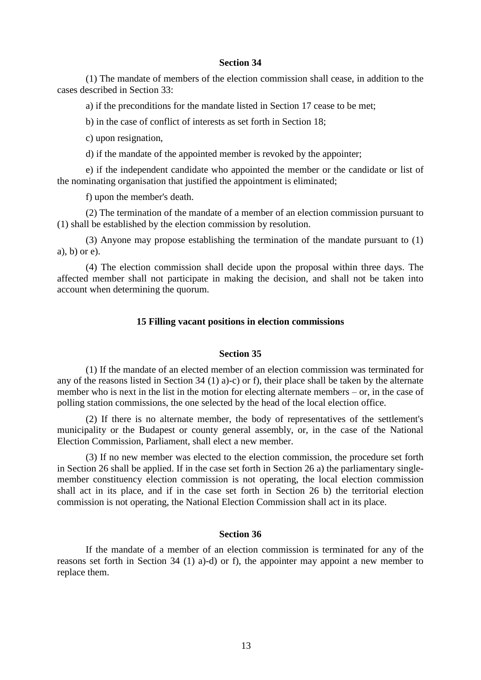#### **Section 34**

(1) The mandate of members of the election commission shall cease, in addition to the cases described in Section 33:

a) if the preconditions for the mandate listed in Section 17 cease to be met;

b) in the case of conflict of interests as set forth in Section 18;

c) upon resignation,

d) if the mandate of the appointed member is revoked by the appointer;

e) if the independent candidate who appointed the member or the candidate or list of the nominating organisation that justified the appointment is eliminated;

f) upon the member's death.

(2) The termination of the mandate of a member of an election commission pursuant to (1) shall be established by the election commission by resolution.

(3) Anyone may propose establishing the termination of the mandate pursuant to (1) a), b) or e).

(4) The election commission shall decide upon the proposal within three days. The affected member shall not participate in making the decision, and shall not be taken into account when determining the quorum.

### **15 Filling vacant positions in election commissions**

### **Section 35**

(1) If the mandate of an elected member of an election commission was terminated for any of the reasons listed in Section 34 (1) a)-c) or f), their place shall be taken by the alternate member who is next in the list in the motion for electing alternate members – or, in the case of polling station commissions, the one selected by the head of the local election office.

(2) If there is no alternate member, the body of representatives of the settlement's municipality or the Budapest or county general assembly, or, in the case of the National Election Commission, Parliament, shall elect a new member.

(3) If no new member was elected to the election commission, the procedure set forth in Section 26 shall be applied. If in the case set forth in Section 26 a) the parliamentary singlemember constituency election commission is not operating, the local election commission shall act in its place, and if in the case set forth in Section 26 b) the territorial election commission is not operating, the National Election Commission shall act in its place.

### **Section 36**

If the mandate of a member of an election commission is terminated for any of the reasons set forth in Section 34 (1) a)-d) or f), the appointer may appoint a new member to replace them.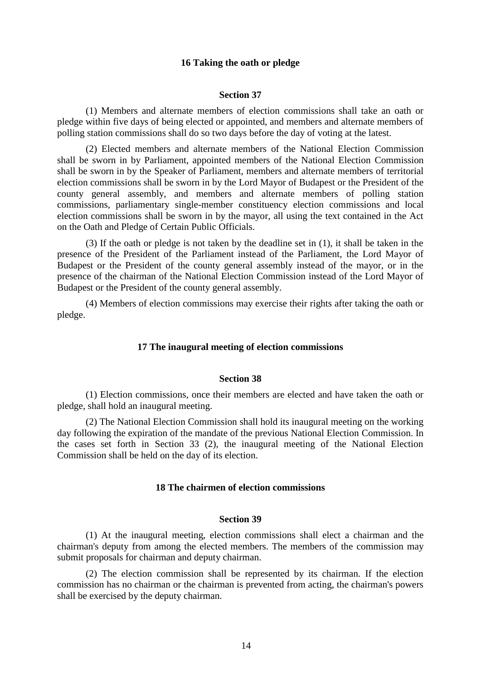## **16 Taking the oath or pledge**

### **Section 37**

(1) Members and alternate members of election commissions shall take an oath or pledge within five days of being elected or appointed, and members and alternate members of polling station commissions shall do so two days before the day of voting at the latest.

(2) Elected members and alternate members of the National Election Commission shall be sworn in by Parliament, appointed members of the National Election Commission shall be sworn in by the Speaker of Parliament, members and alternate members of territorial election commissions shall be sworn in by the Lord Mayor of Budapest or the President of the county general assembly, and members and alternate members of polling station commissions, parliamentary single-member constituency election commissions and local election commissions shall be sworn in by the mayor, all using the text contained in the Act on the Oath and Pledge of Certain Public Officials.

(3) If the oath or pledge is not taken by the deadline set in (1), it shall be taken in the presence of the President of the Parliament instead of the Parliament, the Lord Mayor of Budapest or the President of the county general assembly instead of the mayor, or in the presence of the chairman of the National Election Commission instead of the Lord Mayor of Budapest or the President of the county general assembly.

(4) Members of election commissions may exercise their rights after taking the oath or pledge.

### **17 The inaugural meeting of election commissions**

#### **Section 38**

(1) Election commissions, once their members are elected and have taken the oath or pledge, shall hold an inaugural meeting.

(2) The National Election Commission shall hold its inaugural meeting on the working day following the expiration of the mandate of the previous National Election Commission. In the cases set forth in Section 33 (2), the inaugural meeting of the National Election Commission shall be held on the day of its election.

### **18 The chairmen of election commissions**

#### **Section 39**

(1) At the inaugural meeting, election commissions shall elect a chairman and the chairman's deputy from among the elected members. The members of the commission may submit proposals for chairman and deputy chairman.

(2) The election commission shall be represented by its chairman. If the election commission has no chairman or the chairman is prevented from acting, the chairman's powers shall be exercised by the deputy chairman.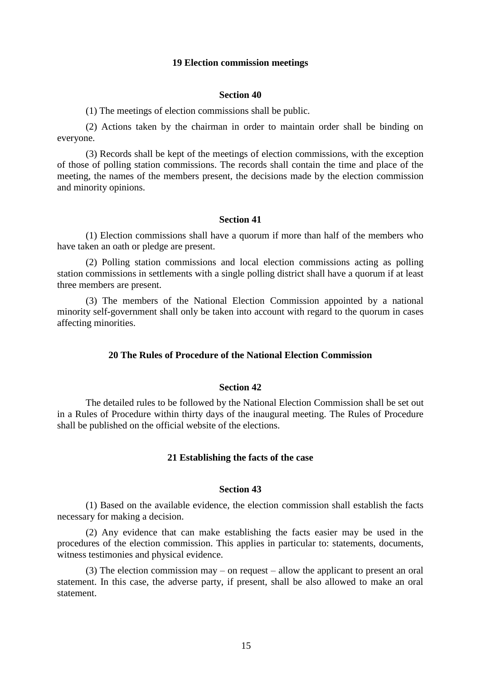### **19 Election commission meetings**

## **Section 40**

(1) The meetings of election commissions shall be public.

(2) Actions taken by the chairman in order to maintain order shall be binding on everyone.

(3) Records shall be kept of the meetings of election commissions, with the exception of those of polling station commissions. The records shall contain the time and place of the meeting, the names of the members present, the decisions made by the election commission and minority opinions.

#### **Section 41**

(1) Election commissions shall have a quorum if more than half of the members who have taken an oath or pledge are present.

(2) Polling station commissions and local election commissions acting as polling station commissions in settlements with a single polling district shall have a quorum if at least three members are present.

(3) The members of the National Election Commission appointed by a national minority self-government shall only be taken into account with regard to the quorum in cases affecting minorities.

# **20 The Rules of Procedure of the National Election Commission**

## **Section 42**

The detailed rules to be followed by the National Election Commission shall be set out in a Rules of Procedure within thirty days of the inaugural meeting. The Rules of Procedure shall be published on the official website of the elections.

#### **21 Establishing the facts of the case**

#### **Section 43**

(1) Based on the available evidence, the election commission shall establish the facts necessary for making a decision.

(2) Any evidence that can make establishing the facts easier may be used in the procedures of the election commission. This applies in particular to: statements, documents, witness testimonies and physical evidence.

(3) The election commission may – on request – allow the applicant to present an oral statement. In this case, the adverse party, if present, shall be also allowed to make an oral statement.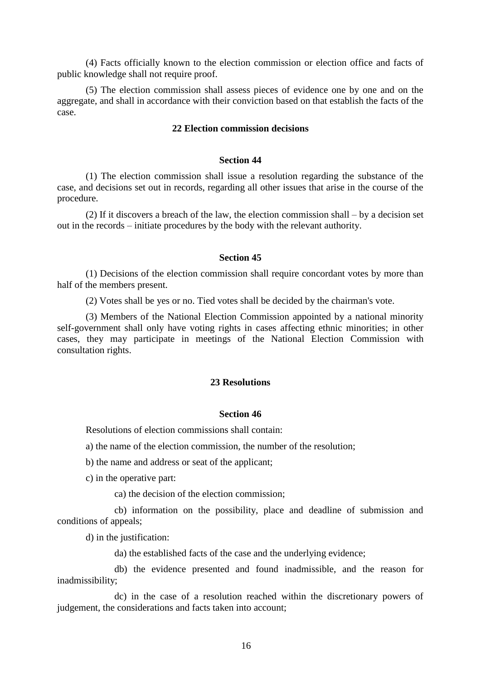(4) Facts officially known to the election commission or election office and facts of public knowledge shall not require proof.

(5) The election commission shall assess pieces of evidence one by one and on the aggregate, and shall in accordance with their conviction based on that establish the facts of the case.

## **22 Election commission decisions**

#### **Section 44**

(1) The election commission shall issue a resolution regarding the substance of the case, and decisions set out in records, regarding all other issues that arise in the course of the procedure.

(2) If it discovers a breach of the law, the election commission shall – by a decision set out in the records – initiate procedures by the body with the relevant authority.

#### **Section 45**

(1) Decisions of the election commission shall require concordant votes by more than half of the members present.

(2) Votes shall be yes or no. Tied votes shall be decided by the chairman's vote.

(3) Members of the National Election Commission appointed by a national minority self-government shall only have voting rights in cases affecting ethnic minorities; in other cases, they may participate in meetings of the National Election Commission with consultation rights.

## **23 Resolutions**

## **Section 46**

Resolutions of election commissions shall contain:

a) the name of the election commission, the number of the resolution;

b) the name and address or seat of the applicant;

c) in the operative part:

ca) the decision of the election commission;

cb) information on the possibility, place and deadline of submission and conditions of appeals;

d) in the justification:

da) the established facts of the case and the underlying evidence;

db) the evidence presented and found inadmissible, and the reason for inadmissibility;

dc) in the case of a resolution reached within the discretionary powers of judgement, the considerations and facts taken into account;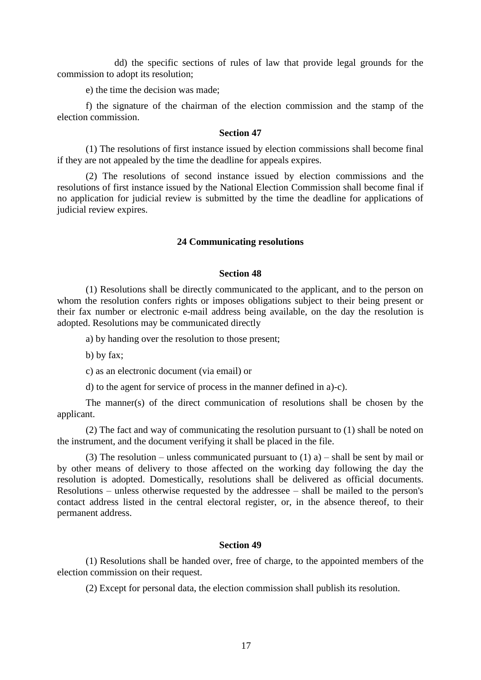dd) the specific sections of rules of law that provide legal grounds for the commission to adopt its resolution;

e) the time the decision was made;

f) the signature of the chairman of the election commission and the stamp of the election commission.

## **Section 47**

(1) The resolutions of first instance issued by election commissions shall become final if they are not appealed by the time the deadline for appeals expires.

(2) The resolutions of second instance issued by election commissions and the resolutions of first instance issued by the National Election Commission shall become final if no application for judicial review is submitted by the time the deadline for applications of judicial review expires.

### **24 Communicating resolutions**

#### **Section 48**

(1) Resolutions shall be directly communicated to the applicant, and to the person on whom the resolution confers rights or imposes obligations subject to their being present or their fax number or electronic e-mail address being available, on the day the resolution is adopted. Resolutions may be communicated directly

a) by handing over the resolution to those present;

b) by fax;

c) as an electronic document (via email) or

d) to the agent for service of process in the manner defined in a)-c).

The manner(s) of the direct communication of resolutions shall be chosen by the applicant.

(2) The fact and way of communicating the resolution pursuant to (1) shall be noted on the instrument, and the document verifying it shall be placed in the file.

(3) The resolution – unless communicated pursuant to  $(1)$  a) – shall be sent by mail or by other means of delivery to those affected on the working day following the day the resolution is adopted. Domestically, resolutions shall be delivered as official documents. Resolutions – unless otherwise requested by the addressee – shall be mailed to the person's contact address listed in the central electoral register, or, in the absence thereof, to their permanent address.

## **Section 49**

(1) Resolutions shall be handed over, free of charge, to the appointed members of the election commission on their request.

(2) Except for personal data, the election commission shall publish its resolution.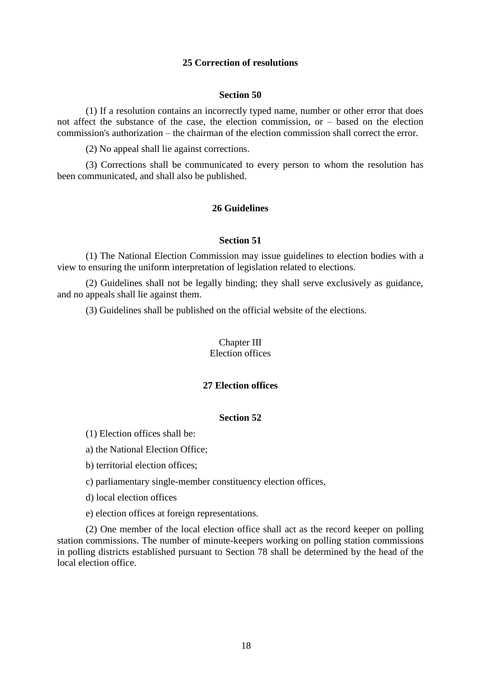# **25 Correction of resolutions**

## **Section 50**

(1) If a resolution contains an incorrectly typed name, number or other error that does not affect the substance of the case, the election commission, or – based on the election commission's authorization – the chairman of the election commission shall correct the error.

(2) No appeal shall lie against corrections.

(3) Corrections shall be communicated to every person to whom the resolution has been communicated, and shall also be published.

# **26 Guidelines**

#### **Section 51**

(1) The National Election Commission may issue guidelines to election bodies with a view to ensuring the uniform interpretation of legislation related to elections.

(2) Guidelines shall not be legally binding; they shall serve exclusively as guidance, and no appeals shall lie against them.

(3) Guidelines shall be published on the official website of the elections.

#### Chapter III Election offices

#### **27 Election offices**

#### **Section 52**

(1) Election offices shall be:

a) the National Election Office;

b) territorial election offices;

c) parliamentary single-member constituency election offices,

d) local election offices

e) election offices at foreign representations.

(2) One member of the local election office shall act as the record keeper on polling station commissions. The number of minute-keepers working on polling station commissions in polling districts established pursuant to Section 78 shall be determined by the head of the local election office.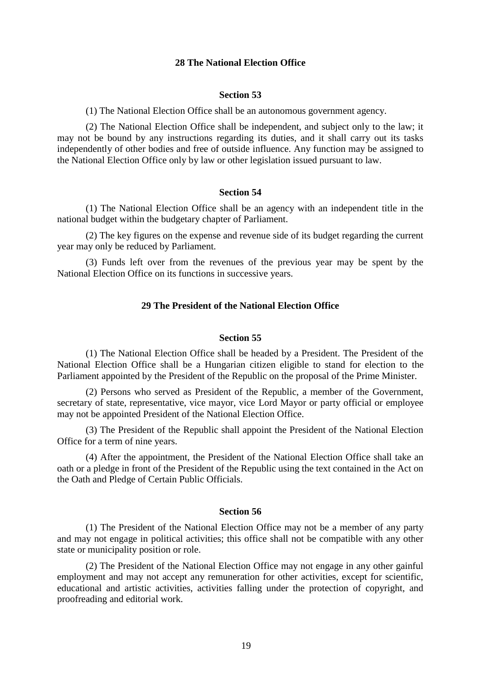# **28 The National Election Office**

## **Section 53**

(1) The National Election Office shall be an autonomous government agency.

(2) The National Election Office shall be independent, and subject only to the law; it may not be bound by any instructions regarding its duties, and it shall carry out its tasks independently of other bodies and free of outside influence. Any function may be assigned to the National Election Office only by law or other legislation issued pursuant to law.

## **Section 54**

(1) The National Election Office shall be an agency with an independent title in the national budget within the budgetary chapter of Parliament.

(2) The key figures on the expense and revenue side of its budget regarding the current year may only be reduced by Parliament.

(3) Funds left over from the revenues of the previous year may be spent by the National Election Office on its functions in successive years.

# **29 The President of the National Election Office**

#### **Section 55**

(1) The National Election Office shall be headed by a President. The President of the National Election Office shall be a Hungarian citizen eligible to stand for election to the Parliament appointed by the President of the Republic on the proposal of the Prime Minister.

(2) Persons who served as President of the Republic, a member of the Government, secretary of state, representative, vice mayor, vice Lord Mayor or party official or employee may not be appointed President of the National Election Office.

(3) The President of the Republic shall appoint the President of the National Election Office for a term of nine years.

(4) After the appointment, the President of the National Election Office shall take an oath or a pledge in front of the President of the Republic using the text contained in the Act on the Oath and Pledge of Certain Public Officials.

## **Section 56**

(1) The President of the National Election Office may not be a member of any party and may not engage in political activities; this office shall not be compatible with any other state or municipality position or role.

(2) The President of the National Election Office may not engage in any other gainful employment and may not accept any remuneration for other activities, except for scientific, educational and artistic activities, activities falling under the protection of copyright, and proofreading and editorial work.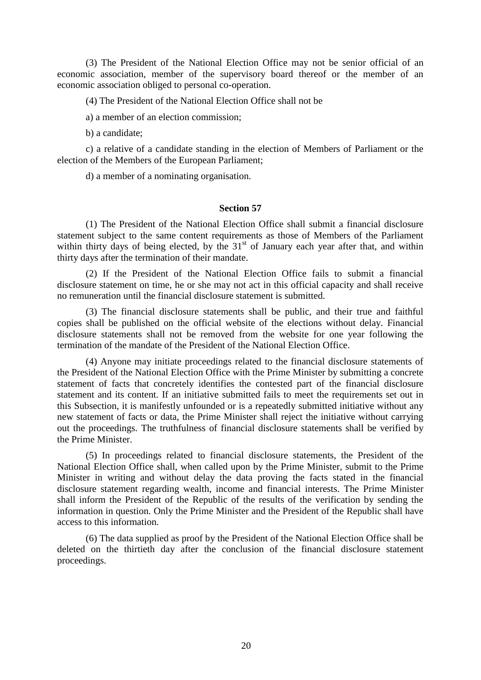(3) The President of the National Election Office may not be senior official of an economic association, member of the supervisory board thereof or the member of an economic association obliged to personal co-operation.

(4) The President of the National Election Office shall not be

a) a member of an election commission;

b) a candidate;

c) a relative of a candidate standing in the election of Members of Parliament or the election of the Members of the European Parliament;

d) a member of a nominating organisation.

## **Section 57**

(1) The President of the National Election Office shall submit a financial disclosure statement subject to the same content requirements as those of Members of the Parliament within thirty days of being elected, by the  $31<sup>st</sup>$  of January each year after that, and within thirty days after the termination of their mandate.

(2) If the President of the National Election Office fails to submit a financial disclosure statement on time, he or she may not act in this official capacity and shall receive no remuneration until the financial disclosure statement is submitted.

(3) The financial disclosure statements shall be public, and their true and faithful copies shall be published on the official website of the elections without delay. Financial disclosure statements shall not be removed from the website for one year following the termination of the mandate of the President of the National Election Office.

(4) Anyone may initiate proceedings related to the financial disclosure statements of the President of the National Election Office with the Prime Minister by submitting a concrete statement of facts that concretely identifies the contested part of the financial disclosure statement and its content. If an initiative submitted fails to meet the requirements set out in this Subsection, it is manifestly unfounded or is a repeatedly submitted initiative without any new statement of facts or data, the Prime Minister shall reject the initiative without carrying out the proceedings. The truthfulness of financial disclosure statements shall be verified by the Prime Minister.

(5) In proceedings related to financial disclosure statements, the President of the National Election Office shall, when called upon by the Prime Minister, submit to the Prime Minister in writing and without delay the data proving the facts stated in the financial disclosure statement regarding wealth, income and financial interests. The Prime Minister shall inform the President of the Republic of the results of the verification by sending the information in question. Only the Prime Minister and the President of the Republic shall have access to this information.

(6) The data supplied as proof by the President of the National Election Office shall be deleted on the thirtieth day after the conclusion of the financial disclosure statement proceedings.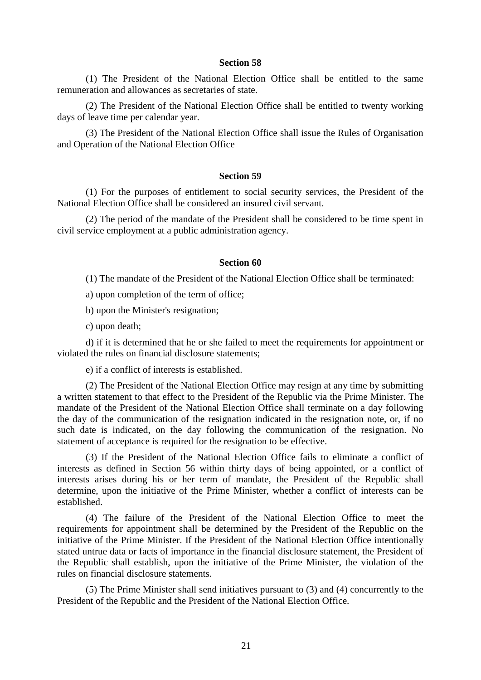#### **Section 58**

(1) The President of the National Election Office shall be entitled to the same remuneration and allowances as secretaries of state.

(2) The President of the National Election Office shall be entitled to twenty working days of leave time per calendar year.

(3) The President of the National Election Office shall issue the Rules of Organisation and Operation of the National Election Office

## **Section 59**

(1) For the purposes of entitlement to social security services, the President of the National Election Office shall be considered an insured civil servant.

(2) The period of the mandate of the President shall be considered to be time spent in civil service employment at a public administration agency.

## **Section 60**

(1) The mandate of the President of the National Election Office shall be terminated:

a) upon completion of the term of office;

b) upon the Minister's resignation;

c) upon death;

d) if it is determined that he or she failed to meet the requirements for appointment or violated the rules on financial disclosure statements;

e) if a conflict of interests is established.

(2) The President of the National Election Office may resign at any time by submitting a written statement to that effect to the President of the Republic via the Prime Minister. The mandate of the President of the National Election Office shall terminate on a day following the day of the communication of the resignation indicated in the resignation note, or, if no such date is indicated, on the day following the communication of the resignation. No statement of acceptance is required for the resignation to be effective.

(3) If the President of the National Election Office fails to eliminate a conflict of interests as defined in Section 56 within thirty days of being appointed, or a conflict of interests arises during his or her term of mandate, the President of the Republic shall determine, upon the initiative of the Prime Minister, whether a conflict of interests can be established.

(4) The failure of the President of the National Election Office to meet the requirements for appointment shall be determined by the President of the Republic on the initiative of the Prime Minister. If the President of the National Election Office intentionally stated untrue data or facts of importance in the financial disclosure statement, the President of the Republic shall establish, upon the initiative of the Prime Minister, the violation of the rules on financial disclosure statements.

(5) The Prime Minister shall send initiatives pursuant to (3) and (4) concurrently to the President of the Republic and the President of the National Election Office.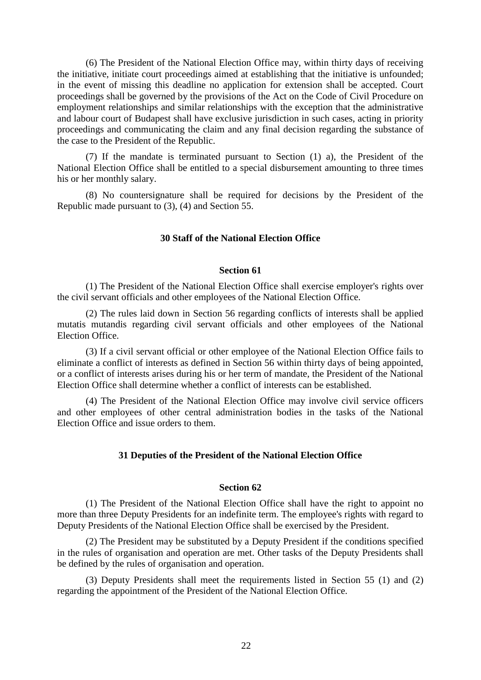(6) The President of the National Election Office may, within thirty days of receiving the initiative, initiate court proceedings aimed at establishing that the initiative is unfounded; in the event of missing this deadline no application for extension shall be accepted. Court proceedings shall be governed by the provisions of the Act on the Code of Civil Procedure on employment relationships and similar relationships with the exception that the administrative and labour court of Budapest shall have exclusive jurisdiction in such cases, acting in priority proceedings and communicating the claim and any final decision regarding the substance of the case to the President of the Republic.

(7) If the mandate is terminated pursuant to Section (1) a), the President of the National Election Office shall be entitled to a special disbursement amounting to three times his or her monthly salary.

(8) No countersignature shall be required for decisions by the President of the Republic made pursuant to (3), (4) and Section 55.

## **30 Staff of the National Election Office**

### **Section 61**

(1) The President of the National Election Office shall exercise employer's rights over the civil servant officials and other employees of the National Election Office.

(2) The rules laid down in Section 56 regarding conflicts of interests shall be applied mutatis mutandis regarding civil servant officials and other employees of the National Election Office.

(3) If a civil servant official or other employee of the National Election Office fails to eliminate a conflict of interests as defined in Section 56 within thirty days of being appointed, or a conflict of interests arises during his or her term of mandate, the President of the National Election Office shall determine whether a conflict of interests can be established.

(4) The President of the National Election Office may involve civil service officers and other employees of other central administration bodies in the tasks of the National Election Office and issue orders to them.

## **31 Deputies of the President of the National Election Office**

#### **Section 62**

(1) The President of the National Election Office shall have the right to appoint no more than three Deputy Presidents for an indefinite term. The employee's rights with regard to Deputy Presidents of the National Election Office shall be exercised by the President.

(2) The President may be substituted by a Deputy President if the conditions specified in the rules of organisation and operation are met. Other tasks of the Deputy Presidents shall be defined by the rules of organisation and operation.

(3) Deputy Presidents shall meet the requirements listed in Section 55 (1) and (2) regarding the appointment of the President of the National Election Office.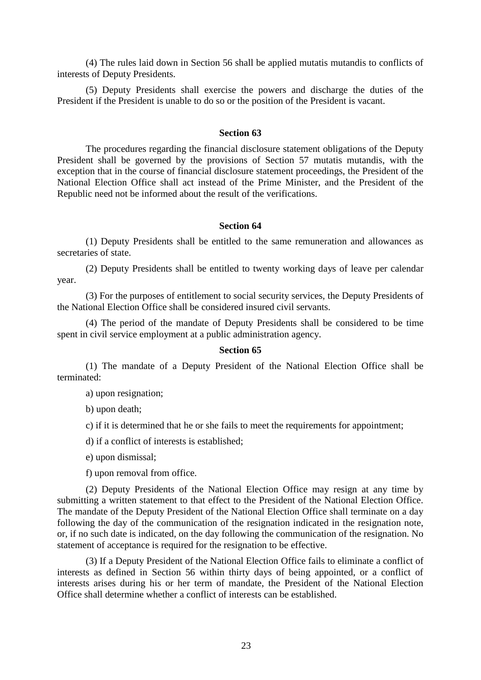(4) The rules laid down in Section 56 shall be applied mutatis mutandis to conflicts of interests of Deputy Presidents.

(5) Deputy Presidents shall exercise the powers and discharge the duties of the President if the President is unable to do so or the position of the President is vacant.

## **Section 63**

The procedures regarding the financial disclosure statement obligations of the Deputy President shall be governed by the provisions of Section 57 mutatis mutandis, with the exception that in the course of financial disclosure statement proceedings, the President of the National Election Office shall act instead of the Prime Minister, and the President of the Republic need not be informed about the result of the verifications.

## **Section 64**

(1) Deputy Presidents shall be entitled to the same remuneration and allowances as secretaries of state.

(2) Deputy Presidents shall be entitled to twenty working days of leave per calendar year.

(3) For the purposes of entitlement to social security services, the Deputy Presidents of the National Election Office shall be considered insured civil servants.

(4) The period of the mandate of Deputy Presidents shall be considered to be time spent in civil service employment at a public administration agency.

## **Section 65**

(1) The mandate of a Deputy President of the National Election Office shall be terminated:

a) upon resignation;

b) upon death;

c) if it is determined that he or she fails to meet the requirements for appointment;

d) if a conflict of interests is established;

e) upon dismissal;

f) upon removal from office.

(2) Deputy Presidents of the National Election Office may resign at any time by submitting a written statement to that effect to the President of the National Election Office. The mandate of the Deputy President of the National Election Office shall terminate on a day following the day of the communication of the resignation indicated in the resignation note, or, if no such date is indicated, on the day following the communication of the resignation. No statement of acceptance is required for the resignation to be effective.

(3) If a Deputy President of the National Election Office fails to eliminate a conflict of interests as defined in Section 56 within thirty days of being appointed, or a conflict of interests arises during his or her term of mandate, the President of the National Election Office shall determine whether a conflict of interests can be established.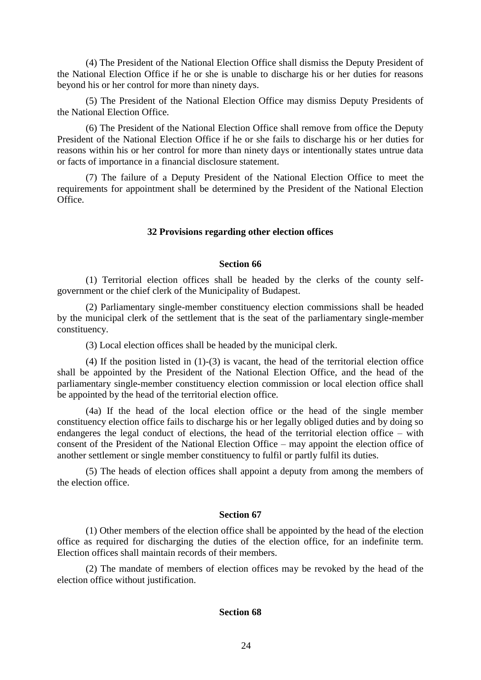(4) The President of the National Election Office shall dismiss the Deputy President of the National Election Office if he or she is unable to discharge his or her duties for reasons beyond his or her control for more than ninety days.

(5) The President of the National Election Office may dismiss Deputy Presidents of the National Election Office.

(6) The President of the National Election Office shall remove from office the Deputy President of the National Election Office if he or she fails to discharge his or her duties for reasons within his or her control for more than ninety days or intentionally states untrue data or facts of importance in a financial disclosure statement.

(7) The failure of a Deputy President of the National Election Office to meet the requirements for appointment shall be determined by the President of the National Election Office.

### **32 Provisions regarding other election offices**

## **Section 66**

(1) Territorial election offices shall be headed by the clerks of the county selfgovernment or the chief clerk of the Municipality of Budapest.

(2) Parliamentary single-member constituency election commissions shall be headed by the municipal clerk of the settlement that is the seat of the parliamentary single-member constituency.

(3) Local election offices shall be headed by the municipal clerk.

(4) If the position listed in  $(1)-(3)$  is vacant, the head of the territorial election office shall be appointed by the President of the National Election Office, and the head of the parliamentary single-member constituency election commission or local election office shall be appointed by the head of the territorial election office.

(4a) If the head of the local election office or the head of the single member constituency election office fails to discharge his or her legally obliged duties and by doing so endangeres the legal conduct of elections, the head of the territorial election office – with consent of the President of the National Election Office – may appoint the election office of another settlement or single member constituency to fulfil or partly fulfil its duties.

(5) The heads of election offices shall appoint a deputy from among the members of the election office.

## **Section 67**

(1) Other members of the election office shall be appointed by the head of the election office as required for discharging the duties of the election office, for an indefinite term. Election offices shall maintain records of their members.

(2) The mandate of members of election offices may be revoked by the head of the election office without justification.

#### **Section 68**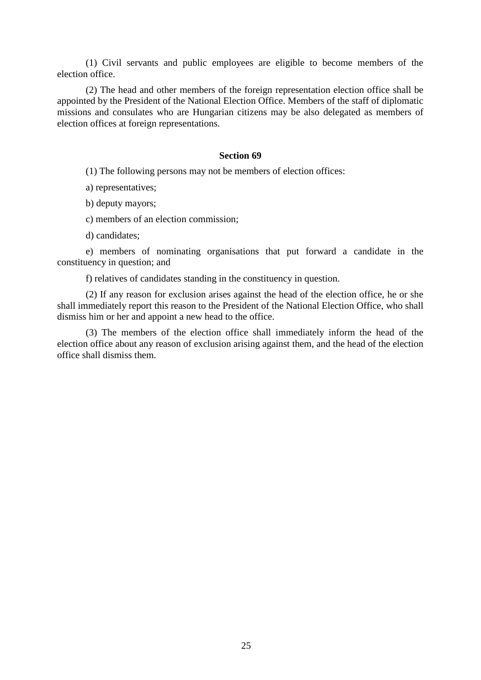(1) Civil servants and public employees are eligible to become members of the election office.

(2) The head and other members of the foreign representation election office shall be appointed by the President of the National Election Office. Members of the staff of diplomatic missions and consulates who are Hungarian citizens may be also delegated as members of election offices at foreign representations.

## **Section 69**

(1) The following persons may not be members of election offices:

a) representatives;

b) deputy mayors;

c) members of an election commission;

d) candidates;

e) members of nominating organisations that put forward a candidate in the constituency in question; and

f) relatives of candidates standing in the constituency in question.

(2) If any reason for exclusion arises against the head of the election office, he or she shall immediately report this reason to the President of the National Election Office, who shall dismiss him or her and appoint a new head to the office.

(3) The members of the election office shall immediately inform the head of the election office about any reason of exclusion arising against them, and the head of the election office shall dismiss them.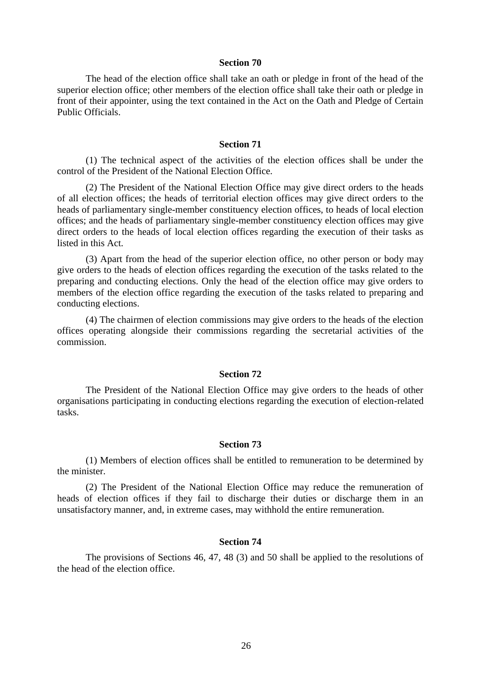# **Section 70**

The head of the election office shall take an oath or pledge in front of the head of the superior election office; other members of the election office shall take their oath or pledge in front of their appointer, using the text contained in the Act on the Oath and Pledge of Certain Public Officials.

#### **Section 71**

(1) The technical aspect of the activities of the election offices shall be under the control of the President of the National Election Office.

(2) The President of the National Election Office may give direct orders to the heads of all election offices; the heads of territorial election offices may give direct orders to the heads of parliamentary single-member constituency election offices, to heads of local election offices; and the heads of parliamentary single-member constituency election offices may give direct orders to the heads of local election offices regarding the execution of their tasks as listed in this Act.

(3) Apart from the head of the superior election office, no other person or body may give orders to the heads of election offices regarding the execution of the tasks related to the preparing and conducting elections. Only the head of the election office may give orders to members of the election office regarding the execution of the tasks related to preparing and conducting elections.

(4) The chairmen of election commissions may give orders to the heads of the election offices operating alongside their commissions regarding the secretarial activities of the commission.

#### **Section 72**

The President of the National Election Office may give orders to the heads of other organisations participating in conducting elections regarding the execution of election-related tasks.

#### **Section 73**

(1) Members of election offices shall be entitled to remuneration to be determined by the minister.

(2) The President of the National Election Office may reduce the remuneration of heads of election offices if they fail to discharge their duties or discharge them in an unsatisfactory manner, and, in extreme cases, may withhold the entire remuneration.

## **Section 74**

The provisions of Sections 46, 47, 48 (3) and 50 shall be applied to the resolutions of the head of the election office.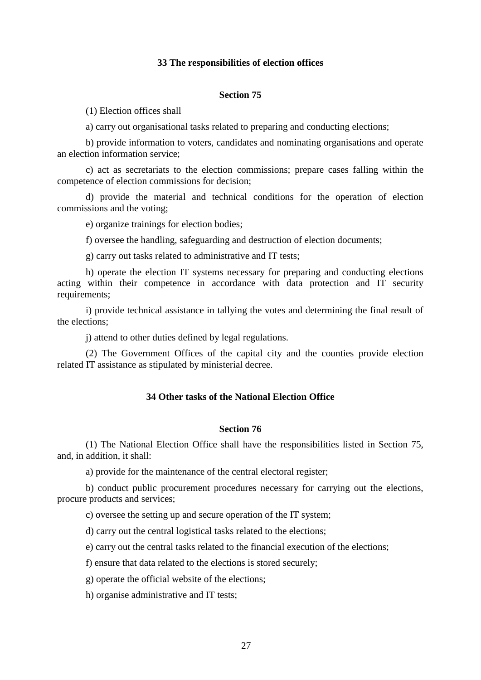## **33 The responsibilities of election offices**

## **Section 75**

(1) Election offices shall

a) carry out organisational tasks related to preparing and conducting elections;

b) provide information to voters, candidates and nominating organisations and operate an election information service;

c) act as secretariats to the election commissions; prepare cases falling within the competence of election commissions for decision;

d) provide the material and technical conditions for the operation of election commissions and the voting;

e) organize trainings for election bodies;

f) oversee the handling, safeguarding and destruction of election documents;

g) carry out tasks related to administrative and IT tests;

h) operate the election IT systems necessary for preparing and conducting elections acting within their competence in accordance with data protection and IT security requirements;

i) provide technical assistance in tallying the votes and determining the final result of the elections;

j) attend to other duties defined by legal regulations.

(2) The Government Offices of the capital city and the counties provide election related IT assistance as stipulated by ministerial decree.

# **34 Other tasks of the National Election Office**

## **Section 76**

(1) The National Election Office shall have the responsibilities listed in Section 75, and, in addition, it shall:

a) provide for the maintenance of the central electoral register;

b) conduct public procurement procedures necessary for carrying out the elections, procure products and services;

c) oversee the setting up and secure operation of the IT system;

d) carry out the central logistical tasks related to the elections;

e) carry out the central tasks related to the financial execution of the elections;

f) ensure that data related to the elections is stored securely;

g) operate the official website of the elections;

h) organise administrative and IT tests;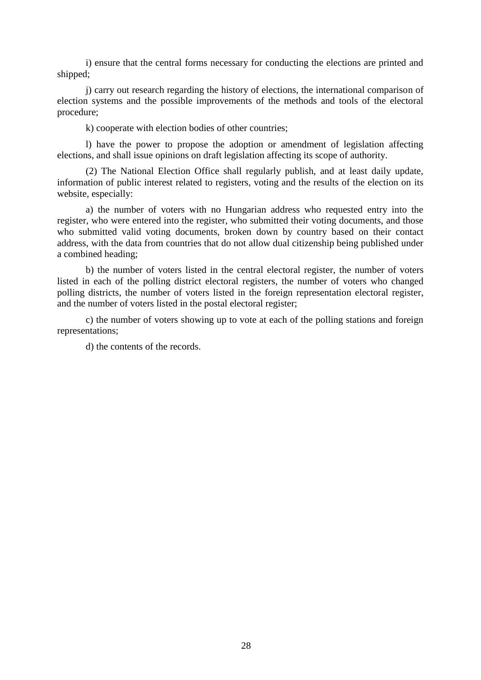i) ensure that the central forms necessary for conducting the elections are printed and shipped;

j) carry out research regarding the history of elections, the international comparison of election systems and the possible improvements of the methods and tools of the electoral procedure;

k) cooperate with election bodies of other countries;

l) have the power to propose the adoption or amendment of legislation affecting elections, and shall issue opinions on draft legislation affecting its scope of authority.

(2) The National Election Office shall regularly publish, and at least daily update, information of public interest related to registers, voting and the results of the election on its website, especially:

a) the number of voters with no Hungarian address who requested entry into the register, who were entered into the register, who submitted their voting documents, and those who submitted valid voting documents, broken down by country based on their contact address, with the data from countries that do not allow dual citizenship being published under a combined heading;

b) the number of voters listed in the central electoral register, the number of voters listed in each of the polling district electoral registers, the number of voters who changed polling districts, the number of voters listed in the foreign representation electoral register, and the number of voters listed in the postal electoral register;

c) the number of voters showing up to vote at each of the polling stations and foreign representations;

d) the contents of the records.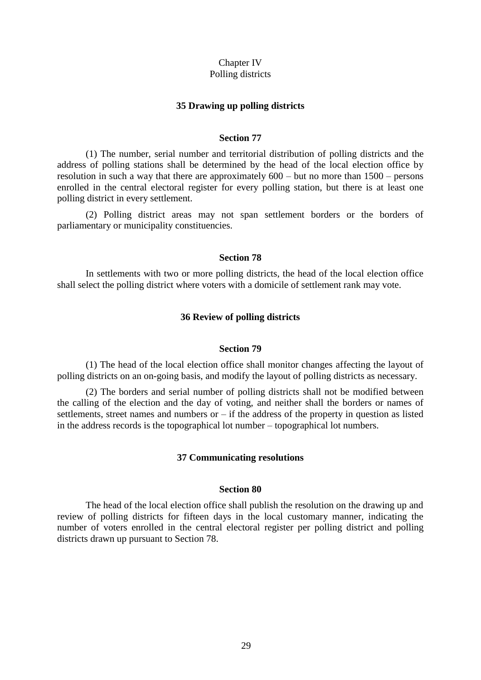## Chapter IV Polling districts

### **35 Drawing up polling districts**

## **Section 77**

(1) The number, serial number and territorial distribution of polling districts and the address of polling stations shall be determined by the head of the local election office by resolution in such a way that there are approximately 600 – but no more than 1500 – persons enrolled in the central electoral register for every polling station, but there is at least one polling district in every settlement.

(2) Polling district areas may not span settlement borders or the borders of parliamentary or municipality constituencies.

## **Section 78**

In settlements with two or more polling districts, the head of the local election office shall select the polling district where voters with a domicile of settlement rank may vote.

## **36 Review of polling districts**

## **Section 79**

(1) The head of the local election office shall monitor changes affecting the layout of polling districts on an on-going basis, and modify the layout of polling districts as necessary.

(2) The borders and serial number of polling districts shall not be modified between the calling of the election and the day of voting, and neither shall the borders or names of settlements, street names and numbers or – if the address of the property in question as listed in the address records is the topographical lot number – topographical lot numbers.

## **37 Communicating resolutions**

#### **Section 80**

The head of the local election office shall publish the resolution on the drawing up and review of polling districts for fifteen days in the local customary manner, indicating the number of voters enrolled in the central electoral register per polling district and polling districts drawn up pursuant to Section 78.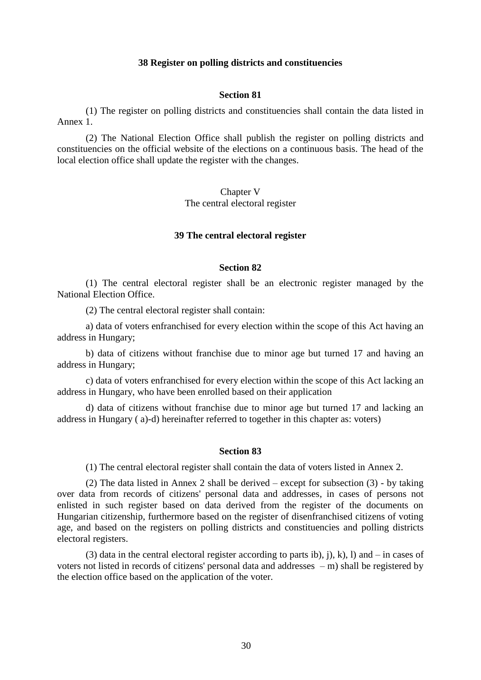## **38 Register on polling districts and constituencies**

## **Section 81**

(1) The register on polling districts and constituencies shall contain the data listed in Annex 1.

(2) The National Election Office shall publish the register on polling districts and constituencies on the official website of the elections on a continuous basis. The head of the local election office shall update the register with the changes.

# Chapter V The central electoral register

## **39 The central electoral register**

#### **Section 82**

(1) The central electoral register shall be an electronic register managed by the National Election Office.

(2) The central electoral register shall contain:

a) data of voters enfranchised for every election within the scope of this Act having an address in Hungary;

b) data of citizens without franchise due to minor age but turned 17 and having an address in Hungary;

c) data of voters enfranchised for every election within the scope of this Act lacking an address in Hungary, who have been enrolled based on their application

d) data of citizens without franchise due to minor age but turned 17 and lacking an address in Hungary ( a)-d) hereinafter referred to together in this chapter as: voters)

#### **Section 83**

(1) The central electoral register shall contain the data of voters listed in Annex 2.

(2) The data listed in Annex 2 shall be derived – except for subsection (3) - by taking over data from records of citizens' personal data and addresses, in cases of persons not enlisted in such register based on data derived from the register of the documents on Hungarian citizenship, furthermore based on the register of disenfranchised citizens of voting age, and based on the registers on polling districts and constituencies and polling districts electoral registers.

(3) data in the central electoral register according to parts ib), j), k), l) and – in cases of voters not listed in records of citizens' personal data and addresses – m) shall be registered by the election office based on the application of the voter.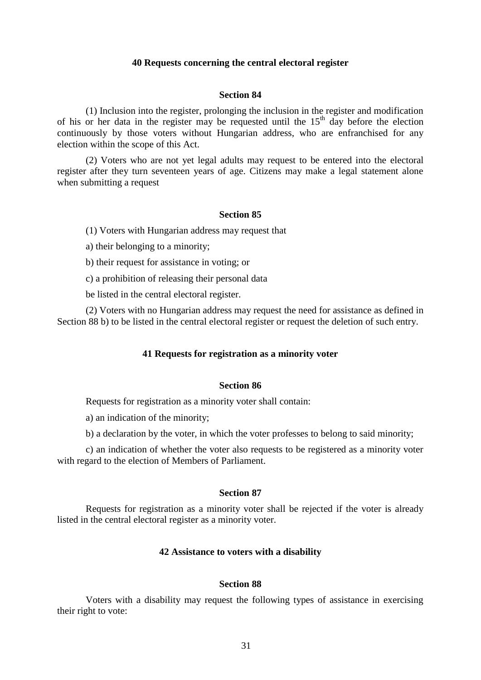#### **40 Requests concerning the central electoral register**

## **Section 84**

(1) Inclusion into the register, prolonging the inclusion in the register and modification of his or her data in the register may be requested until the  $15<sup>th</sup>$  day before the election continuously by those voters without Hungarian address, who are enfranchised for any election within the scope of this Act.

(2) Voters who are not yet legal adults may request to be entered into the electoral register after they turn seventeen years of age. Citizens may make a legal statement alone when submitting a request

#### **Section 85**

(1) Voters with Hungarian address may request that

a) their belonging to a minority;

- b) their request for assistance in voting; or
- c) a prohibition of releasing their personal data

be listed in the central electoral register.

(2) Voters with no Hungarian address may request the need for assistance as defined in Section 88 b) to be listed in the central electoral register or request the deletion of such entry.

### **41 Requests for registration as a minority voter**

## **Section 86**

Requests for registration as a minority voter shall contain:

a) an indication of the minority;

b) a declaration by the voter, in which the voter professes to belong to said minority;

c) an indication of whether the voter also requests to be registered as a minority voter with regard to the election of Members of Parliament.

## **Section 87**

Requests for registration as a minority voter shall be rejected if the voter is already listed in the central electoral register as a minority voter.

### **42 Assistance to voters with a disability**

## **Section 88**

Voters with a disability may request the following types of assistance in exercising their right to vote: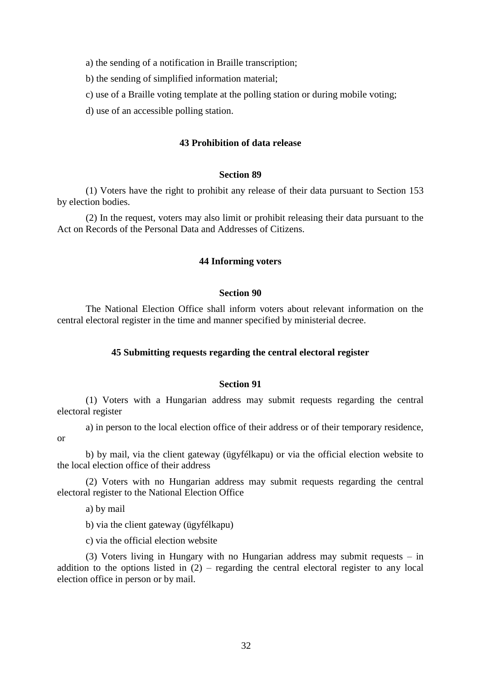a) the sending of a notification in Braille transcription;

b) the sending of simplified information material;

c) use of a Braille voting template at the polling station or during mobile voting;

d) use of an accessible polling station.

## **43 Prohibition of data release**

### **Section 89**

(1) Voters have the right to prohibit any release of their data pursuant to Section 153 by election bodies.

(2) In the request, voters may also limit or prohibit releasing their data pursuant to the Act on Records of the Personal Data and Addresses of Citizens.

# **44 Informing voters**

## **Section 90**

The National Election Office shall inform voters about relevant information on the central electoral register in the time and manner specified by ministerial decree.

### **45 Submitting requests regarding the central electoral register**

## **Section 91**

(1) Voters with a Hungarian address may submit requests regarding the central electoral register

a) in person to the local election office of their address or of their temporary residence, or

b) by mail, via the client gateway (ügyfélkapu) or via the official election website to the local election office of their address

(2) Voters with no Hungarian address may submit requests regarding the central electoral register to the National Election Office

a) by mail

b) via the client gateway (ügyfélkapu)

c) via the official election website

(3) Voters living in Hungary with no Hungarian address may submit requests – in addition to the options listed in  $(2)$  – regarding the central electoral register to any local election office in person or by mail.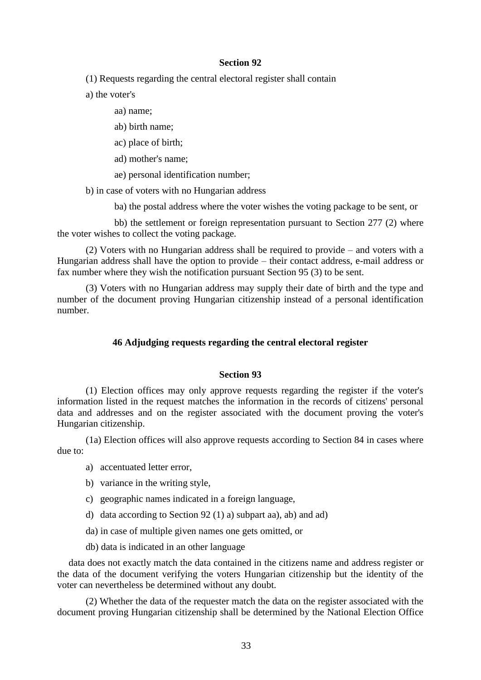# **Section 92**

(1) Requests regarding the central electoral register shall contain

a) the voter's

# aa) name;

ab) birth name;

ac) place of birth;

ad) mother's name;

ae) personal identification number;

b) in case of voters with no Hungarian address

ba) the postal address where the voter wishes the voting package to be sent, or

bb) the settlement or foreign representation pursuant to Section 277 (2) where the voter wishes to collect the voting package.

(2) Voters with no Hungarian address shall be required to provide – and voters with a Hungarian address shall have the option to provide – their contact address, e-mail address or fax number where they wish the notification pursuant Section 95 (3) to be sent.

(3) Voters with no Hungarian address may supply their date of birth and the type and number of the document proving Hungarian citizenship instead of a personal identification number.

# **46 Adjudging requests regarding the central electoral register**

## **Section 93**

(1) Election offices may only approve requests regarding the register if the voter's information listed in the request matches the information in the records of citizens' personal data and addresses and on the register associated with the document proving the voter's Hungarian citizenship.

(1a) Election offices will also approve requests according to Section 84 in cases where due to:

- a) accentuated letter error,
- b) variance in the writing style,
- c) geographic names indicated in a foreign language,
- d) data according to Section 92 (1) a) subpart aa), ab) and ad)
- da) in case of multiple given names one gets omitted, or
- db) data is indicated in an other language

data does not exactly match the data contained in the citizens name and address register or the data of the document verifying the voters Hungarian citizenship but the identity of the voter can nevertheless be determined without any doubt.

(2) Whether the data of the requester match the data on the register associated with the document proving Hungarian citizenship shall be determined by the National Election Office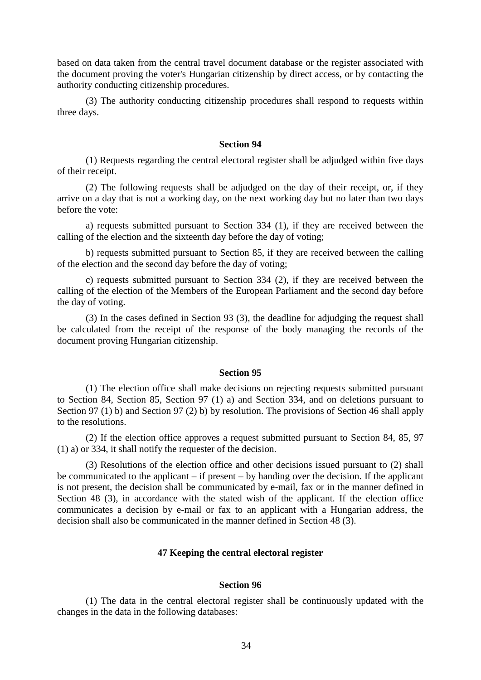based on data taken from the central travel document database or the register associated with the document proving the voter's Hungarian citizenship by direct access, or by contacting the authority conducting citizenship procedures.

(3) The authority conducting citizenship procedures shall respond to requests within three days.

#### **Section 94**

(1) Requests regarding the central electoral register shall be adjudged within five days of their receipt.

(2) The following requests shall be adjudged on the day of their receipt, or, if they arrive on a day that is not a working day, on the next working day but no later than two days before the vote:

a) requests submitted pursuant to Section 334 (1), if they are received between the calling of the election and the sixteenth day before the day of voting;

b) requests submitted pursuant to Section 85, if they are received between the calling of the election and the second day before the day of voting;

c) requests submitted pursuant to Section 334 (2), if they are received between the calling of the election of the Members of the European Parliament and the second day before the day of voting.

(3) In the cases defined in Section 93 (3), the deadline for adjudging the request shall be calculated from the receipt of the response of the body managing the records of the document proving Hungarian citizenship.

#### **Section 95**

(1) The election office shall make decisions on rejecting requests submitted pursuant to Section 84, Section 85, Section 97 (1) a) and Section 334, and on deletions pursuant to Section 97 (1) b) and Section 97 (2) b) by resolution. The provisions of Section 46 shall apply to the resolutions.

(2) If the election office approves a request submitted pursuant to Section 84, 85, 97 (1) a) or 334, it shall notify the requester of the decision.

(3) Resolutions of the election office and other decisions issued pursuant to (2) shall be communicated to the applicant – if present – by handing over the decision. If the applicant is not present, the decision shall be communicated by e-mail, fax or in the manner defined in Section 48 (3), in accordance with the stated wish of the applicant. If the election office communicates a decision by e-mail or fax to an applicant with a Hungarian address, the decision shall also be communicated in the manner defined in Section 48 (3).

## **47 Keeping the central electoral register**

### **Section 96**

(1) The data in the central electoral register shall be continuously updated with the changes in the data in the following databases: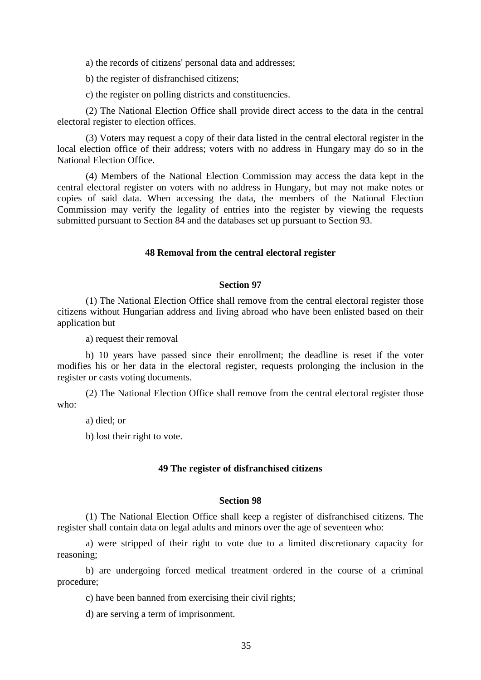a) the records of citizens' personal data and addresses;

b) the register of disfranchised citizens;

c) the register on polling districts and constituencies.

(2) The National Election Office shall provide direct access to the data in the central electoral register to election offices.

(3) Voters may request a copy of their data listed in the central electoral register in the local election office of their address; voters with no address in Hungary may do so in the National Election Office.

(4) Members of the National Election Commission may access the data kept in the central electoral register on voters with no address in Hungary, but may not make notes or copies of said data. When accessing the data, the members of the National Election Commission may verify the legality of entries into the register by viewing the requests submitted pursuant to Section 84 and the databases set up pursuant to Section 93.

# **48 Removal from the central electoral register**

#### **Section 97**

(1) The National Election Office shall remove from the central electoral register those citizens without Hungarian address and living abroad who have been enlisted based on their application but

a) request their removal

b) 10 years have passed since their enrollment; the deadline is reset if the voter modifies his or her data in the electoral register, requests prolonging the inclusion in the register or casts voting documents.

(2) The National Election Office shall remove from the central electoral register those who:

a) died; or

b) lost their right to vote.

## **49 The register of disfranchised citizens**

### **Section 98**

(1) The National Election Office shall keep a register of disfranchised citizens. The register shall contain data on legal adults and minors over the age of seventeen who:

a) were stripped of their right to vote due to a limited discretionary capacity for reasoning;

b) are undergoing forced medical treatment ordered in the course of a criminal procedure;

c) have been banned from exercising their civil rights;

d) are serving a term of imprisonment.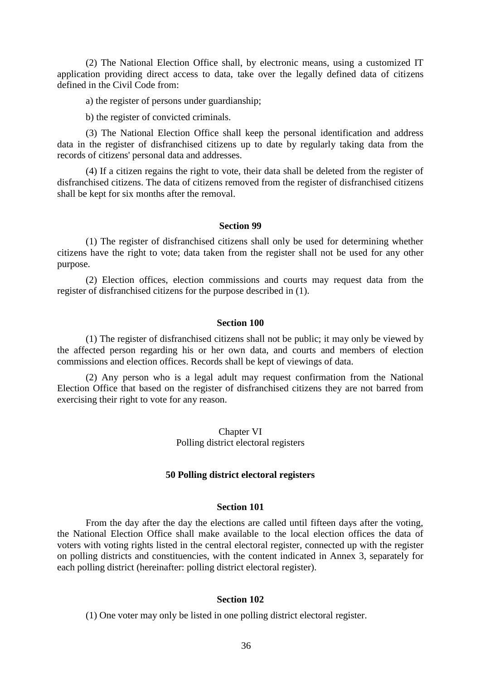(2) The National Election Office shall, by electronic means, using a customized IT application providing direct access to data, take over the legally defined data of citizens defined in the Civil Code from:

a) the register of persons under guardianship;

b) the register of convicted criminals.

(3) The National Election Office shall keep the personal identification and address data in the register of disfranchised citizens up to date by regularly taking data from the records of citizens' personal data and addresses.

(4) If a citizen regains the right to vote, their data shall be deleted from the register of disfranchised citizens. The data of citizens removed from the register of disfranchised citizens shall be kept for six months after the removal.

### **Section 99**

(1) The register of disfranchised citizens shall only be used for determining whether citizens have the right to vote; data taken from the register shall not be used for any other purpose.

(2) Election offices, election commissions and courts may request data from the register of disfranchised citizens for the purpose described in (1).

## **Section 100**

(1) The register of disfranchised citizens shall not be public; it may only be viewed by the affected person regarding his or her own data, and courts and members of election commissions and election offices. Records shall be kept of viewings of data.

(2) Any person who is a legal adult may request confirmation from the National Election Office that based on the register of disfranchised citizens they are not barred from exercising their right to vote for any reason.

> Chapter VI Polling district electoral registers

#### **50 Polling district electoral registers**

#### **Section 101**

From the day after the day the elections are called until fifteen days after the voting, the National Election Office shall make available to the local election offices the data of voters with voting rights listed in the central electoral register, connected up with the register on polling districts and constituencies, with the content indicated in Annex 3, separately for each polling district (hereinafter: polling district electoral register).

## **Section 102**

(1) One voter may only be listed in one polling district electoral register.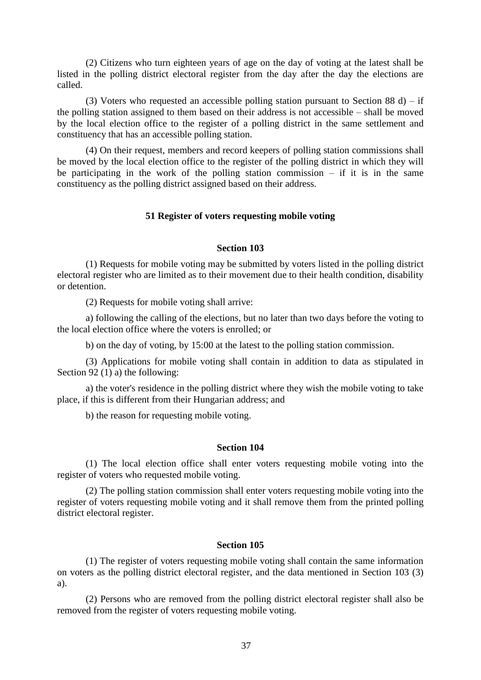(2) Citizens who turn eighteen years of age on the day of voting at the latest shall be listed in the polling district electoral register from the day after the day the elections are called.

(3) Voters who requested an accessible polling station pursuant to Section 88 d) – if the polling station assigned to them based on their address is not accessible – shall be moved by the local election office to the register of a polling district in the same settlement and constituency that has an accessible polling station.

(4) On their request, members and record keepers of polling station commissions shall be moved by the local election office to the register of the polling district in which they will be participating in the work of the polling station commission – if it is in the same constituency as the polling district assigned based on their address.

# **51 Register of voters requesting mobile voting**

## **Section 103**

(1) Requests for mobile voting may be submitted by voters listed in the polling district electoral register who are limited as to their movement due to their health condition, disability or detention.

(2) Requests for mobile voting shall arrive:

a) following the calling of the elections, but no later than two days before the voting to the local election office where the voters is enrolled; or

b) on the day of voting, by 15:00 at the latest to the polling station commission.

(3) Applications for mobile voting shall contain in addition to data as stipulated in Section 92 (1) a) the following:

a) the voter's residence in the polling district where they wish the mobile voting to take place, if this is different from their Hungarian address; and

b) the reason for requesting mobile voting.

# **Section 104**

(1) The local election office shall enter voters requesting mobile voting into the register of voters who requested mobile voting.

(2) The polling station commission shall enter voters requesting mobile voting into the register of voters requesting mobile voting and it shall remove them from the printed polling district electoral register.

# **Section 105**

(1) The register of voters requesting mobile voting shall contain the same information on voters as the polling district electoral register, and the data mentioned in Section 103 (3) a).

(2) Persons who are removed from the polling district electoral register shall also be removed from the register of voters requesting mobile voting.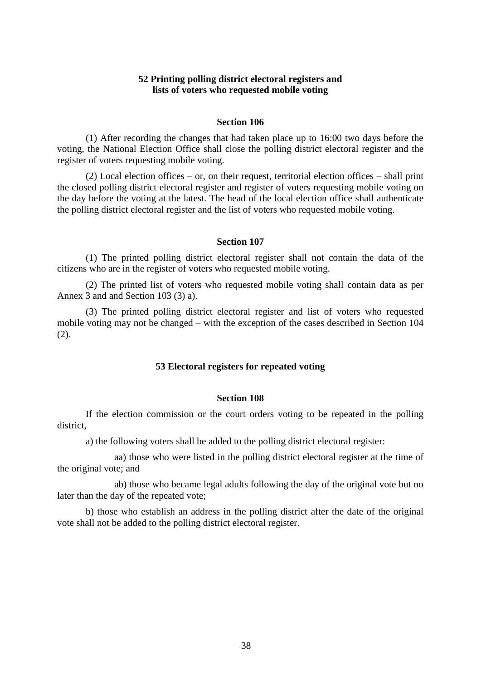# **52 Printing polling district electoral registers and lists of voters who requested mobile voting**

### **Section 106**

(1) After recording the changes that had taken place up to 16:00 two days before the voting, the National Election Office shall close the polling district electoral register and the register of voters requesting mobile voting.

(2) Local election offices – or, on their request, territorial election offices – shall print the closed polling district electoral register and register of voters requesting mobile voting on the day before the voting at the latest. The head of the local election office shall authenticate the polling district electoral register and the list of voters who requested mobile voting.

#### **Section 107**

(1) The printed polling district electoral register shall not contain the data of the citizens who are in the register of voters who requested mobile voting.

(2) The printed list of voters who requested mobile voting shall contain data as per Annex 3 and and Section 103 (3) a).

(3) The printed polling district electoral register and list of voters who requested mobile voting may not be changed – with the exception of the cases described in Section 104 (2).

# **53 Electoral registers for repeated voting**

### **Section 108**

If the election commission or the court orders voting to be repeated in the polling district,

a) the following voters shall be added to the polling district electoral register:

aa) those who were listed in the polling district electoral register at the time of the original vote; and

ab) those who became legal adults following the day of the original vote but no later than the day of the repeated vote;

b) those who establish an address in the polling district after the date of the original vote shall not be added to the polling district electoral register.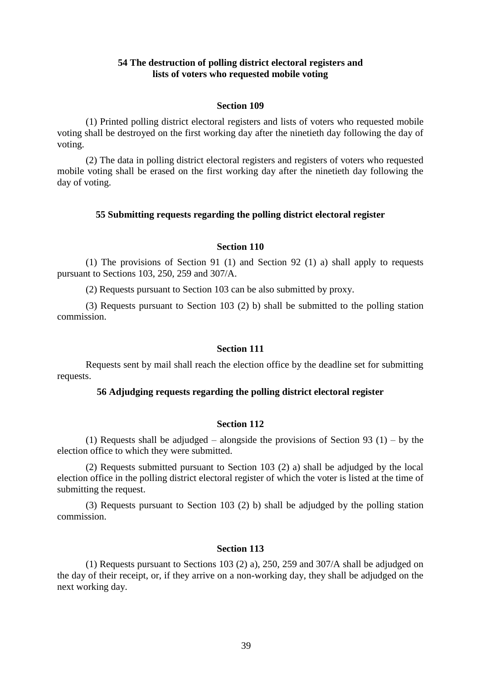# **54 The destruction of polling district electoral registers and lists of voters who requested mobile voting**

#### **Section 109**

(1) Printed polling district electoral registers and lists of voters who requested mobile voting shall be destroyed on the first working day after the ninetieth day following the day of voting.

(2) The data in polling district electoral registers and registers of voters who requested mobile voting shall be erased on the first working day after the ninetieth day following the day of voting.

# **55 Submitting requests regarding the polling district electoral register**

# **Section 110**

(1) The provisions of Section 91 (1) and Section 92 (1) a) shall apply to requests pursuant to Sections 103, 250, 259 and 307/A.

(2) Requests pursuant to Section 103 can be also submitted by proxy.

(3) Requests pursuant to Section 103 (2) b) shall be submitted to the polling station commission.

# **Section 111**

Requests sent by mail shall reach the election office by the deadline set for submitting requests.

## **56 Adjudging requests regarding the polling district electoral register**

### **Section 112**

(1) Requests shall be adjudged – alongside the provisions of Section 93 (1) – by the election office to which they were submitted.

(2) Requests submitted pursuant to Section 103 (2) a) shall be adjudged by the local election office in the polling district electoral register of which the voter is listed at the time of submitting the request.

(3) Requests pursuant to Section 103 (2) b) shall be adjudged by the polling station commission.

### **Section 113**

(1) Requests pursuant to Sections 103 (2) a), 250, 259 and 307/A shall be adjudged on the day of their receipt, or, if they arrive on a non-working day, they shall be adjudged on the next working day.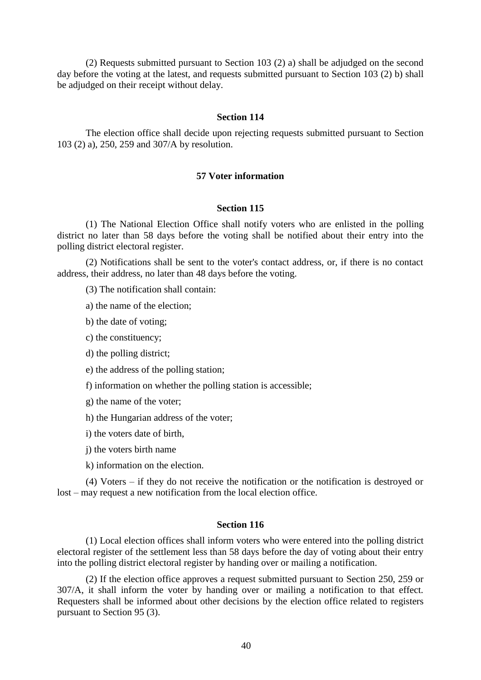(2) Requests submitted pursuant to Section 103 (2) a) shall be adjudged on the second day before the voting at the latest, and requests submitted pursuant to Section 103 (2) b) shall be adjudged on their receipt without delay.

### **Section 114**

The election office shall decide upon rejecting requests submitted pursuant to Section 103 (2) a), 250, 259 and 307/A by resolution.

# **57 Voter information**

### **Section 115**

(1) The National Election Office shall notify voters who are enlisted in the polling district no later than 58 days before the voting shall be notified about their entry into the polling district electoral register.

(2) Notifications shall be sent to the voter's contact address, or, if there is no contact address, their address, no later than 48 days before the voting.

(3) The notification shall contain:

a) the name of the election;

b) the date of voting;

c) the constituency;

d) the polling district;

e) the address of the polling station;

f) information on whether the polling station is accessible;

g) the name of the voter;

h) the Hungarian address of the voter;

i) the voters date of birth,

j) the voters birth name

k) information on the election.

(4) Voters – if they do not receive the notification or the notification is destroyed or lost – may request a new notification from the local election office.

### **Section 116**

(1) Local election offices shall inform voters who were entered into the polling district electoral register of the settlement less than 58 days before the day of voting about their entry into the polling district electoral register by handing over or mailing a notification.

(2) If the election office approves a request submitted pursuant to Section 250, 259 or 307/A, it shall inform the voter by handing over or mailing a notification to that effect. Requesters shall be informed about other decisions by the election office related to registers pursuant to Section 95 (3).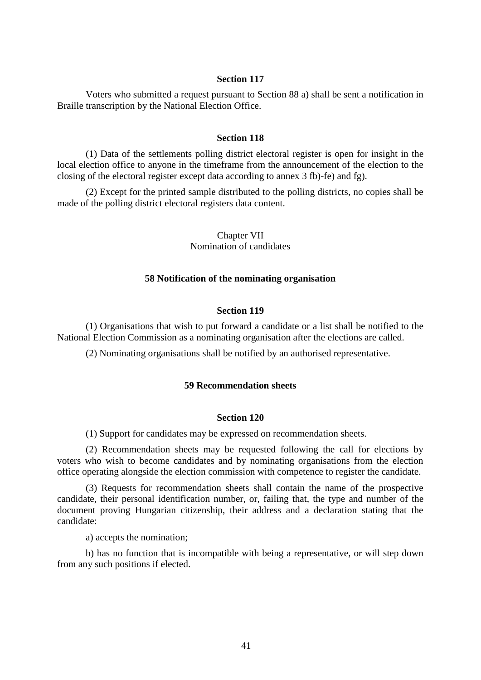Voters who submitted a request pursuant to Section 88 a) shall be sent a notification in Braille transcription by the National Election Office.

### **Section 118**

(1) Data of the settlements polling district electoral register is open for insight in the local election office to anyone in the timeframe from the announcement of the election to the closing of the electoral register except data according to annex 3 fb)-fe) and fg).

(2) Except for the printed sample distributed to the polling districts, no copies shall be made of the polling district electoral registers data content.

> Chapter VII Nomination of candidates

# **58 Notification of the nominating organisation**

### **Section 119**

(1) Organisations that wish to put forward a candidate or a list shall be notified to the National Election Commission as a nominating organisation after the elections are called.

(2) Nominating organisations shall be notified by an authorised representative.

# **59 Recommendation sheets**

#### **Section 120**

(1) Support for candidates may be expressed on recommendation sheets.

(2) Recommendation sheets may be requested following the call for elections by voters who wish to become candidates and by nominating organisations from the election office operating alongside the election commission with competence to register the candidate.

(3) Requests for recommendation sheets shall contain the name of the prospective candidate, their personal identification number, or, failing that, the type and number of the document proving Hungarian citizenship, their address and a declaration stating that the candidate:

a) accepts the nomination;

b) has no function that is incompatible with being a representative, or will step down from any such positions if elected.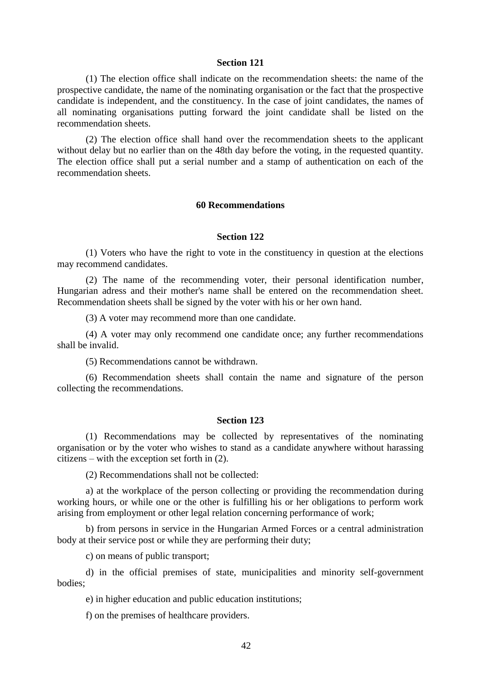(1) The election office shall indicate on the recommendation sheets: the name of the prospective candidate, the name of the nominating organisation or the fact that the prospective candidate is independent, and the constituency. In the case of joint candidates, the names of all nominating organisations putting forward the joint candidate shall be listed on the recommendation sheets.

(2) The election office shall hand over the recommendation sheets to the applicant without delay but no earlier than on the 48th day before the voting, in the requested quantity. The election office shall put a serial number and a stamp of authentication on each of the recommendation sheets.

#### **60 Recommendations**

# **Section 122**

(1) Voters who have the right to vote in the constituency in question at the elections may recommend candidates.

(2) The name of the recommending voter, their personal identification number, Hungarian adress and their mother's name shall be entered on the recommendation sheet. Recommendation sheets shall be signed by the voter with his or her own hand.

(3) A voter may recommend more than one candidate.

(4) A voter may only recommend one candidate once; any further recommendations shall be invalid.

(5) Recommendations cannot be withdrawn.

(6) Recommendation sheets shall contain the name and signature of the person collecting the recommendations.

# **Section 123**

(1) Recommendations may be collected by representatives of the nominating organisation or by the voter who wishes to stand as a candidate anywhere without harassing citizens – with the exception set forth in (2).

(2) Recommendations shall not be collected:

a) at the workplace of the person collecting or providing the recommendation during working hours, or while one or the other is fulfilling his or her obligations to perform work arising from employment or other legal relation concerning performance of work;

b) from persons in service in the Hungarian Armed Forces or a central administration body at their service post or while they are performing their duty;

c) on means of public transport;

d) in the official premises of state, municipalities and minority self-government bodies;

e) in higher education and public education institutions;

f) on the premises of healthcare providers.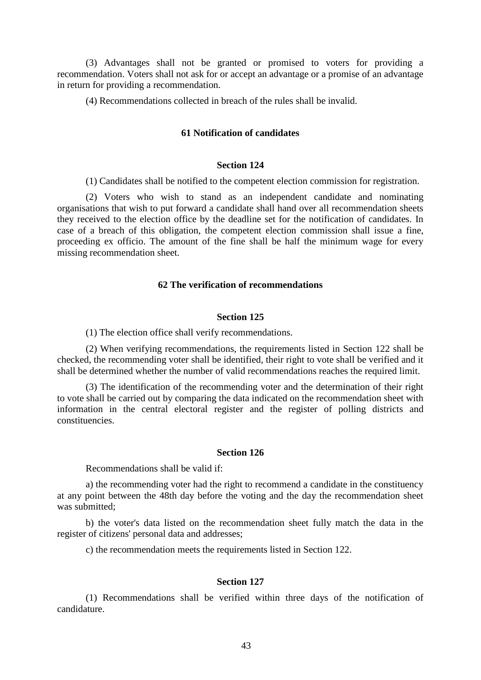(3) Advantages shall not be granted or promised to voters for providing a recommendation. Voters shall not ask for or accept an advantage or a promise of an advantage in return for providing a recommendation.

(4) Recommendations collected in breach of the rules shall be invalid.

# **61 Notification of candidates**

## **Section 124**

(1) Candidates shall be notified to the competent election commission for registration.

(2) Voters who wish to stand as an independent candidate and nominating organisations that wish to put forward a candidate shall hand over all recommendation sheets they received to the election office by the deadline set for the notification of candidates. In case of a breach of this obligation, the competent election commission shall issue a fine, proceeding ex officio. The amount of the fine shall be half the minimum wage for every missing recommendation sheet.

# **62 The verification of recommendations**

# **Section 125**

(1) The election office shall verify recommendations.

(2) When verifying recommendations, the requirements listed in Section 122 shall be checked, the recommending voter shall be identified, their right to vote shall be verified and it shall be determined whether the number of valid recommendations reaches the required limit.

(3) The identification of the recommending voter and the determination of their right to vote shall be carried out by comparing the data indicated on the recommendation sheet with information in the central electoral register and the register of polling districts and constituencies.

#### **Section 126**

Recommendations shall be valid if:

a) the recommending voter had the right to recommend a candidate in the constituency at any point between the 48th day before the voting and the day the recommendation sheet was submitted;

b) the voter's data listed on the recommendation sheet fully match the data in the register of citizens' personal data and addresses;

c) the recommendation meets the requirements listed in Section 122.

## **Section 127**

(1) Recommendations shall be verified within three days of the notification of candidature.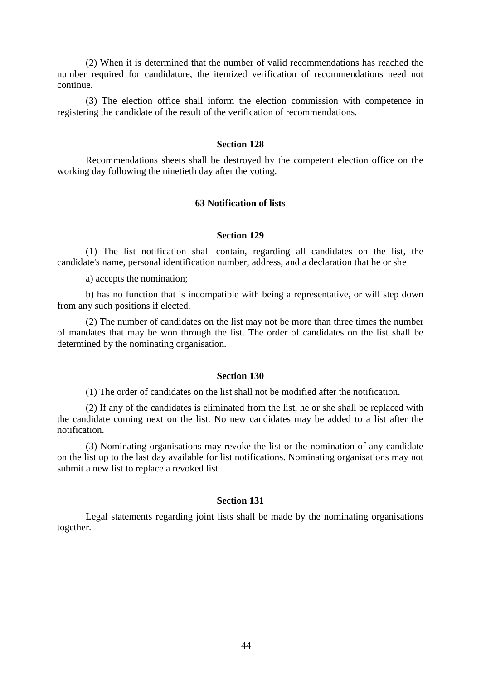(2) When it is determined that the number of valid recommendations has reached the number required for candidature, the itemized verification of recommendations need not continue.

(3) The election office shall inform the election commission with competence in registering the candidate of the result of the verification of recommendations.

## **Section 128**

Recommendations sheets shall be destroyed by the competent election office on the working day following the ninetieth day after the voting.

# **63 Notification of lists**

# **Section 129**

(1) The list notification shall contain, regarding all candidates on the list, the candidate's name, personal identification number, address, and a declaration that he or she

a) accepts the nomination;

b) has no function that is incompatible with being a representative, or will step down from any such positions if elected.

(2) The number of candidates on the list may not be more than three times the number of mandates that may be won through the list. The order of candidates on the list shall be determined by the nominating organisation.

#### **Section 130**

(1) The order of candidates on the list shall not be modified after the notification.

(2) If any of the candidates is eliminated from the list, he or she shall be replaced with the candidate coming next on the list. No new candidates may be added to a list after the notification.

(3) Nominating organisations may revoke the list or the nomination of any candidate on the list up to the last day available for list notifications. Nominating organisations may not submit a new list to replace a revoked list.

# **Section 131**

Legal statements regarding joint lists shall be made by the nominating organisations together.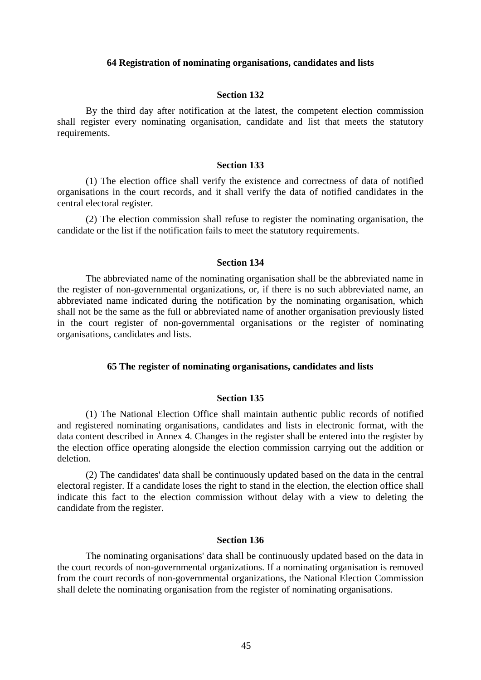### **64 Registration of nominating organisations, candidates and lists**

# **Section 132**

By the third day after notification at the latest, the competent election commission shall register every nominating organisation, candidate and list that meets the statutory requirements.

#### **Section 133**

(1) The election office shall verify the existence and correctness of data of notified organisations in the court records, and it shall verify the data of notified candidates in the central electoral register.

(2) The election commission shall refuse to register the nominating organisation, the candidate or the list if the notification fails to meet the statutory requirements.

#### **Section 134**

The abbreviated name of the nominating organisation shall be the abbreviated name in the register of non-governmental organizations, or, if there is no such abbreviated name, an abbreviated name indicated during the notification by the nominating organisation, which shall not be the same as the full or abbreviated name of another organisation previously listed in the court register of non-governmental organisations or the register of nominating organisations, candidates and lists.

# **65 The register of nominating organisations, candidates and lists**

### **Section 135**

(1) The National Election Office shall maintain authentic public records of notified and registered nominating organisations, candidates and lists in electronic format, with the data content described in Annex 4. Changes in the register shall be entered into the register by the election office operating alongside the election commission carrying out the addition or deletion.

(2) The candidates' data shall be continuously updated based on the data in the central electoral register. If a candidate loses the right to stand in the election, the election office shall indicate this fact to the election commission without delay with a view to deleting the candidate from the register.

### **Section 136**

The nominating organisations' data shall be continuously updated based on the data in the court records of non-governmental organizations. If a nominating organisation is removed from the court records of non-governmental organizations, the National Election Commission shall delete the nominating organisation from the register of nominating organisations.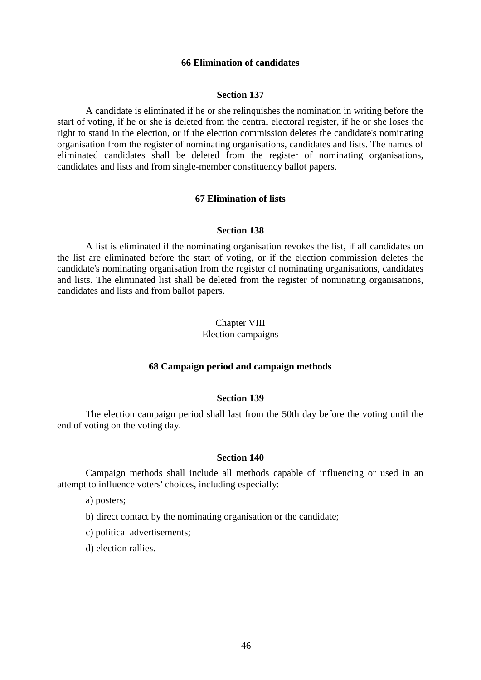# **66 Elimination of candidates**

#### **Section 137**

A candidate is eliminated if he or she relinquishes the nomination in writing before the start of voting, if he or she is deleted from the central electoral register, if he or she loses the right to stand in the election, or if the election commission deletes the candidate's nominating organisation from the register of nominating organisations, candidates and lists. The names of eliminated candidates shall be deleted from the register of nominating organisations, candidates and lists and from single-member constituency ballot papers.

# **67 Elimination of lists**

### **Section 138**

A list is eliminated if the nominating organisation revokes the list, if all candidates on the list are eliminated before the start of voting, or if the election commission deletes the candidate's nominating organisation from the register of nominating organisations, candidates and lists. The eliminated list shall be deleted from the register of nominating organisations, candidates and lists and from ballot papers.

# Chapter VIII Election campaigns

#### **68 Campaign period and campaign methods**

### **Section 139**

The election campaign period shall last from the 50th day before the voting until the end of voting on the voting day.

## **Section 140**

Campaign methods shall include all methods capable of influencing or used in an attempt to influence voters' choices, including especially:

a) posters;

b) direct contact by the nominating organisation or the candidate;

- c) political advertisements;
- d) election rallies.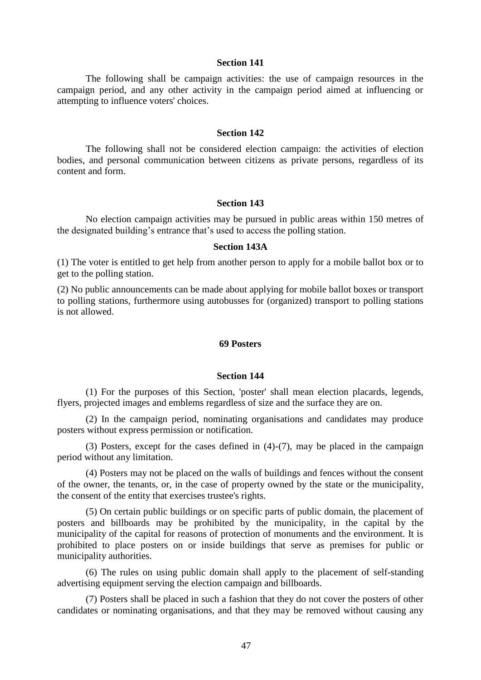The following shall be campaign activities: the use of campaign resources in the campaign period, and any other activity in the campaign period aimed at influencing or attempting to influence voters' choices.

# **Section 142**

The following shall not be considered election campaign: the activities of election bodies, and personal communication between citizens as private persons, regardless of its content and form.

## **Section 143**

No election campaign activities may be pursued in public areas within 150 metres of the designated building's entrance that's used to access the polling station.

### **Section 143A**

(1) The voter is entitled to get help from another person to apply for a mobile ballot box or to get to the polling station.

(2) No public announcements can be made about applying for mobile ballot boxes or transport to polling stations, furthermore using autobusses for (organized) transport to polling stations is not allowed.

# **69 Posters**

### **Section 144**

(1) For the purposes of this Section, 'poster' shall mean election placards, legends, flyers, projected images and emblems regardless of size and the surface they are on.

(2) In the campaign period, nominating organisations and candidates may produce posters without express permission or notification.

(3) Posters, except for the cases defined in (4)-(7), may be placed in the campaign period without any limitation.

(4) Posters may not be placed on the walls of buildings and fences without the consent of the owner, the tenants, or, in the case of property owned by the state or the municipality, the consent of the entity that exercises trustee's rights.

(5) On certain public buildings or on specific parts of public domain, the placement of posters and billboards may be prohibited by the municipality, in the capital by the municipality of the capital for reasons of protection of monuments and the environment. It is prohibited to place posters on or inside buildings that serve as premises for public or municipality authorities.

(6) The rules on using public domain shall apply to the placement of self-standing advertising equipment serving the election campaign and billboards.

(7) Posters shall be placed in such a fashion that they do not cover the posters of other candidates or nominating organisations, and that they may be removed without causing any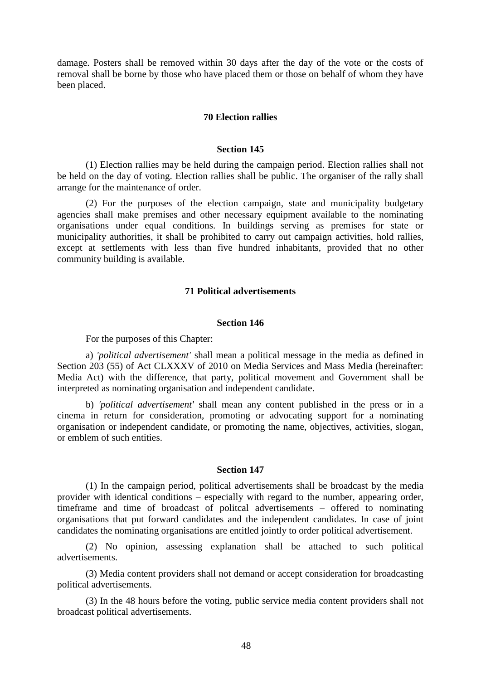damage. Posters shall be removed within 30 days after the day of the vote or the costs of removal shall be borne by those who have placed them or those on behalf of whom they have been placed.

#### **70 Election rallies**

#### **Section 145**

(1) Election rallies may be held during the campaign period. Election rallies shall not be held on the day of voting. Election rallies shall be public. The organiser of the rally shall arrange for the maintenance of order.

(2) For the purposes of the election campaign, state and municipality budgetary agencies shall make premises and other necessary equipment available to the nominating organisations under equal conditions. In buildings serving as premises for state or municipality authorities, it shall be prohibited to carry out campaign activities, hold rallies, except at settlements with less than five hundred inhabitants, provided that no other community building is available.

# **71 Political advertisements**

# **Section 146**

For the purposes of this Chapter:

a) *'political advertisement'* shall mean a political message in the media as defined in Section 203 (55) of Act CLXXXV of 2010 on Media Services and Mass Media (hereinafter: Media Act) with the difference, that party, political movement and Government shall be interpreted as nominating organisation and independent candidate.

b) *'political advertisement'* shall mean any content published in the press or in a cinema in return for consideration, promoting or advocating support for a nominating organisation or independent candidate, or promoting the name, objectives, activities, slogan, or emblem of such entities.

#### **Section 147**

(1) In the campaign period, political advertisements shall be broadcast by the media provider with identical conditions – especially with regard to the number, appearing order, timeframe and time of broadcast of politcal advertisements – offered to nominating organisations that put forward candidates and the independent candidates. In case of joint candidates the nominating organisations are entitled jointly to order political advertisement.

(2) No opinion, assessing explanation shall be attached to such political advertisements.

(3) Media content providers shall not demand or accept consideration for broadcasting political advertisements.

(3) In the 48 hours before the voting, public service media content providers shall not broadcast political advertisements.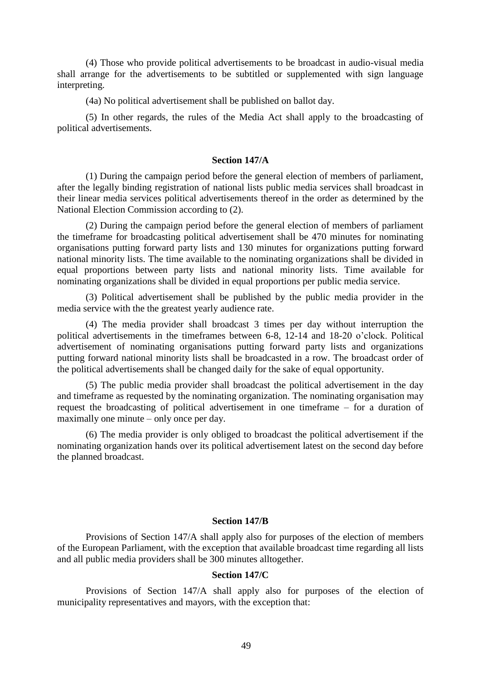(4) Those who provide political advertisements to be broadcast in audio-visual media shall arrange for the advertisements to be subtitled or supplemented with sign language interpreting.

(4a) No political advertisement shall be published on ballot day.

(5) In other regards, the rules of the Media Act shall apply to the broadcasting of political advertisements.

## **Section 147/A**

(1) During the campaign period before the general election of members of parliament, after the legally binding registration of national lists public media services shall broadcast in their linear media services political advertisements thereof in the order as determined by the National Election Commission according to (2).

(2) During the campaign period before the general election of members of parliament the timeframe for broadcasting political advertisement shall be 470 minutes for nominating organisations putting forward party lists and 130 minutes for organizations putting forward national minority lists. The time available to the nominating organizations shall be divided in equal proportions between party lists and national minority lists. Time available for nominating organizations shall be divided in equal proportions per public media service.

(3) Political advertisement shall be published by the public media provider in the media service with the the greatest yearly audience rate.

(4) The media provider shall broadcast 3 times per day without interruption the political advertisements in the timeframes between 6-8, 12-14 and 18-20 o'clock. Political advertisement of nominating organisations putting forward party lists and organizations putting forward national minority lists shall be broadcasted in a row. The broadcast order of the political advertisements shall be changed daily for the sake of equal opportunity.

(5) The public media provider shall broadcast the political advertisement in the day and timeframe as requested by the nominating organization. The nominating organisation may request the broadcasting of political advertisement in one timeframe – for a duration of maximally one minute – only once per day.

(6) The media provider is only obliged to broadcast the political advertisement if the nominating organization hands over its political advertisement latest on the second day before the planned broadcast.

# **Section 147/B**

Provisions of Section 147/A shall apply also for purposes of the election of members of the European Parliament, with the exception that available broadcast time regarding all lists and all public media providers shall be 300 minutes alltogether.

### **Section 147/C**

Provisions of Section 147/A shall apply also for purposes of the election of municipality representatives and mayors, with the exception that: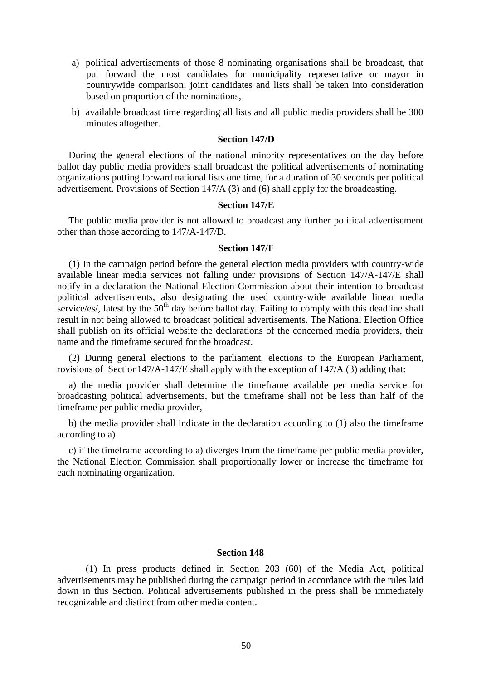- a) political advertisements of those 8 nominating organisations shall be broadcast, that put forward the most candidates for municipality representative or mayor in countrywide comparison; joint candidates and lists shall be taken into consideration based on proportion of the nominations,
- b) available broadcast time regarding all lists and all public media providers shall be 300 minutes altogether.

# **Section 147/D**

During the general elections of the national minority representatives on the day before ballot day public media providers shall broadcast the political advertisements of nominating organizations putting forward national lists one time, for a duration of 30 seconds per political advertisement. Provisions of Section 147/A (3) and (6) shall apply for the broadcasting.

#### **Section 147/E**

The public media provider is not allowed to broadcast any further political advertisement other than those according to 147/A-147/D.

### **Section 147/F**

(1) In the campaign period before the general election media providers with country-wide available linear media services not falling under provisions of Section 147/A-147/E shall notify in a declaration the National Election Commission about their intention to broadcast political advertisements, also designating the used country-wide available linear media service/es/, latest by the  $50<sup>th</sup>$  day before ballot day. Failing to comply with this deadline shall result in not being allowed to broadcast political advertisements. The National Election Office shall publish on its official website the declarations of the concerned media providers, their name and the timeframe secured for the broadcast.

(2) During general elections to the parliament, elections to the European Parliament, rovisions of Section147/A-147/E shall apply with the exception of 147/A (3) adding that:

a) the media provider shall determine the timeframe available per media service for broadcasting political advertisements, but the timeframe shall not be less than half of the timeframe per public media provider,

b) the media provider shall indicate in the declaration according to (1) also the timeframe according to a)

c) if the timeframe according to a) diverges from the timeframe per public media provider, the National Election Commission shall proportionally lower or increase the timeframe for each nominating organization.

# **Section 148**

(1) In press products defined in Section 203 (60) of the Media Act, political advertisements may be published during the campaign period in accordance with the rules laid down in this Section. Political advertisements published in the press shall be immediately recognizable and distinct from other media content.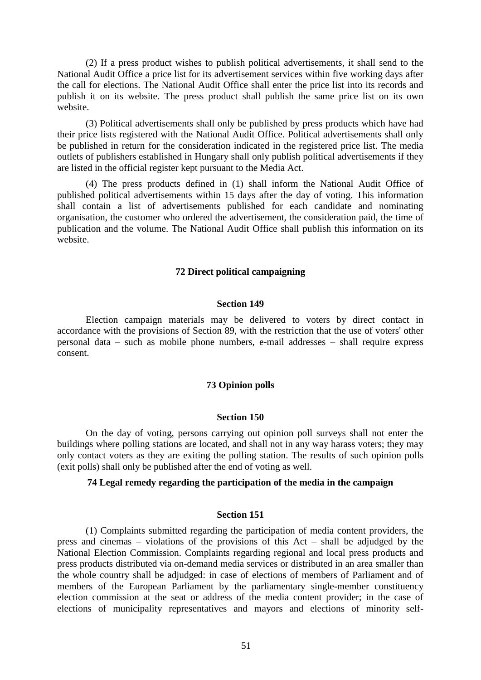(2) If a press product wishes to publish political advertisements, it shall send to the National Audit Office a price list for its advertisement services within five working days after the call for elections. The National Audit Office shall enter the price list into its records and publish it on its website. The press product shall publish the same price list on its own website.

(3) Political advertisements shall only be published by press products which have had their price lists registered with the National Audit Office. Political advertisements shall only be published in return for the consideration indicated in the registered price list. The media outlets of publishers established in Hungary shall only publish political advertisements if they are listed in the official register kept pursuant to the Media Act.

(4) The press products defined in (1) shall inform the National Audit Office of published political advertisements within 15 days after the day of voting. This information shall contain a list of advertisements published for each candidate and nominating organisation, the customer who ordered the advertisement, the consideration paid, the time of publication and the volume. The National Audit Office shall publish this information on its website.

## **72 Direct political campaigning**

### **Section 149**

Election campaign materials may be delivered to voters by direct contact in accordance with the provisions of Section 89, with the restriction that the use of voters' other personal data – such as mobile phone numbers, e-mail addresses – shall require express consent.

# **73 Opinion polls**

#### **Section 150**

On the day of voting, persons carrying out opinion poll surveys shall not enter the buildings where polling stations are located, and shall not in any way harass voters; they may only contact voters as they are exiting the polling station. The results of such opinion polls (exit polls) shall only be published after the end of voting as well.

# **74 Legal remedy regarding the participation of the media in the campaign**

#### **Section 151**

(1) Complaints submitted regarding the participation of media content providers, the press and cinemas – violations of the provisions of this Act – shall be adjudged by the National Election Commission. Complaints regarding regional and local press products and press products distributed via on-demand media services or distributed in an area smaller than the whole country shall be adjudged: in case of elections of members of Parliament and of members of the European Parliament by the parliamentary single-member constituency election commission at the seat or address of the media content provider; in the case of elections of municipality representatives and mayors and elections of minority self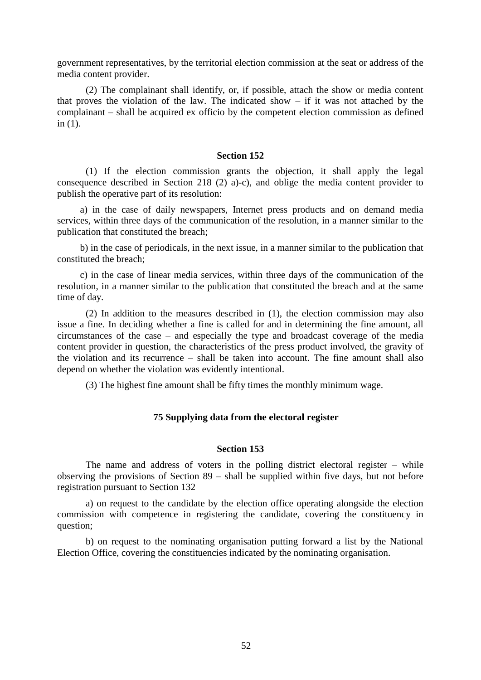government representatives, by the territorial election commission at the seat or address of the media content provider.

(2) The complainant shall identify, or, if possible, attach the show or media content that proves the violation of the law. The indicated show  $-$  if it was not attached by the complainant – shall be acquired ex officio by the competent election commission as defined in  $(1)$ .

# **Section 152**

(1) If the election commission grants the objection, it shall apply the legal consequence described in Section 218 (2) a)-c), and oblige the media content provider to publish the operative part of its resolution:

a) in the case of daily newspapers, Internet press products and on demand media services, within three days of the communication of the resolution, in a manner similar to the publication that constituted the breach;

b) in the case of periodicals, in the next issue, in a manner similar to the publication that constituted the breach;

c) in the case of linear media services, within three days of the communication of the resolution, in a manner similar to the publication that constituted the breach and at the same time of day.

(2) In addition to the measures described in (1), the election commission may also issue a fine. In deciding whether a fine is called for and in determining the fine amount, all circumstances of the case – and especially the type and broadcast coverage of the media content provider in question, the characteristics of the press product involved, the gravity of the violation and its recurrence – shall be taken into account. The fine amount shall also depend on whether the violation was evidently intentional.

(3) The highest fine amount shall be fifty times the monthly minimum wage.

# **75 Supplying data from the electoral register**

# **Section 153**

The name and address of voters in the polling district electoral register – while observing the provisions of Section 89 – shall be supplied within five days, but not before registration pursuant to Section 132

a) on request to the candidate by the election office operating alongside the election commission with competence in registering the candidate, covering the constituency in question;

b) on request to the nominating organisation putting forward a list by the National Election Office, covering the constituencies indicated by the nominating organisation.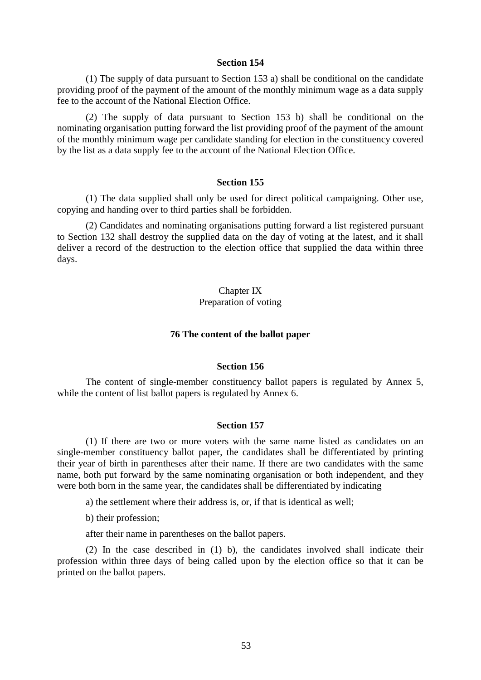(1) The supply of data pursuant to Section 153 a) shall be conditional on the candidate providing proof of the payment of the amount of the monthly minimum wage as a data supply fee to the account of the National Election Office.

(2) The supply of data pursuant to Section 153 b) shall be conditional on the nominating organisation putting forward the list providing proof of the payment of the amount of the monthly minimum wage per candidate standing for election in the constituency covered by the list as a data supply fee to the account of the National Election Office.

# **Section 155**

(1) The data supplied shall only be used for direct political campaigning. Other use, copying and handing over to third parties shall be forbidden.

(2) Candidates and nominating organisations putting forward a list registered pursuant to Section 132 shall destroy the supplied data on the day of voting at the latest, and it shall deliver a record of the destruction to the election office that supplied the data within three days.

# Chapter IX Preparation of voting

# **76 The content of the ballot paper**

# **Section 156**

The content of single-member constituency ballot papers is regulated by Annex 5, while the content of list ballot papers is regulated by Annex 6.

# **Section 157**

(1) If there are two or more voters with the same name listed as candidates on an single-member constituency ballot paper, the candidates shall be differentiated by printing their year of birth in parentheses after their name. If there are two candidates with the same name, both put forward by the same nominating organisation or both independent, and they were both born in the same year, the candidates shall be differentiated by indicating

a) the settlement where their address is, or, if that is identical as well;

b) their profession;

after their name in parentheses on the ballot papers.

(2) In the case described in (1) b), the candidates involved shall indicate their profession within three days of being called upon by the election office so that it can be printed on the ballot papers.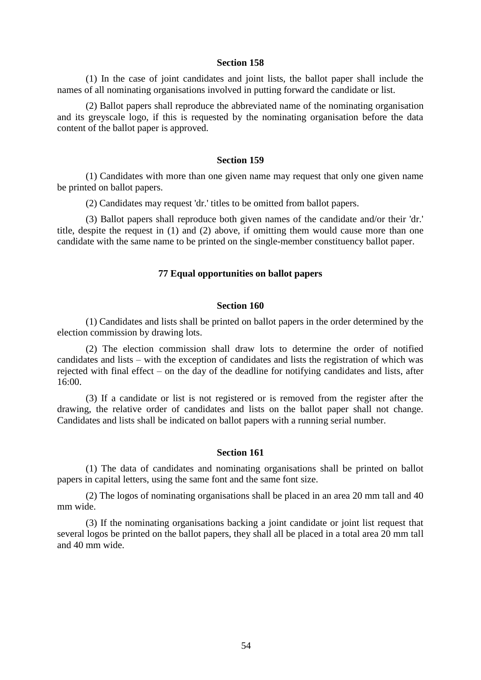(1) In the case of joint candidates and joint lists, the ballot paper shall include the names of all nominating organisations involved in putting forward the candidate or list.

(2) Ballot papers shall reproduce the abbreviated name of the nominating organisation and its greyscale logo, if this is requested by the nominating organisation before the data content of the ballot paper is approved.

### **Section 159**

(1) Candidates with more than one given name may request that only one given name be printed on ballot papers.

(2) Candidates may request 'dr.' titles to be omitted from ballot papers.

(3) Ballot papers shall reproduce both given names of the candidate and/or their 'dr.' title, despite the request in (1) and (2) above, if omitting them would cause more than one candidate with the same name to be printed on the single-member constituency ballot paper.

# **77 Equal opportunities on ballot papers**

# **Section 160**

(1) Candidates and lists shall be printed on ballot papers in the order determined by the election commission by drawing lots.

(2) The election commission shall draw lots to determine the order of notified candidates and lists – with the exception of candidates and lists the registration of which was rejected with final effect – on the day of the deadline for notifying candidates and lists, after 16:00.

(3) If a candidate or list is not registered or is removed from the register after the drawing, the relative order of candidates and lists on the ballot paper shall not change. Candidates and lists shall be indicated on ballot papers with a running serial number.

#### **Section 161**

(1) The data of candidates and nominating organisations shall be printed on ballot papers in capital letters, using the same font and the same font size.

(2) The logos of nominating organisations shall be placed in an area 20 mm tall and 40 mm wide.

(3) If the nominating organisations backing a joint candidate or joint list request that several logos be printed on the ballot papers, they shall all be placed in a total area 20 mm tall and 40 mm wide.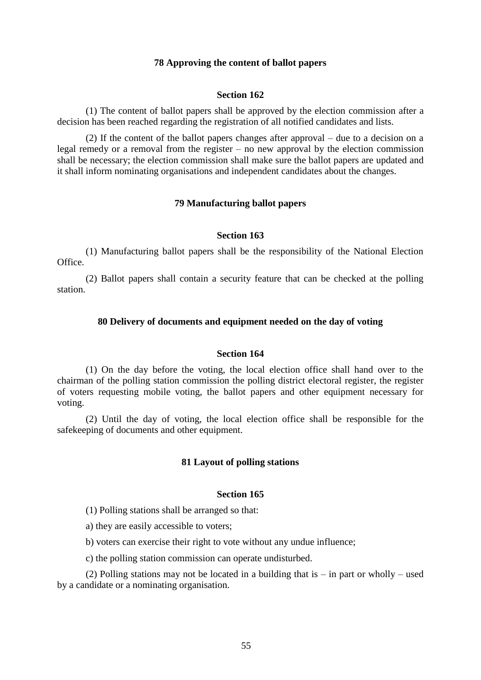# **78 Approving the content of ballot papers**

# **Section 162**

(1) The content of ballot papers shall be approved by the election commission after a decision has been reached regarding the registration of all notified candidates and lists.

(2) If the content of the ballot papers changes after approval – due to a decision on a legal remedy or a removal from the register – no new approval by the election commission shall be necessary; the election commission shall make sure the ballot papers are updated and it shall inform nominating organisations and independent candidates about the changes.

#### **79 Manufacturing ballot papers**

# **Section 163**

(1) Manufacturing ballot papers shall be the responsibility of the National Election Office.

(2) Ballot papers shall contain a security feature that can be checked at the polling station.

# **80 Delivery of documents and equipment needed on the day of voting**

# **Section 164**

(1) On the day before the voting, the local election office shall hand over to the chairman of the polling station commission the polling district electoral register, the register of voters requesting mobile voting, the ballot papers and other equipment necessary for voting.

(2) Until the day of voting, the local election office shall be responsible for the safekeeping of documents and other equipment.

# **81 Layout of polling stations**

### **Section 165**

(1) Polling stations shall be arranged so that:

a) they are easily accessible to voters;

b) voters can exercise their right to vote without any undue influence;

c) the polling station commission can operate undisturbed.

(2) Polling stations may not be located in a building that is  $-$  in part or wholly  $-$  used by a candidate or a nominating organisation.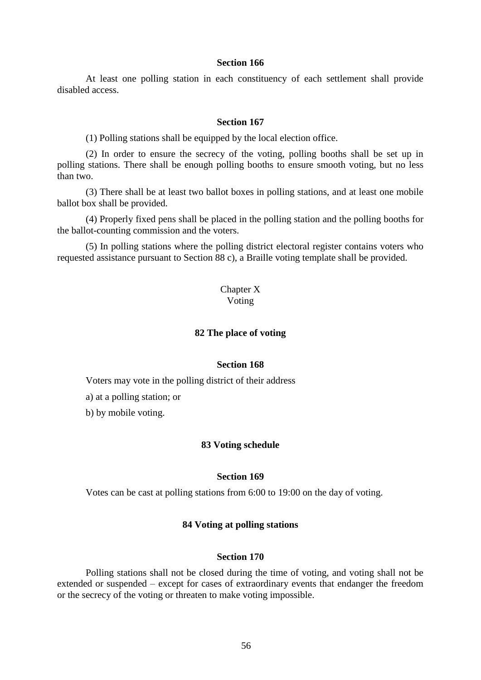At least one polling station in each constituency of each settlement shall provide disabled access.

#### **Section 167**

(1) Polling stations shall be equipped by the local election office.

(2) In order to ensure the secrecy of the voting, polling booths shall be set up in polling stations. There shall be enough polling booths to ensure smooth voting, but no less than two.

(3) There shall be at least two ballot boxes in polling stations, and at least one mobile ballot box shall be provided.

(4) Properly fixed pens shall be placed in the polling station and the polling booths for the ballot-counting commission and the voters.

(5) In polling stations where the polling district electoral register contains voters who requested assistance pursuant to Section 88 c), a Braille voting template shall be provided.

# Chapter X Voting

# **82 The place of voting**

# **Section 168**

Voters may vote in the polling district of their address

a) at a polling station; or

b) by mobile voting.

### **83 Voting schedule**

# **Section 169**

Votes can be cast at polling stations from 6:00 to 19:00 on the day of voting.

### **84 Voting at polling stations**

## **Section 170**

Polling stations shall not be closed during the time of voting, and voting shall not be extended or suspended – except for cases of extraordinary events that endanger the freedom or the secrecy of the voting or threaten to make voting impossible.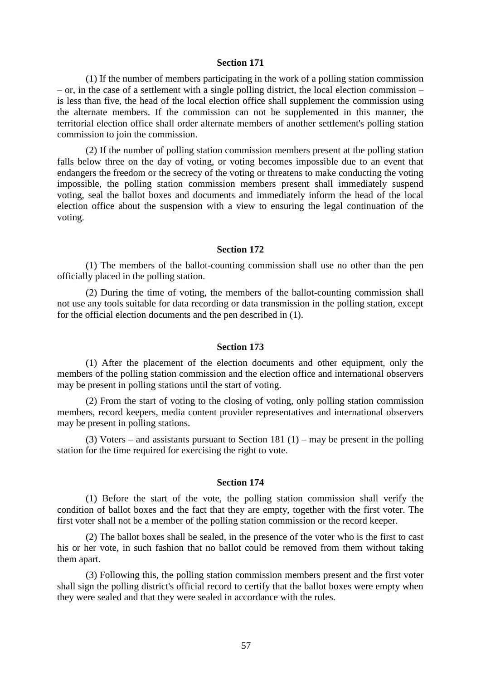(1) If the number of members participating in the work of a polling station commission – or, in the case of a settlement with a single polling district, the local election commission – is less than five, the head of the local election office shall supplement the commission using the alternate members. If the commission can not be supplemented in this manner, the territorial election office shall order alternate members of another settlement's polling station commission to join the commission.

(2) If the number of polling station commission members present at the polling station falls below three on the day of voting, or voting becomes impossible due to an event that endangers the freedom or the secrecy of the voting or threatens to make conducting the voting impossible, the polling station commission members present shall immediately suspend voting, seal the ballot boxes and documents and immediately inform the head of the local election office about the suspension with a view to ensuring the legal continuation of the voting.

#### **Section 172**

(1) The members of the ballot-counting commission shall use no other than the pen officially placed in the polling station.

(2) During the time of voting, the members of the ballot-counting commission shall not use any tools suitable for data recording or data transmission in the polling station, except for the official election documents and the pen described in (1).

#### **Section 173**

(1) After the placement of the election documents and other equipment, only the members of the polling station commission and the election office and international observers may be present in polling stations until the start of voting.

(2) From the start of voting to the closing of voting, only polling station commission members, record keepers, media content provider representatives and international observers may be present in polling stations.

(3) Voters – and assistants pursuant to Section 181 (1) – may be present in the polling station for the time required for exercising the right to vote.

# **Section 174**

(1) Before the start of the vote, the polling station commission shall verify the condition of ballot boxes and the fact that they are empty, together with the first voter. The first voter shall not be a member of the polling station commission or the record keeper.

(2) The ballot boxes shall be sealed, in the presence of the voter who is the first to cast his or her vote, in such fashion that no ballot could be removed from them without taking them apart.

(3) Following this, the polling station commission members present and the first voter shall sign the polling district's official record to certify that the ballot boxes were empty when they were sealed and that they were sealed in accordance with the rules.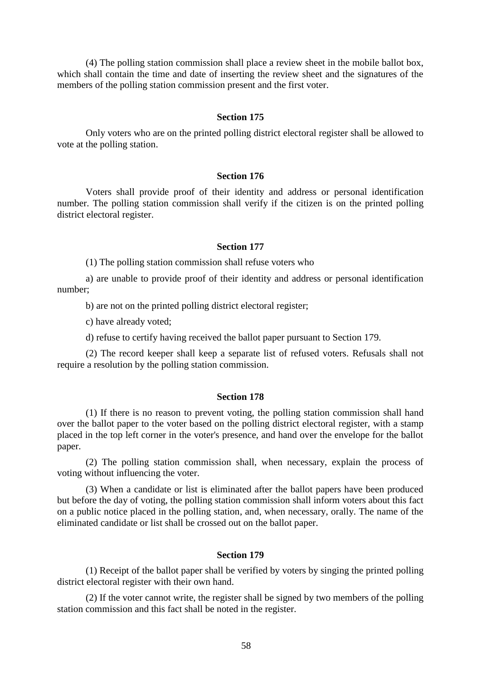(4) The polling station commission shall place a review sheet in the mobile ballot box, which shall contain the time and date of inserting the review sheet and the signatures of the members of the polling station commission present and the first voter.

#### **Section 175**

Only voters who are on the printed polling district electoral register shall be allowed to vote at the polling station.

### **Section 176**

Voters shall provide proof of their identity and address or personal identification number. The polling station commission shall verify if the citizen is on the printed polling district electoral register.

### **Section 177**

(1) The polling station commission shall refuse voters who

a) are unable to provide proof of their identity and address or personal identification number;

b) are not on the printed polling district electoral register;

c) have already voted;

d) refuse to certify having received the ballot paper pursuant to Section 179.

(2) The record keeper shall keep a separate list of refused voters. Refusals shall not require a resolution by the polling station commission.

#### **Section 178**

(1) If there is no reason to prevent voting, the polling station commission shall hand over the ballot paper to the voter based on the polling district electoral register, with a stamp placed in the top left corner in the voter's presence, and hand over the envelope for the ballot paper.

(2) The polling station commission shall, when necessary, explain the process of voting without influencing the voter.

(3) When a candidate or list is eliminated after the ballot papers have been produced but before the day of voting, the polling station commission shall inform voters about this fact on a public notice placed in the polling station, and, when necessary, orally. The name of the eliminated candidate or list shall be crossed out on the ballot paper.

# **Section 179**

(1) Receipt of the ballot paper shall be verified by voters by singing the printed polling district electoral register with their own hand.

(2) If the voter cannot write, the register shall be signed by two members of the polling station commission and this fact shall be noted in the register.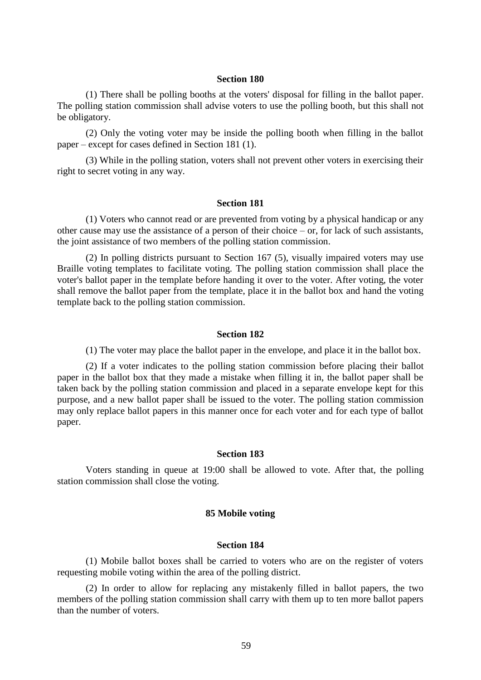(1) There shall be polling booths at the voters' disposal for filling in the ballot paper. The polling station commission shall advise voters to use the polling booth, but this shall not be obligatory.

(2) Only the voting voter may be inside the polling booth when filling in the ballot paper – except for cases defined in Section 181 (1).

(3) While in the polling station, voters shall not prevent other voters in exercising their right to secret voting in any way.

### **Section 181**

(1) Voters who cannot read or are prevented from voting by a physical handicap or any other cause may use the assistance of a person of their choice – or, for lack of such assistants, the joint assistance of two members of the polling station commission.

(2) In polling districts pursuant to Section 167 (5), visually impaired voters may use Braille voting templates to facilitate voting. The polling station commission shall place the voter's ballot paper in the template before handing it over to the voter. After voting, the voter shall remove the ballot paper from the template, place it in the ballot box and hand the voting template back to the polling station commission.

# **Section 182**

(1) The voter may place the ballot paper in the envelope, and place it in the ballot box.

(2) If a voter indicates to the polling station commission before placing their ballot paper in the ballot box that they made a mistake when filling it in, the ballot paper shall be taken back by the polling station commission and placed in a separate envelope kept for this purpose, and a new ballot paper shall be issued to the voter. The polling station commission may only replace ballot papers in this manner once for each voter and for each type of ballot paper.

### **Section 183**

Voters standing in queue at 19:00 shall be allowed to vote. After that, the polling station commission shall close the voting.

### **85 Mobile voting**

### **Section 184**

(1) Mobile ballot boxes shall be carried to voters who are on the register of voters requesting mobile voting within the area of the polling district.

(2) In order to allow for replacing any mistakenly filled in ballot papers, the two members of the polling station commission shall carry with them up to ten more ballot papers than the number of voters.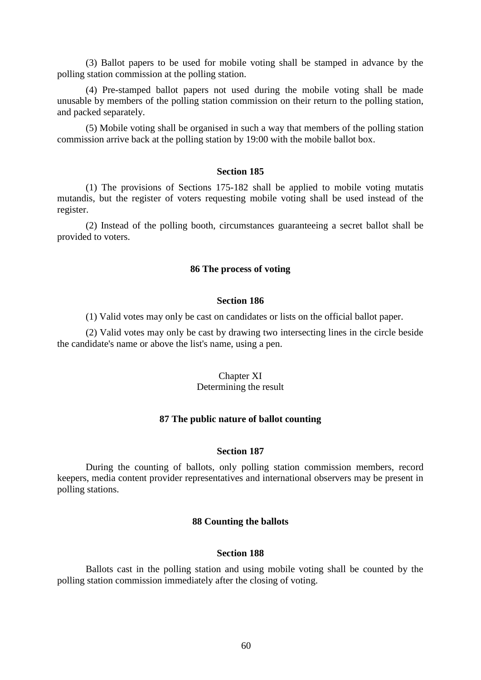(3) Ballot papers to be used for mobile voting shall be stamped in advance by the polling station commission at the polling station.

(4) Pre-stamped ballot papers not used during the mobile voting shall be made unusable by members of the polling station commission on their return to the polling station, and packed separately.

(5) Mobile voting shall be organised in such a way that members of the polling station commission arrive back at the polling station by 19:00 with the mobile ballot box.

### **Section 185**

(1) The provisions of Sections 175-182 shall be applied to mobile voting mutatis mutandis, but the register of voters requesting mobile voting shall be used instead of the register.

(2) Instead of the polling booth, circumstances guaranteeing a secret ballot shall be provided to voters.

### **86 The process of voting**

# **Section 186**

(1) Valid votes may only be cast on candidates or lists on the official ballot paper.

(2) Valid votes may only be cast by drawing two intersecting lines in the circle beside the candidate's name or above the list's name, using a pen.

### Chapter XI Determining the result

### **87 The public nature of ballot counting**

#### **Section 187**

During the counting of ballots, only polling station commission members, record keepers, media content provider representatives and international observers may be present in polling stations.

# **88 Counting the ballots**

# **Section 188**

Ballots cast in the polling station and using mobile voting shall be counted by the polling station commission immediately after the closing of voting.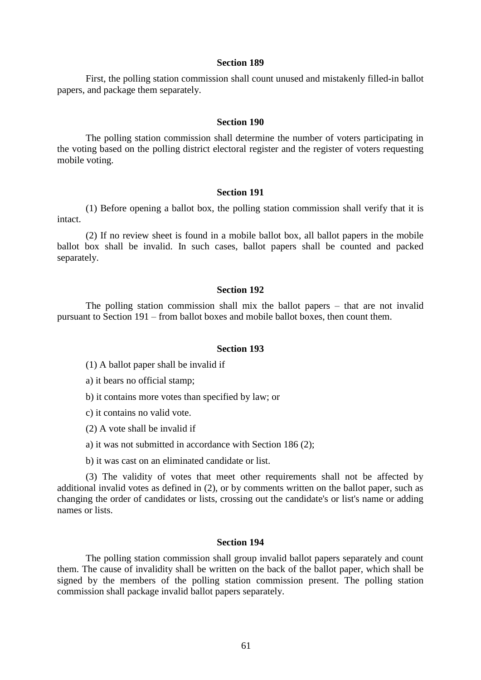First, the polling station commission shall count unused and mistakenly filled-in ballot papers, and package them separately.

#### **Section 190**

The polling station commission shall determine the number of voters participating in the voting based on the polling district electoral register and the register of voters requesting mobile voting.

# **Section 191**

(1) Before opening a ballot box, the polling station commission shall verify that it is intact.

(2) If no review sheet is found in a mobile ballot box, all ballot papers in the mobile ballot box shall be invalid. In such cases, ballot papers shall be counted and packed separately.

#### **Section 192**

The polling station commission shall mix the ballot papers – that are not invalid pursuant to Section 191 – from ballot boxes and mobile ballot boxes, then count them.

### **Section 193**

(1) A ballot paper shall be invalid if

a) it bears no official stamp;

b) it contains more votes than specified by law; or

c) it contains no valid vote.

(2) A vote shall be invalid if

a) it was not submitted in accordance with Section 186 (2);

b) it was cast on an eliminated candidate or list.

(3) The validity of votes that meet other requirements shall not be affected by additional invalid votes as defined in (2), or by comments written on the ballot paper, such as changing the order of candidates or lists, crossing out the candidate's or list's name or adding names or lists.

#### **Section 194**

The polling station commission shall group invalid ballot papers separately and count them. The cause of invalidity shall be written on the back of the ballot paper, which shall be signed by the members of the polling station commission present. The polling station commission shall package invalid ballot papers separately.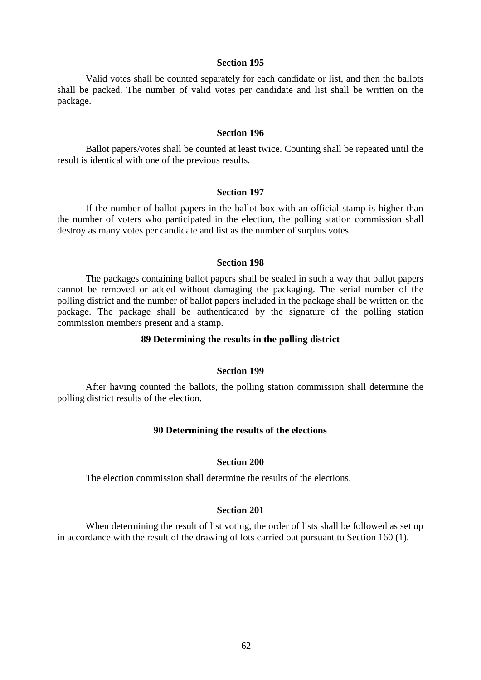Valid votes shall be counted separately for each candidate or list, and then the ballots shall be packed. The number of valid votes per candidate and list shall be written on the package.

# **Section 196**

Ballot papers/votes shall be counted at least twice. Counting shall be repeated until the result is identical with one of the previous results.

# **Section 197**

If the number of ballot papers in the ballot box with an official stamp is higher than the number of voters who participated in the election, the polling station commission shall destroy as many votes per candidate and list as the number of surplus votes.

#### **Section 198**

The packages containing ballot papers shall be sealed in such a way that ballot papers cannot be removed or added without damaging the packaging. The serial number of the polling district and the number of ballot papers included in the package shall be written on the package. The package shall be authenticated by the signature of the polling station commission members present and a stamp.

### **89 Determining the results in the polling district**

### **Section 199**

After having counted the ballots, the polling station commission shall determine the polling district results of the election.

### **90 Determining the results of the elections**

#### **Section 200**

The election commission shall determine the results of the elections.

# **Section 201**

When determining the result of list voting, the order of lists shall be followed as set up in accordance with the result of the drawing of lots carried out pursuant to Section 160 (1).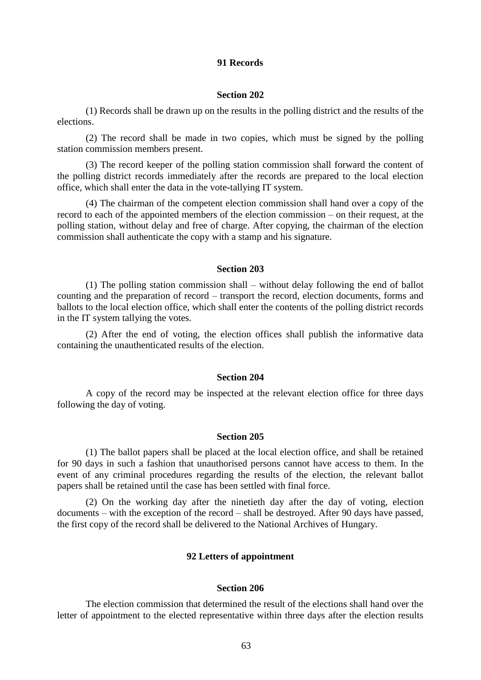# **91 Records**

# **Section 202**

(1) Records shall be drawn up on the results in the polling district and the results of the elections.

(2) The record shall be made in two copies, which must be signed by the polling station commission members present.

(3) The record keeper of the polling station commission shall forward the content of the polling district records immediately after the records are prepared to the local election office, which shall enter the data in the vote-tallying IT system.

(4) The chairman of the competent election commission shall hand over a copy of the record to each of the appointed members of the election commission – on their request, at the polling station, without delay and free of charge. After copying, the chairman of the election commission shall authenticate the copy with a stamp and his signature.

#### **Section 203**

(1) The polling station commission shall – without delay following the end of ballot counting and the preparation of record – transport the record, election documents, forms and ballots to the local election office, which shall enter the contents of the polling district records in the IT system tallying the votes.

(2) After the end of voting, the election offices shall publish the informative data containing the unauthenticated results of the election.

### **Section 204**

A copy of the record may be inspected at the relevant election office for three days following the day of voting.

### **Section 205**

(1) The ballot papers shall be placed at the local election office, and shall be retained for 90 days in such a fashion that unauthorised persons cannot have access to them. In the event of any criminal procedures regarding the results of the election, the relevant ballot papers shall be retained until the case has been settled with final force.

(2) On the working day after the ninetieth day after the day of voting, election documents – with the exception of the record – shall be destroyed. After 90 days have passed, the first copy of the record shall be delivered to the National Archives of Hungary.

# **92 Letters of appointment**

# **Section 206**

The election commission that determined the result of the elections shall hand over the letter of appointment to the elected representative within three days after the election results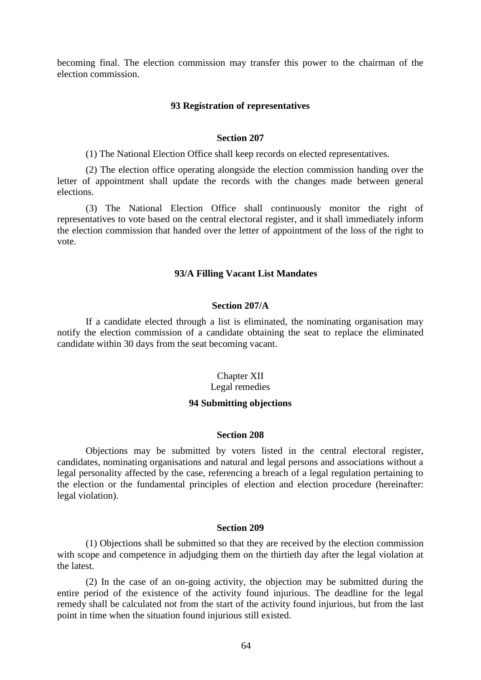becoming final. The election commission may transfer this power to the chairman of the election commission.

#### **93 Registration of representatives**

# **Section 207**

(1) The National Election Office shall keep records on elected representatives.

(2) The election office operating alongside the election commission handing over the letter of appointment shall update the records with the changes made between general elections.

(3) The National Election Office shall continuously monitor the right of representatives to vote based on the central electoral register, and it shall immediately inform the election commission that handed over the letter of appointment of the loss of the right to vote.

### **93/A Filling Vacant List Mandates**

## **Section 207/A**

If a candidate elected through a list is eliminated, the nominating organisation may notify the election commission of a candidate obtaining the seat to replace the eliminated candidate within 30 days from the seat becoming vacant.

# Chapter XII Legal remedies

# **94 Submitting objections**

#### **Section 208**

Objections may be submitted by voters listed in the central electoral register, candidates, nominating organisations and natural and legal persons and associations without a legal personality affected by the case, referencing a breach of a legal regulation pertaining to the election or the fundamental principles of election and election procedure (hereinafter: legal violation).

### **Section 209**

(1) Objections shall be submitted so that they are received by the election commission with scope and competence in adjudging them on the thirtieth day after the legal violation at the latest.

(2) In the case of an on-going activity, the objection may be submitted during the entire period of the existence of the activity found injurious. The deadline for the legal remedy shall be calculated not from the start of the activity found injurious, but from the last point in time when the situation found injurious still existed.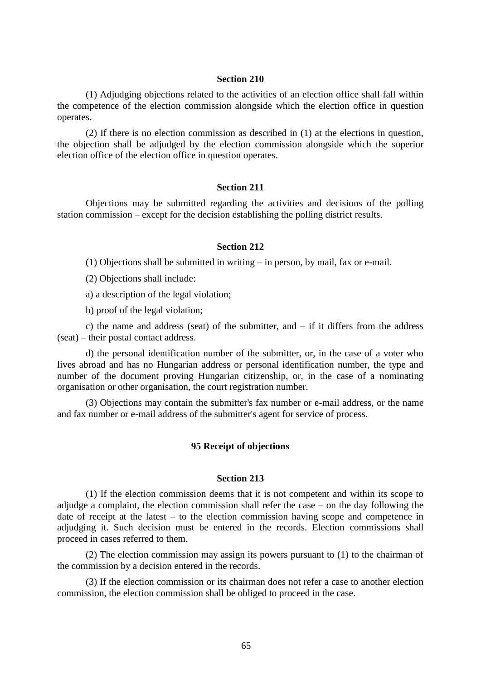(1) Adjudging objections related to the activities of an election office shall fall within the competence of the election commission alongside which the election office in question operates.

(2) If there is no election commission as described in (1) at the elections in question, the objection shall be adjudged by the election commission alongside which the superior election office of the election office in question operates.

### **Section 211**

Objections may be submitted regarding the activities and decisions of the polling station commission – except for the decision establishing the polling district results.

### **Section 212**

(1) Objections shall be submitted in writing – in person, by mail, fax or e-mail.

(2) Objections shall include:

a) a description of the legal violation;

b) proof of the legal violation;

c) the name and address (seat) of the submitter, and  $-$  if it differs from the address (seat) – their postal contact address.

d) the personal identification number of the submitter, or, in the case of a voter who lives abroad and has no Hungarian address or personal identification number, the type and number of the document proving Hungarian citizenship, or, in the case of a nominating organisation or other organisation, the court registration number.

(3) Objections may contain the submitter's fax number or e-mail address, or the name and fax number or e-mail address of the submitter's agent for service of process.

# **95 Receipt of objections**

### **Section 213**

(1) If the election commission deems that it is not competent and within its scope to adjudge a complaint, the election commission shall refer the case – on the day following the date of receipt at the latest – to the election commission having scope and competence in adjudging it. Such decision must be entered in the records. Election commissions shall proceed in cases referred to them.

(2) The election commission may assign its powers pursuant to (1) to the chairman of the commission by a decision entered in the records.

(3) If the election commission or its chairman does not refer a case to another election commission, the election commission shall be obliged to proceed in the case.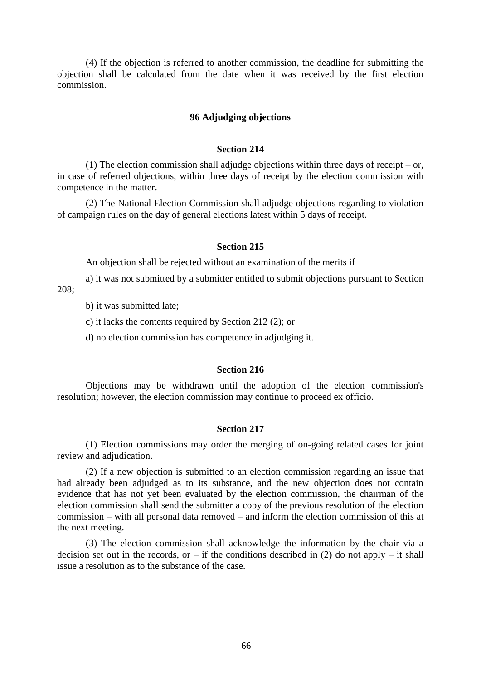(4) If the objection is referred to another commission, the deadline for submitting the objection shall be calculated from the date when it was received by the first election commission.

### **96 Adjudging objections**

# **Section 214**

(1) The election commission shall adjudge objections within three days of receipt – or, in case of referred objections, within three days of receipt by the election commission with competence in the matter.

(2) The National Election Commission shall adjudge objections regarding to violation of campaign rules on the day of general elections latest within 5 days of receipt.

#### **Section 215**

An objection shall be rejected without an examination of the merits if

a) it was not submitted by a submitter entitled to submit objections pursuant to Section 208;

b) it was submitted late;

c) it lacks the contents required by Section 212 (2); or

d) no election commission has competence in adjudging it.

# **Section 216**

Objections may be withdrawn until the adoption of the election commission's resolution; however, the election commission may continue to proceed ex officio.

# **Section 217**

(1) Election commissions may order the merging of on-going related cases for joint review and adjudication.

(2) If a new objection is submitted to an election commission regarding an issue that had already been adjudged as to its substance, and the new objection does not contain evidence that has not yet been evaluated by the election commission, the chairman of the election commission shall send the submitter a copy of the previous resolution of the election commission – with all personal data removed – and inform the election commission of this at the next meeting.

(3) The election commission shall acknowledge the information by the chair via a decision set out in the records, or – if the conditions described in  $(2)$  do not apply – it shall issue a resolution as to the substance of the case.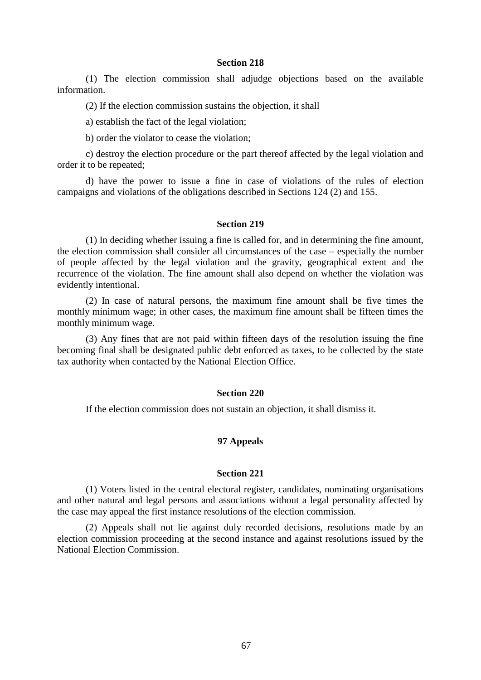(1) The election commission shall adjudge objections based on the available information.

(2) If the election commission sustains the objection, it shall

a) establish the fact of the legal violation;

b) order the violator to cease the violation;

c) destroy the election procedure or the part thereof affected by the legal violation and order it to be repeated;

d) have the power to issue a fine in case of violations of the rules of election campaigns and violations of the obligations described in Sections 124 (2) and 155.

#### **Section 219**

(1) In deciding whether issuing a fine is called for, and in determining the fine amount, the election commission shall consider all circumstances of the case – especially the number of people affected by the legal violation and the gravity, geographical extent and the recurrence of the violation. The fine amount shall also depend on whether the violation was evidently intentional.

(2) In case of natural persons, the maximum fine amount shall be five times the monthly minimum wage; in other cases, the maximum fine amount shall be fifteen times the monthly minimum wage.

(3) Any fines that are not paid within fifteen days of the resolution issuing the fine becoming final shall be designated public debt enforced as taxes, to be collected by the state tax authority when contacted by the National Election Office.

# **Section 220**

If the election commission does not sustain an objection, it shall dismiss it.

# **97 Appeals**

# **Section 221**

(1) Voters listed in the central electoral register, candidates, nominating organisations and other natural and legal persons and associations without a legal personality affected by the case may appeal the first instance resolutions of the election commission.

(2) Appeals shall not lie against duly recorded decisions, resolutions made by an election commission proceeding at the second instance and against resolutions issued by the National Election Commission.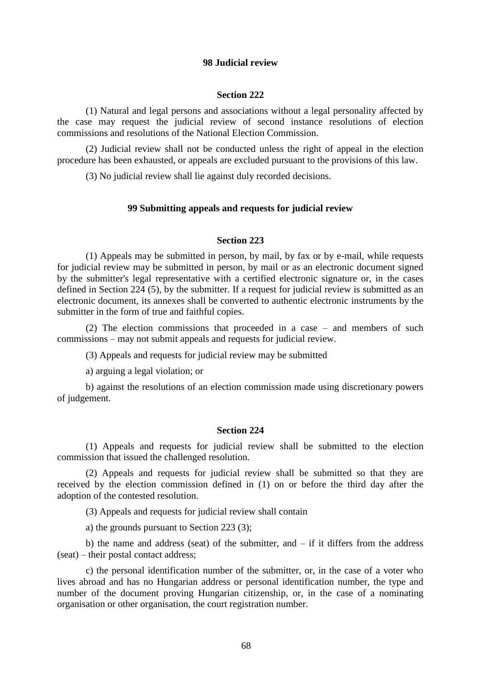# **98 Judicial review**

# **Section 222**

(1) Natural and legal persons and associations without a legal personality affected by the case may request the judicial review of second instance resolutions of election commissions and resolutions of the National Election Commission.

(2) Judicial review shall not be conducted unless the right of appeal in the election procedure has been exhausted, or appeals are excluded pursuant to the provisions of this law.

(3) No judicial review shall lie against duly recorded decisions.

# **99 Submitting appeals and requests for judicial review**

# **Section 223**

(1) Appeals may be submitted in person, by mail, by fax or by e-mail, while requests for judicial review may be submitted in person, by mail or as an electronic document signed by the submitter's legal representative with a certified electronic signature or, in the cases defined in Section 224 (5), by the submitter. If a request for judicial review is submitted as an electronic document, its annexes shall be converted to authentic electronic instruments by the submitter in the form of true and faithful copies.

(2) The election commissions that proceeded in a case – and members of such commissions – may not submit appeals and requests for judicial review.

(3) Appeals and requests for judicial review may be submitted

a) arguing a legal violation; or

b) against the resolutions of an election commission made using discretionary powers of judgement.

# **Section 224**

(1) Appeals and requests for judicial review shall be submitted to the election commission that issued the challenged resolution.

(2) Appeals and requests for judicial review shall be submitted so that they are received by the election commission defined in (1) on or before the third day after the adoption of the contested resolution.

(3) Appeals and requests for judicial review shall contain

a) the grounds pursuant to Section 223 (3);

b) the name and address (seat) of the submitter, and  $-$  if it differs from the address (seat) – their postal contact address;

c) the personal identification number of the submitter, or, in the case of a voter who lives abroad and has no Hungarian address or personal identification number, the type and number of the document proving Hungarian citizenship, or, in the case of a nominating organisation or other organisation, the court registration number.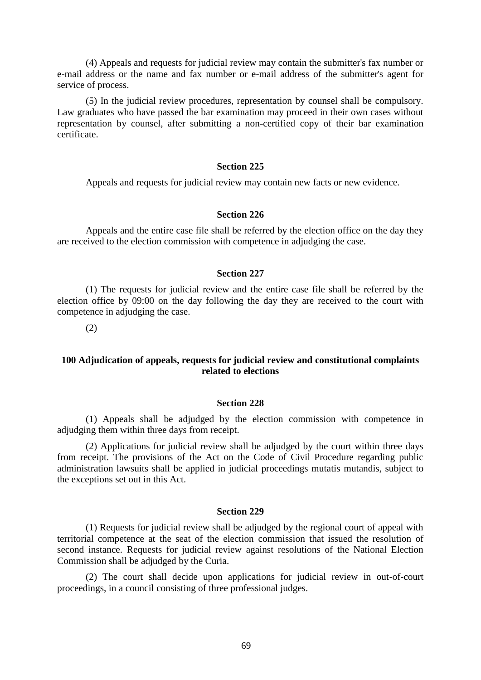(4) Appeals and requests for judicial review may contain the submitter's fax number or e-mail address or the name and fax number or e-mail address of the submitter's agent for service of process.

(5) In the judicial review procedures, representation by counsel shall be compulsory. Law graduates who have passed the bar examination may proceed in their own cases without representation by counsel, after submitting a non-certified copy of their bar examination certificate.

# **Section 225**

Appeals and requests for judicial review may contain new facts or new evidence.

#### **Section 226**

Appeals and the entire case file shall be referred by the election office on the day they are received to the election commission with competence in adjudging the case.

# **Section 227**

(1) The requests for judicial review and the entire case file shall be referred by the election office by 09:00 on the day following the day they are received to the court with competence in adjudging the case.

(2)

# **100 Adjudication of appeals, requests for judicial review and constitutional complaints related to elections**

## **Section 228**

(1) Appeals shall be adjudged by the election commission with competence in adjudging them within three days from receipt.

(2) Applications for judicial review shall be adjudged by the court within three days from receipt. The provisions of the Act on the Code of Civil Procedure regarding public administration lawsuits shall be applied in judicial proceedings mutatis mutandis, subject to the exceptions set out in this Act.

### **Section 229**

(1) Requests for judicial review shall be adjudged by the regional court of appeal with territorial competence at the seat of the election commission that issued the resolution of second instance. Requests for judicial review against resolutions of the National Election Commission shall be adjudged by the Curia.

(2) The court shall decide upon applications for judicial review in out-of-court proceedings, in a council consisting of three professional judges.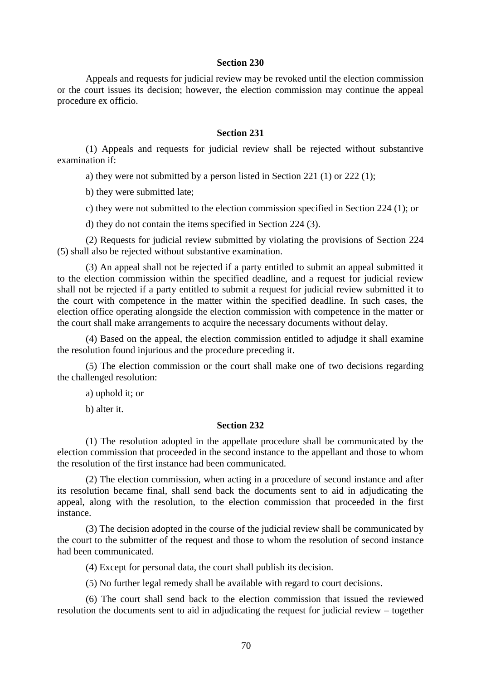Appeals and requests for judicial review may be revoked until the election commission or the court issues its decision; however, the election commission may continue the appeal procedure ex officio.

# **Section 231**

(1) Appeals and requests for judicial review shall be rejected without substantive examination if:

a) they were not submitted by a person listed in Section 221 (1) or 222 (1);

b) they were submitted late;

c) they were not submitted to the election commission specified in Section 224 (1); or

d) they do not contain the items specified in Section 224 (3).

(2) Requests for judicial review submitted by violating the provisions of Section 224 (5) shall also be rejected without substantive examination.

(3) An appeal shall not be rejected if a party entitled to submit an appeal submitted it to the election commission within the specified deadline, and a request for judicial review shall not be rejected if a party entitled to submit a request for judicial review submitted it to the court with competence in the matter within the specified deadline. In such cases, the election office operating alongside the election commission with competence in the matter or the court shall make arrangements to acquire the necessary documents without delay.

(4) Based on the appeal, the election commission entitled to adjudge it shall examine the resolution found injurious and the procedure preceding it.

(5) The election commission or the court shall make one of two decisions regarding the challenged resolution:

a) uphold it; or

b) alter it.

# **Section 232**

(1) The resolution adopted in the appellate procedure shall be communicated by the election commission that proceeded in the second instance to the appellant and those to whom the resolution of the first instance had been communicated.

(2) The election commission, when acting in a procedure of second instance and after its resolution became final, shall send back the documents sent to aid in adjudicating the appeal, along with the resolution, to the election commission that proceeded in the first instance.

(3) The decision adopted in the course of the judicial review shall be communicated by the court to the submitter of the request and those to whom the resolution of second instance had been communicated.

(4) Except for personal data, the court shall publish its decision.

(5) No further legal remedy shall be available with regard to court decisions.

(6) The court shall send back to the election commission that issued the reviewed resolution the documents sent to aid in adjudicating the request for judicial review – together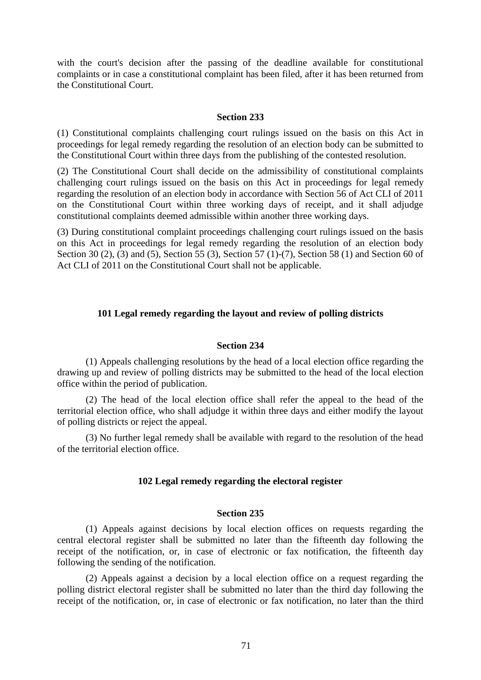with the court's decision after the passing of the deadline available for constitutional complaints or in case a constitutional complaint has been filed, after it has been returned from the Constitutional Court.

#### **Section 233**

(1) Constitutional complaints challenging court rulings issued on the basis on this Act in proceedings for legal remedy regarding the resolution of an election body can be submitted to the Constitutional Court within three days from the publishing of the contested resolution.

(2) The Constitutional Court shall decide on the admissibility of constitutional complaints challenging court rulings issued on the basis on this Act in proceedings for legal remedy regarding the resolution of an election body in accordance with Section 56 of Act CLI of 2011 on the Constitutional Court within three working days of receipt, and it shall adjudge constitutional complaints deemed admissible within another three working days.

(3) During constitutional complaint proceedings challenging court rulings issued on the basis on this Act in proceedings for legal remedy regarding the resolution of an election body Section 30 (2), (3) and (5), Section 55 (3), Section 57 (1)-(7), Section 58 (1) and Section 60 of Act CLI of 2011 on the Constitutional Court shall not be applicable.

# **101 Legal remedy regarding the layout and review of polling districts**

# **Section 234**

(1) Appeals challenging resolutions by the head of a local election office regarding the drawing up and review of polling districts may be submitted to the head of the local election office within the period of publication.

(2) The head of the local election office shall refer the appeal to the head of the territorial election office, who shall adjudge it within three days and either modify the layout of polling districts or reject the appeal.

(3) No further legal remedy shall be available with regard to the resolution of the head of the territorial election office.

# **102 Legal remedy regarding the electoral register**

#### **Section 235**

(1) Appeals against decisions by local election offices on requests regarding the central electoral register shall be submitted no later than the fifteenth day following the receipt of the notification, or, in case of electronic or fax notification, the fifteenth day following the sending of the notification.

(2) Appeals against a decision by a local election office on a request regarding the polling district electoral register shall be submitted no later than the third day following the receipt of the notification, or, in case of electronic or fax notification, no later than the third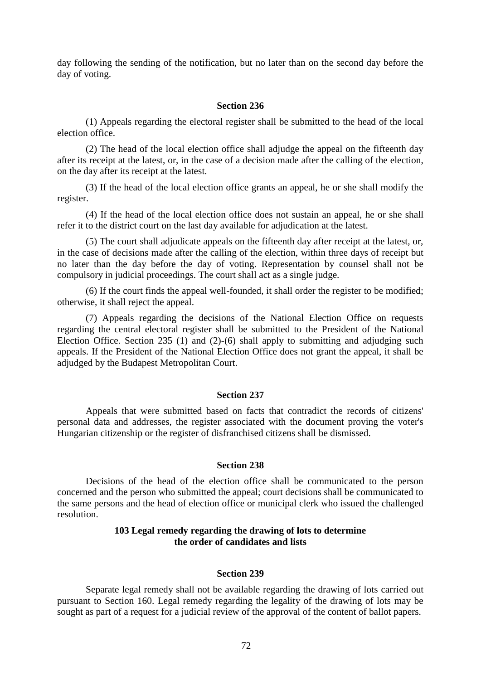day following the sending of the notification, but no later than on the second day before the day of voting.

### **Section 236**

(1) Appeals regarding the electoral register shall be submitted to the head of the local election office.

(2) The head of the local election office shall adjudge the appeal on the fifteenth day after its receipt at the latest, or, in the case of a decision made after the calling of the election, on the day after its receipt at the latest.

(3) If the head of the local election office grants an appeal, he or she shall modify the register.

(4) If the head of the local election office does not sustain an appeal, he or she shall refer it to the district court on the last day available for adjudication at the latest.

(5) The court shall adjudicate appeals on the fifteenth day after receipt at the latest, or, in the case of decisions made after the calling of the election, within three days of receipt but no later than the day before the day of voting. Representation by counsel shall not be compulsory in judicial proceedings. The court shall act as a single judge.

(6) If the court finds the appeal well-founded, it shall order the register to be modified; otherwise, it shall reject the appeal.

(7) Appeals regarding the decisions of the National Election Office on requests regarding the central electoral register shall be submitted to the President of the National Election Office. Section 235 (1) and (2)-(6) shall apply to submitting and adjudging such appeals. If the President of the National Election Office does not grant the appeal, it shall be adjudged by the Budapest Metropolitan Court.

#### **Section 237**

Appeals that were submitted based on facts that contradict the records of citizens' personal data and addresses, the register associated with the document proving the voter's Hungarian citizenship or the register of disfranchised citizens shall be dismissed.

# **Section 238**

Decisions of the head of the election office shall be communicated to the person concerned and the person who submitted the appeal; court decisions shall be communicated to the same persons and the head of election office or municipal clerk who issued the challenged resolution.

# **103 Legal remedy regarding the drawing of lots to determine the order of candidates and lists**

#### **Section 239**

Separate legal remedy shall not be available regarding the drawing of lots carried out pursuant to Section 160. Legal remedy regarding the legality of the drawing of lots may be sought as part of a request for a judicial review of the approval of the content of ballot papers.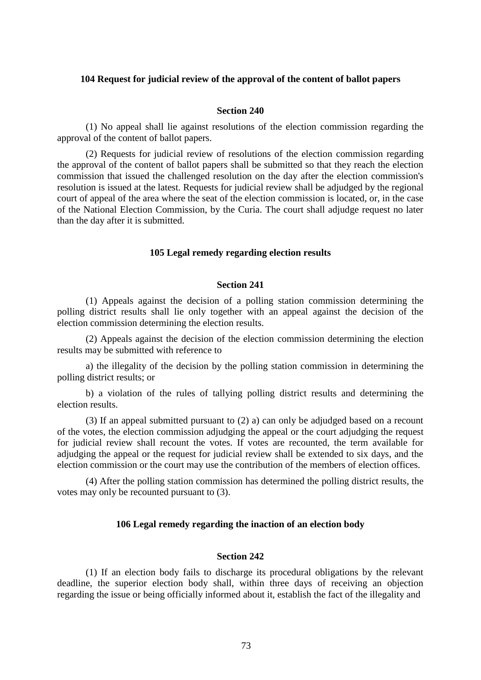## **104 Request for judicial review of the approval of the content of ballot papers**

# **Section 240**

(1) No appeal shall lie against resolutions of the election commission regarding the approval of the content of ballot papers.

(2) Requests for judicial review of resolutions of the election commission regarding the approval of the content of ballot papers shall be submitted so that they reach the election commission that issued the challenged resolution on the day after the election commission's resolution is issued at the latest. Requests for judicial review shall be adjudged by the regional court of appeal of the area where the seat of the election commission is located, or, in the case of the National Election Commission, by the Curia. The court shall adjudge request no later than the day after it is submitted.

# **105 Legal remedy regarding election results**

## **Section 241**

(1) Appeals against the decision of a polling station commission determining the polling district results shall lie only together with an appeal against the decision of the election commission determining the election results.

(2) Appeals against the decision of the election commission determining the election results may be submitted with reference to

a) the illegality of the decision by the polling station commission in determining the polling district results; or

b) a violation of the rules of tallying polling district results and determining the election results.

(3) If an appeal submitted pursuant to (2) a) can only be adjudged based on a recount of the votes, the election commission adjudging the appeal or the court adjudging the request for judicial review shall recount the votes. If votes are recounted, the term available for adjudging the appeal or the request for judicial review shall be extended to six days, and the election commission or the court may use the contribution of the members of election offices.

(4) After the polling station commission has determined the polling district results, the votes may only be recounted pursuant to (3).

## **106 Legal remedy regarding the inaction of an election body**

# **Section 242**

(1) If an election body fails to discharge its procedural obligations by the relevant deadline, the superior election body shall, within three days of receiving an objection regarding the issue or being officially informed about it, establish the fact of the illegality and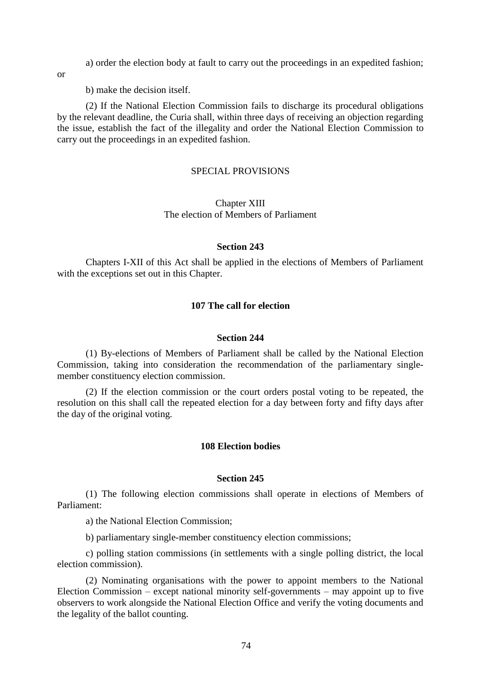a) order the election body at fault to carry out the proceedings in an expedited fashion;

or

b) make the decision itself.

(2) If the National Election Commission fails to discharge its procedural obligations by the relevant deadline, the Curia shall, within three days of receiving an objection regarding the issue, establish the fact of the illegality and order the National Election Commission to carry out the proceedings in an expedited fashion.

### SPECIAL PROVISIONS

# Chapter XIII The election of Members of Parliament

## **Section 243**

Chapters I-XII of this Act shall be applied in the elections of Members of Parliament with the exceptions set out in this Chapter.

# **107 The call for election**

#### **Section 244**

(1) By-elections of Members of Parliament shall be called by the National Election Commission, taking into consideration the recommendation of the parliamentary singlemember constituency election commission.

(2) If the election commission or the court orders postal voting to be repeated, the resolution on this shall call the repeated election for a day between forty and fifty days after the day of the original voting.

### **108 Election bodies**

# **Section 245**

(1) The following election commissions shall operate in elections of Members of Parliament:

a) the National Election Commission;

b) parliamentary single-member constituency election commissions;

c) polling station commissions (in settlements with a single polling district, the local election commission).

(2) Nominating organisations with the power to appoint members to the National Election Commission – except national minority self-governments – may appoint up to five observers to work alongside the National Election Office and verify the voting documents and the legality of the ballot counting.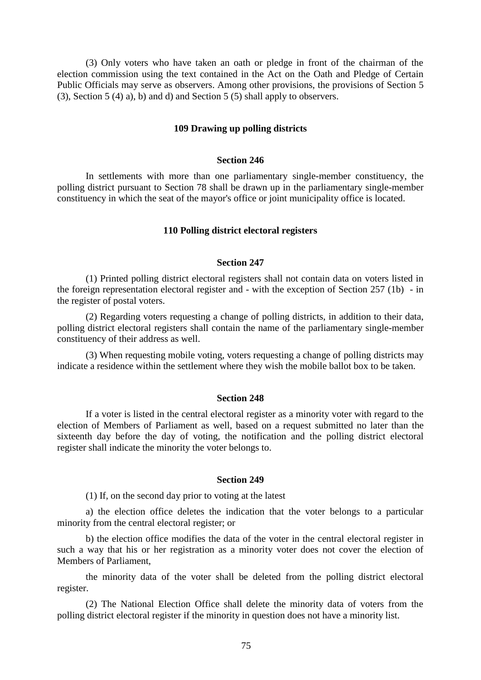(3) Only voters who have taken an oath or pledge in front of the chairman of the election commission using the text contained in the Act on the Oath and Pledge of Certain Public Officials may serve as observers. Among other provisions, the provisions of Section 5 (3), Section 5 (4) a), b) and d) and Section 5 (5) shall apply to observers.

# **109 Drawing up polling districts**

#### **Section 246**

In settlements with more than one parliamentary single-member constituency, the polling district pursuant to Section 78 shall be drawn up in the parliamentary single-member constituency in which the seat of the mayor's office or joint municipality office is located.

#### **110 Polling district electoral registers**

## **Section 247**

(1) Printed polling district electoral registers shall not contain data on voters listed in the foreign representation electoral register and - with the exception of Section 257 (1b) - in the register of postal voters.

(2) Regarding voters requesting a change of polling districts, in addition to their data, polling district electoral registers shall contain the name of the parliamentary single-member constituency of their address as well.

(3) When requesting mobile voting, voters requesting a change of polling districts may indicate a residence within the settlement where they wish the mobile ballot box to be taken.

#### **Section 248**

If a voter is listed in the central electoral register as a minority voter with regard to the election of Members of Parliament as well, based on a request submitted no later than the sixteenth day before the day of voting, the notification and the polling district electoral register shall indicate the minority the voter belongs to.

#### **Section 249**

(1) If, on the second day prior to voting at the latest

a) the election office deletes the indication that the voter belongs to a particular minority from the central electoral register; or

b) the election office modifies the data of the voter in the central electoral register in such a way that his or her registration as a minority voter does not cover the election of Members of Parliament,

the minority data of the voter shall be deleted from the polling district electoral register.

(2) The National Election Office shall delete the minority data of voters from the polling district electoral register if the minority in question does not have a minority list.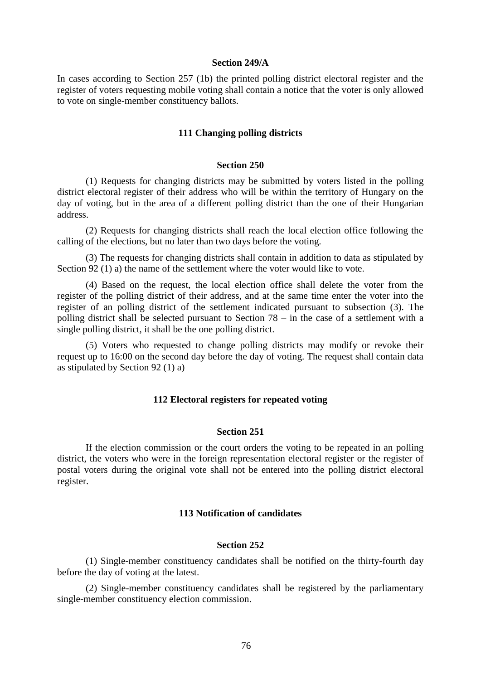## **Section 249/A**

In cases according to Section 257 (1b) the printed polling district electoral register and the register of voters requesting mobile voting shall contain a notice that the voter is only allowed to vote on single-member constituency ballots.

## **111 Changing polling districts**

### **Section 250**

(1) Requests for changing districts may be submitted by voters listed in the polling district electoral register of their address who will be within the territory of Hungary on the day of voting, but in the area of a different polling district than the one of their Hungarian address.

(2) Requests for changing districts shall reach the local election office following the calling of the elections, but no later than two days before the voting.

(3) The requests for changing districts shall contain in addition to data as stipulated by Section 92 (1) a) the name of the settlement where the voter would like to vote.

(4) Based on the request, the local election office shall delete the voter from the register of the polling district of their address, and at the same time enter the voter into the register of an polling district of the settlement indicated pursuant to subsection (3). The polling district shall be selected pursuant to Section 78 – in the case of a settlement with a single polling district, it shall be the one polling district.

(5) Voters who requested to change polling districts may modify or revoke their request up to 16:00 on the second day before the day of voting. The request shall contain data as stipulated by Section 92 (1) a)

#### **112 Electoral registers for repeated voting**

## **Section 251**

If the election commission or the court orders the voting to be repeated in an polling district, the voters who were in the foreign representation electoral register or the register of postal voters during the original vote shall not be entered into the polling district electoral register.

# **113 Notification of candidates**

### **Section 252**

(1) Single-member constituency candidates shall be notified on the thirty-fourth day before the day of voting at the latest.

(2) Single-member constituency candidates shall be registered by the parliamentary single-member constituency election commission.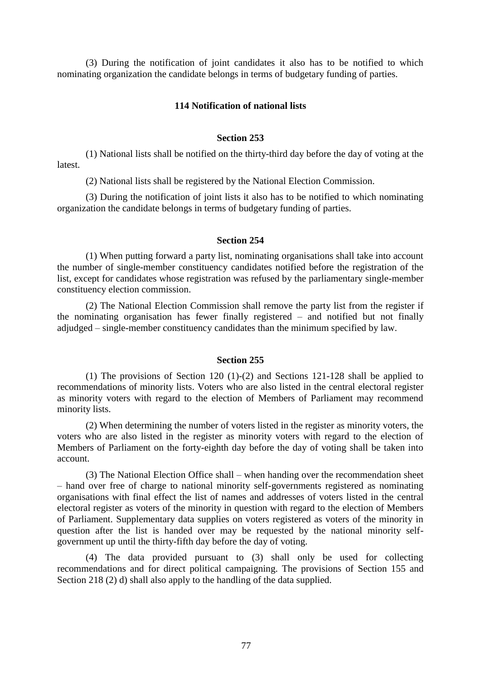(3) During the notification of joint candidates it also has to be notified to which nominating organization the candidate belongs in terms of budgetary funding of parties.

# **114 Notification of national lists**

## **Section 253**

(1) National lists shall be notified on the thirty-third day before the day of voting at the latest.

(2) National lists shall be registered by the National Election Commission.

(3) During the notification of joint lists it also has to be notified to which nominating organization the candidate belongs in terms of budgetary funding of parties.

#### **Section 254**

(1) When putting forward a party list, nominating organisations shall take into account the number of single-member constituency candidates notified before the registration of the list, except for candidates whose registration was refused by the parliamentary single-member constituency election commission.

(2) The National Election Commission shall remove the party list from the register if the nominating organisation has fewer finally registered – and notified but not finally adjudged – single-member constituency candidates than the minimum specified by law.

### **Section 255**

(1) The provisions of Section 120 (1)-(2) and Sections 121-128 shall be applied to recommendations of minority lists. Voters who are also listed in the central electoral register as minority voters with regard to the election of Members of Parliament may recommend minority lists.

(2) When determining the number of voters listed in the register as minority voters, the voters who are also listed in the register as minority voters with regard to the election of Members of Parliament on the forty-eighth day before the day of voting shall be taken into account.

(3) The National Election Office shall – when handing over the recommendation sheet – hand over free of charge to national minority self-governments registered as nominating organisations with final effect the list of names and addresses of voters listed in the central electoral register as voters of the minority in question with regard to the election of Members of Parliament. Supplementary data supplies on voters registered as voters of the minority in question after the list is handed over may be requested by the national minority selfgovernment up until the thirty-fifth day before the day of voting.

(4) The data provided pursuant to (3) shall only be used for collecting recommendations and for direct political campaigning. The provisions of Section 155 and Section 218 (2) d) shall also apply to the handling of the data supplied.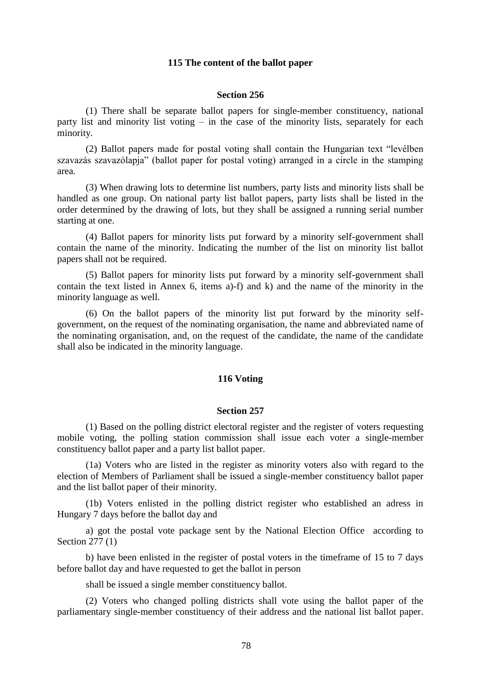## **115 The content of the ballot paper**

# **Section 256**

(1) There shall be separate ballot papers for single-member constituency, national party list and minority list voting – in the case of the minority lists, separately for each minority.

(2) Ballot papers made for postal voting shall contain the Hungarian text "levélben szavazás szavazólapja" (ballot paper for postal voting) arranged in a circle in the stamping area.

(3) When drawing lots to determine list numbers, party lists and minority lists shall be handled as one group. On national party list ballot papers, party lists shall be listed in the order determined by the drawing of lots, but they shall be assigned a running serial number starting at one.

(4) Ballot papers for minority lists put forward by a minority self-government shall contain the name of the minority. Indicating the number of the list on minority list ballot papers shall not be required.

(5) Ballot papers for minority lists put forward by a minority self-government shall contain the text listed in Annex 6, items a)-f) and k) and the name of the minority in the minority language as well.

(6) On the ballot papers of the minority list put forward by the minority selfgovernment, on the request of the nominating organisation, the name and abbreviated name of the nominating organisation, and, on the request of the candidate, the name of the candidate shall also be indicated in the minority language.

## **116 Voting**

### **Section 257**

(1) Based on the polling district electoral register and the register of voters requesting mobile voting, the polling station commission shall issue each voter a single-member constituency ballot paper and a party list ballot paper.

(1a) Voters who are listed in the register as minority voters also with regard to the election of Members of Parliament shall be issued a single-member constituency ballot paper and the list ballot paper of their minority.

(1b) Voters enlisted in the polling district register who established an adress in Hungary 7 days before the ballot day and

a) got the postal vote package sent by the National Election Office according to Section 277 (1)

b) have been enlisted in the register of postal voters in the timeframe of 15 to 7 days before ballot day and have requested to get the ballot in person

shall be issued a single member constituency ballot.

(2) Voters who changed polling districts shall vote using the ballot paper of the parliamentary single-member constituency of their address and the national list ballot paper.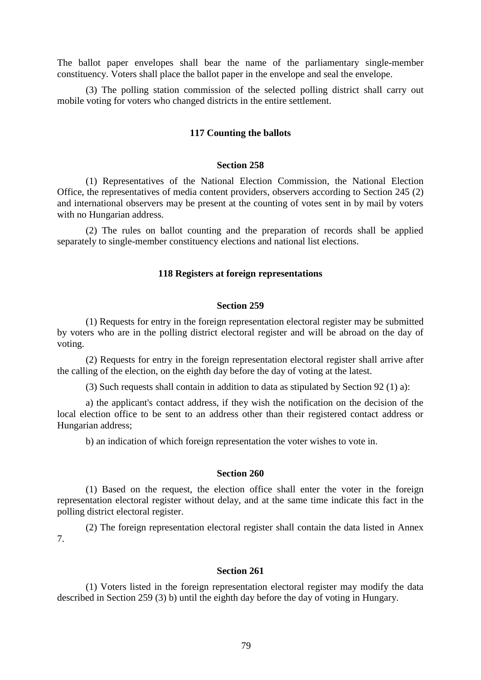The ballot paper envelopes shall bear the name of the parliamentary single-member constituency. Voters shall place the ballot paper in the envelope and seal the envelope.

(3) The polling station commission of the selected polling district shall carry out mobile voting for voters who changed districts in the entire settlement.

## **117 Counting the ballots**

## **Section 258**

(1) Representatives of the National Election Commission, the National Election Office, the representatives of media content providers, observers according to Section 245 (2) and international observers may be present at the counting of votes sent in by mail by voters with no Hungarian address.

(2) The rules on ballot counting and the preparation of records shall be applied separately to single-member constituency elections and national list elections.

## **118 Registers at foreign representations**

## **Section 259**

(1) Requests for entry in the foreign representation electoral register may be submitted by voters who are in the polling district electoral register and will be abroad on the day of voting.

(2) Requests for entry in the foreign representation electoral register shall arrive after the calling of the election, on the eighth day before the day of voting at the latest.

(3) Such requests shall contain in addition to data as stipulated by Section 92 (1) a):

a) the applicant's contact address, if they wish the notification on the decision of the local election office to be sent to an address other than their registered contact address or Hungarian address;

b) an indication of which foreign representation the voter wishes to vote in.

## **Section 260**

(1) Based on the request, the election office shall enter the voter in the foreign representation electoral register without delay, and at the same time indicate this fact in the polling district electoral register.

(2) The foreign representation electoral register shall contain the data listed in Annex 7.

# **Section 261**

(1) Voters listed in the foreign representation electoral register may modify the data described in Section 259 (3) b) until the eighth day before the day of voting in Hungary.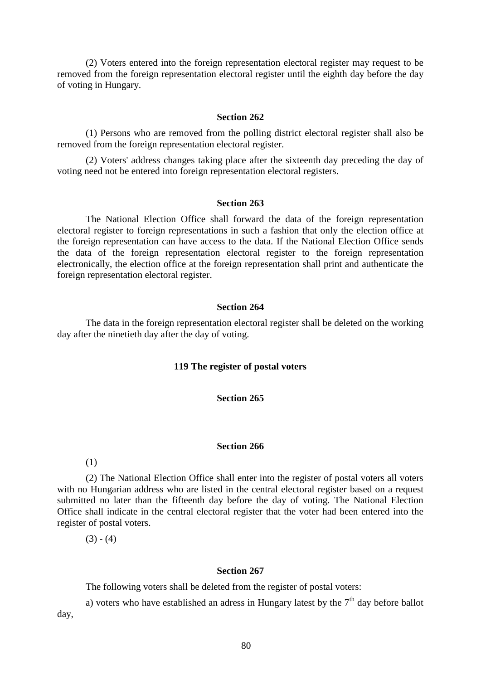(2) Voters entered into the foreign representation electoral register may request to be removed from the foreign representation electoral register until the eighth day before the day of voting in Hungary.

#### **Section 262**

(1) Persons who are removed from the polling district electoral register shall also be removed from the foreign representation electoral register.

(2) Voters' address changes taking place after the sixteenth day preceding the day of voting need not be entered into foreign representation electoral registers.

#### **Section 263**

The National Election Office shall forward the data of the foreign representation electoral register to foreign representations in such a fashion that only the election office at the foreign representation can have access to the data. If the National Election Office sends the data of the foreign representation electoral register to the foreign representation electronically, the election office at the foreign representation shall print and authenticate the foreign representation electoral register.

# **Section 264**

The data in the foreign representation electoral register shall be deleted on the working day after the ninetieth day after the day of voting.

# **119 The register of postal voters**

# **Section 265**

## **Section 266**

(1)

(2) The National Election Office shall enter into the register of postal voters all voters with no Hungarian address who are listed in the central electoral register based on a request submitted no later than the fifteenth day before the day of voting. The National Election Office shall indicate in the central electoral register that the voter had been entered into the register of postal voters.

 $(3) - (4)$ 

# **Section 267**

The following voters shall be deleted from the register of postal voters:

a) voters who have established an adress in Hungary latest by the  $7<sup>th</sup>$  day before ballot day,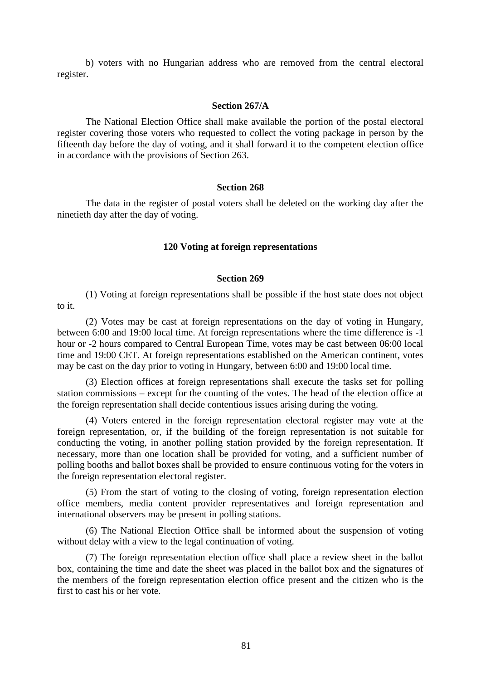b) voters with no Hungarian address who are removed from the central electoral register.

#### **Section 267/A**

The National Election Office shall make available the portion of the postal electoral register covering those voters who requested to collect the voting package in person by the fifteenth day before the day of voting, and it shall forward it to the competent election office in accordance with the provisions of Section 263.

#### **Section 268**

The data in the register of postal voters shall be deleted on the working day after the ninetieth day after the day of voting.

## **120 Voting at foreign representations**

## **Section 269**

(1) Voting at foreign representations shall be possible if the host state does not object to it.

(2) Votes may be cast at foreign representations on the day of voting in Hungary, between 6:00 and 19:00 local time. At foreign representations where the time difference is -1 hour or -2 hours compared to Central European Time, votes may be cast between 06:00 local time and 19:00 CET. At foreign representations established on the American continent, votes may be cast on the day prior to voting in Hungary, between 6:00 and 19:00 local time.

(3) Election offices at foreign representations shall execute the tasks set for polling station commissions – except for the counting of the votes. The head of the election office at the foreign representation shall decide contentious issues arising during the voting.

(4) Voters entered in the foreign representation electoral register may vote at the foreign representation, or, if the building of the foreign representation is not suitable for conducting the voting, in another polling station provided by the foreign representation. If necessary, more than one location shall be provided for voting, and a sufficient number of polling booths and ballot boxes shall be provided to ensure continuous voting for the voters in the foreign representation electoral register.

(5) From the start of voting to the closing of voting, foreign representation election office members, media content provider representatives and foreign representation and international observers may be present in polling stations.

(6) The National Election Office shall be informed about the suspension of voting without delay with a view to the legal continuation of voting.

(7) The foreign representation election office shall place a review sheet in the ballot box, containing the time and date the sheet was placed in the ballot box and the signatures of the members of the foreign representation election office present and the citizen who is the first to cast his or her vote.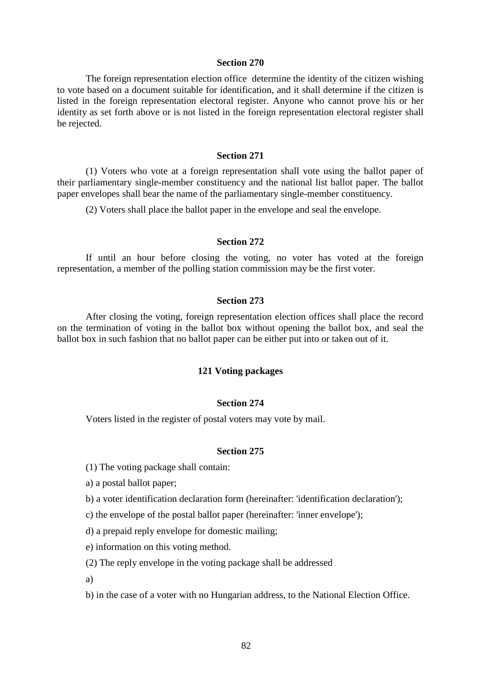## **Section 270**

The foreign representation election office determine the identity of the citizen wishing to vote based on a document suitable for identification, and it shall determine if the citizen is listed in the foreign representation electoral register. Anyone who cannot prove his or her identity as set forth above or is not listed in the foreign representation electoral register shall be rejected.

## **Section 271**

(1) Voters who vote at a foreign representation shall vote using the ballot paper of their parliamentary single-member constituency and the national list ballot paper. The ballot paper envelopes shall bear the name of the parliamentary single-member constituency.

(2) Voters shall place the ballot paper in the envelope and seal the envelope.

#### **Section 272**

If until an hour before closing the voting, no voter has voted at the foreign representation, a member of the polling station commission may be the first voter.

## **Section 273**

After closing the voting, foreign representation election offices shall place the record on the termination of voting in the ballot box without opening the ballot box, and seal the ballot box in such fashion that no ballot paper can be either put into or taken out of it.

# **121 Voting packages**

## **Section 274**

Voters listed in the register of postal voters may vote by mail.

## **Section 275**

(1) The voting package shall contain:

a) a postal ballot paper;

b) a voter identification declaration form (hereinafter: 'identification declaration');

c) the envelope of the postal ballot paper (hereinafter: 'inner envelope');

d) a prepaid reply envelope for domestic mailing;

e) information on this voting method.

(2) The reply envelope in the voting package shall be addressed

a)

b) in the case of a voter with no Hungarian address, to the National Election Office.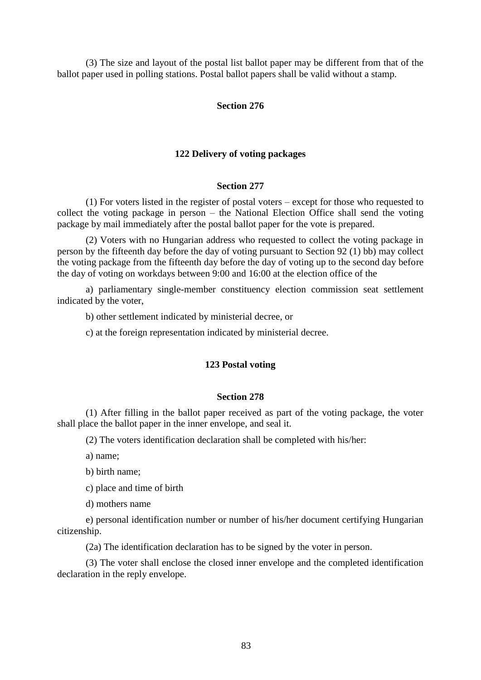(3) The size and layout of the postal list ballot paper may be different from that of the ballot paper used in polling stations. Postal ballot papers shall be valid without a stamp.

# **Section 276**

## **122 Delivery of voting packages**

## **Section 277**

(1) For voters listed in the register of postal voters – except for those who requested to collect the voting package in person – the National Election Office shall send the voting package by mail immediately after the postal ballot paper for the vote is prepared.

(2) Voters with no Hungarian address who requested to collect the voting package in person by the fifteenth day before the day of voting pursuant to Section 92 (1) bb) may collect the voting package from the fifteenth day before the day of voting up to the second day before the day of voting on workdays between 9:00 and 16:00 at the election office of the

a) parliamentary single-member constituency election commission seat settlement indicated by the voter,

b) other settlement indicated by ministerial decree, or

c) at the foreign representation indicated by ministerial decree.

## **123 Postal voting**

#### **Section 278**

(1) After filling in the ballot paper received as part of the voting package, the voter shall place the ballot paper in the inner envelope, and seal it.

(2) The voters identification declaration shall be completed with his/her:

a) name;

b) birth name;

c) place and time of birth

d) mothers name

e) personal identification number or number of his/her document certifying Hungarian citizenship.

(2a) The identification declaration has to be signed by the voter in person.

(3) The voter shall enclose the closed inner envelope and the completed identification declaration in the reply envelope.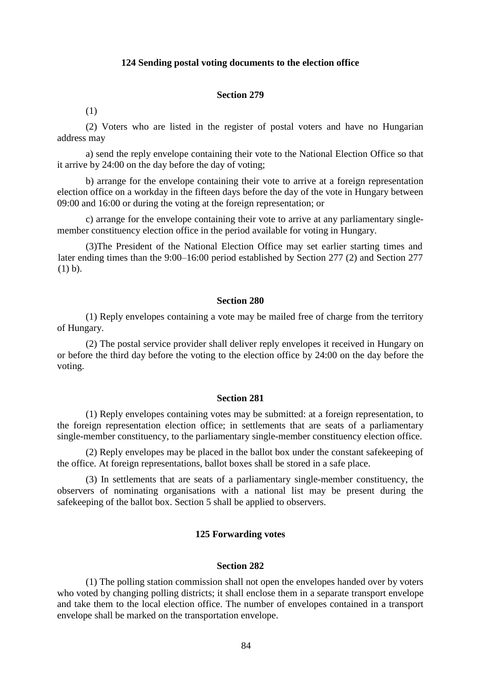## **124 Sending postal voting documents to the election office**

# **Section 279**

(1)

(2) Voters who are listed in the register of postal voters and have no Hungarian address may

a) send the reply envelope containing their vote to the National Election Office so that it arrive by 24:00 on the day before the day of voting;

b) arrange for the envelope containing their vote to arrive at a foreign representation election office on a workday in the fifteen days before the day of the vote in Hungary between 09:00 and 16:00 or during the voting at the foreign representation; or

c) arrange for the envelope containing their vote to arrive at any parliamentary singlemember constituency election office in the period available for voting in Hungary.

(3)The President of the National Election Office may set earlier starting times and later ending times than the 9:00–16:00 period established by Section 277 (2) and Section 277 (1) b).

#### **Section 280**

(1) Reply envelopes containing a vote may be mailed free of charge from the territory of Hungary.

(2) The postal service provider shall deliver reply envelopes it received in Hungary on or before the third day before the voting to the election office by 24:00 on the day before the voting.

#### **Section 281**

(1) Reply envelopes containing votes may be submitted: at a foreign representation, to the foreign representation election office; in settlements that are seats of a parliamentary single-member constituency, to the parliamentary single-member constituency election office.

(2) Reply envelopes may be placed in the ballot box under the constant safekeeping of the office. At foreign representations, ballot boxes shall be stored in a safe place.

(3) In settlements that are seats of a parliamentary single-member constituency, the observers of nominating organisations with a national list may be present during the safekeeping of the ballot box. Section 5 shall be applied to observers.

## **125 Forwarding votes**

## **Section 282**

(1) The polling station commission shall not open the envelopes handed over by voters who voted by changing polling districts; it shall enclose them in a separate transport envelope and take them to the local election office. The number of envelopes contained in a transport envelope shall be marked on the transportation envelope.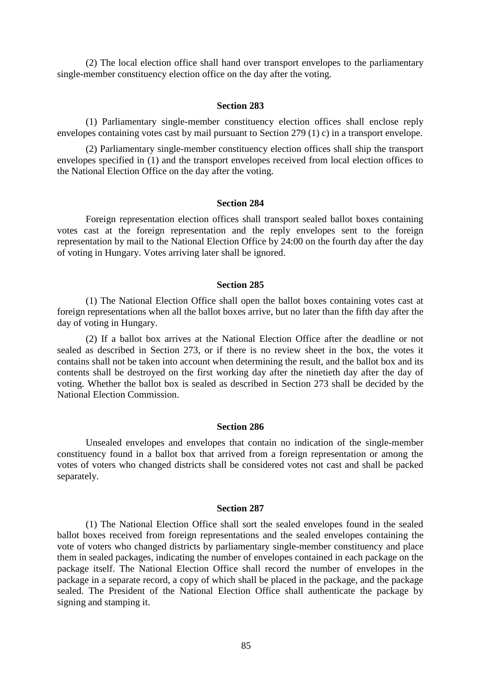(2) The local election office shall hand over transport envelopes to the parliamentary single-member constituency election office on the day after the voting.

#### **Section 283**

(1) Parliamentary single-member constituency election offices shall enclose reply envelopes containing votes cast by mail pursuant to Section 279 (1) c) in a transport envelope.

(2) Parliamentary single-member constituency election offices shall ship the transport envelopes specified in (1) and the transport envelopes received from local election offices to the National Election Office on the day after the voting.

#### **Section 284**

Foreign representation election offices shall transport sealed ballot boxes containing votes cast at the foreign representation and the reply envelopes sent to the foreign representation by mail to the National Election Office by 24:00 on the fourth day after the day of voting in Hungary. Votes arriving later shall be ignored.

### **Section 285**

(1) The National Election Office shall open the ballot boxes containing votes cast at foreign representations when all the ballot boxes arrive, but no later than the fifth day after the day of voting in Hungary.

(2) If a ballot box arrives at the National Election Office after the deadline or not sealed as described in Section 273, or if there is no review sheet in the box, the votes it contains shall not be taken into account when determining the result, and the ballot box and its contents shall be destroyed on the first working day after the ninetieth day after the day of voting. Whether the ballot box is sealed as described in Section 273 shall be decided by the National Election Commission.

#### **Section 286**

Unsealed envelopes and envelopes that contain no indication of the single-member constituency found in a ballot box that arrived from a foreign representation or among the votes of voters who changed districts shall be considered votes not cast and shall be packed separately.

## **Section 287**

(1) The National Election Office shall sort the sealed envelopes found in the sealed ballot boxes received from foreign representations and the sealed envelopes containing the vote of voters who changed districts by parliamentary single-member constituency and place them in sealed packages, indicating the number of envelopes contained in each package on the package itself. The National Election Office shall record the number of envelopes in the package in a separate record, a copy of which shall be placed in the package, and the package sealed. The President of the National Election Office shall authenticate the package by signing and stamping it.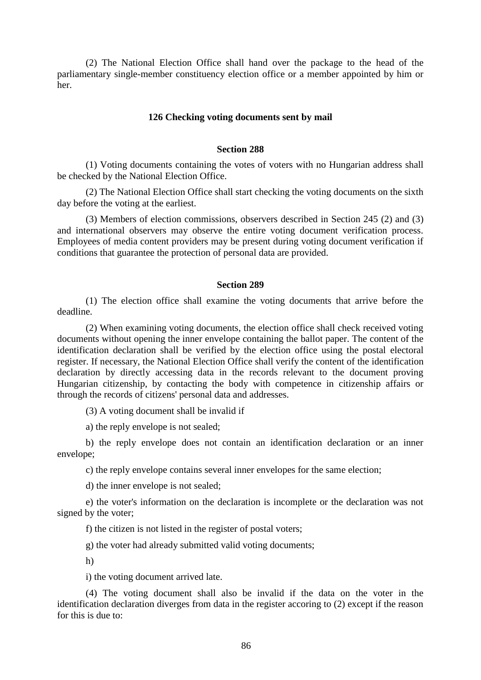(2) The National Election Office shall hand over the package to the head of the parliamentary single-member constituency election office or a member appointed by him or her.

### **126 Checking voting documents sent by mail**

## **Section 288**

(1) Voting documents containing the votes of voters with no Hungarian address shall be checked by the National Election Office.

(2) The National Election Office shall start checking the voting documents on the sixth day before the voting at the earliest.

(3) Members of election commissions, observers described in Section 245 (2) and (3) and international observers may observe the entire voting document verification process. Employees of media content providers may be present during voting document verification if conditions that guarantee the protection of personal data are provided.

#### **Section 289**

(1) The election office shall examine the voting documents that arrive before the deadline.

(2) When examining voting documents, the election office shall check received voting documents without opening the inner envelope containing the ballot paper. The content of the identification declaration shall be verified by the election office using the postal electoral register. If necessary, the National Election Office shall verify the content of the identification declaration by directly accessing data in the records relevant to the document proving Hungarian citizenship, by contacting the body with competence in citizenship affairs or through the records of citizens' personal data and addresses.

(3) A voting document shall be invalid if

a) the reply envelope is not sealed;

b) the reply envelope does not contain an identification declaration or an inner envelope;

c) the reply envelope contains several inner envelopes for the same election;

d) the inner envelope is not sealed;

e) the voter's information on the declaration is incomplete or the declaration was not signed by the voter;

f) the citizen is not listed in the register of postal voters;

g) the voter had already submitted valid voting documents;

h)

i) the voting document arrived late.

(4) The voting document shall also be invalid if the data on the voter in the identification declaration diverges from data in the register accoring to (2) except if the reason for this is due to: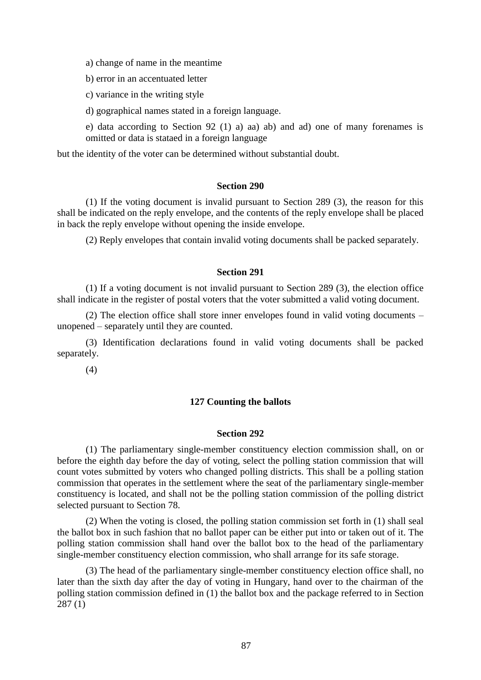a) change of name in the meantime

b) error in an accentuated letter

c) variance in the writing style

d) gographical names stated in a foreign language.

e) data according to Section 92 (1) a) aa) ab) and ad) one of many forenames is omitted or data is stataed in a foreign language

but the identity of the voter can be determined without substantial doubt.

## **Section 290**

(1) If the voting document is invalid pursuant to Section 289 (3), the reason for this shall be indicated on the reply envelope, and the contents of the reply envelope shall be placed in back the reply envelope without opening the inside envelope.

(2) Reply envelopes that contain invalid voting documents shall be packed separately.

## **Section 291**

(1) If a voting document is not invalid pursuant to Section 289 (3), the election office shall indicate in the register of postal voters that the voter submitted a valid voting document.

(2) The election office shall store inner envelopes found in valid voting documents – unopened – separately until they are counted.

(3) Identification declarations found in valid voting documents shall be packed separately.

(4)

# **127 Counting the ballots**

#### **Section 292**

(1) The parliamentary single-member constituency election commission shall, on or before the eighth day before the day of voting, select the polling station commission that will count votes submitted by voters who changed polling districts. This shall be a polling station commission that operates in the settlement where the seat of the parliamentary single-member constituency is located, and shall not be the polling station commission of the polling district selected pursuant to Section 78.

(2) When the voting is closed, the polling station commission set forth in (1) shall seal the ballot box in such fashion that no ballot paper can be either put into or taken out of it. The polling station commission shall hand over the ballot box to the head of the parliamentary single-member constituency election commission, who shall arrange for its safe storage.

(3) The head of the parliamentary single-member constituency election office shall, no later than the sixth day after the day of voting in Hungary, hand over to the chairman of the polling station commission defined in (1) the ballot box and the package referred to in Section 287 (1)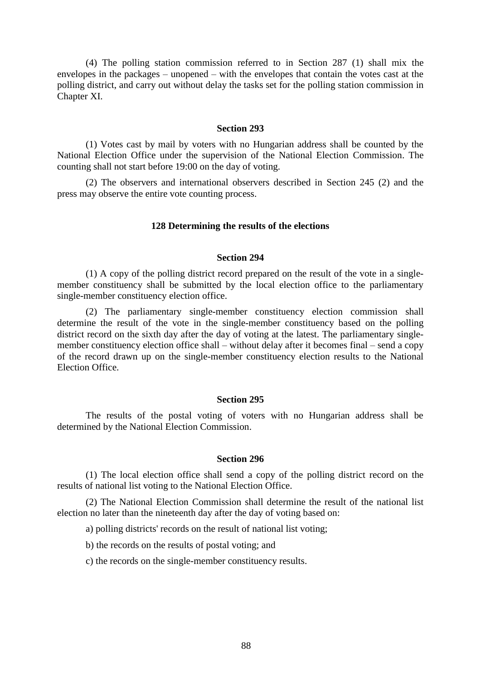(4) The polling station commission referred to in Section 287 (1) shall mix the envelopes in the packages – unopened – with the envelopes that contain the votes cast at the polling district, and carry out without delay the tasks set for the polling station commission in Chapter XI.

# **Section 293**

(1) Votes cast by mail by voters with no Hungarian address shall be counted by the National Election Office under the supervision of the National Election Commission. The counting shall not start before 19:00 on the day of voting.

(2) The observers and international observers described in Section 245 (2) and the press may observe the entire vote counting process.

#### **128 Determining the results of the elections**

### **Section 294**

(1) A copy of the polling district record prepared on the result of the vote in a singlemember constituency shall be submitted by the local election office to the parliamentary single-member constituency election office.

(2) The parliamentary single-member constituency election commission shall determine the result of the vote in the single-member constituency based on the polling district record on the sixth day after the day of voting at the latest. The parliamentary singlemember constituency election office shall – without delay after it becomes final – send a copy of the record drawn up on the single-member constituency election results to the National Election Office.

#### **Section 295**

The results of the postal voting of voters with no Hungarian address shall be determined by the National Election Commission.

## **Section 296**

(1) The local election office shall send a copy of the polling district record on the results of national list voting to the National Election Office.

(2) The National Election Commission shall determine the result of the national list election no later than the nineteenth day after the day of voting based on:

a) polling districts' records on the result of national list voting;

b) the records on the results of postal voting; and

c) the records on the single-member constituency results.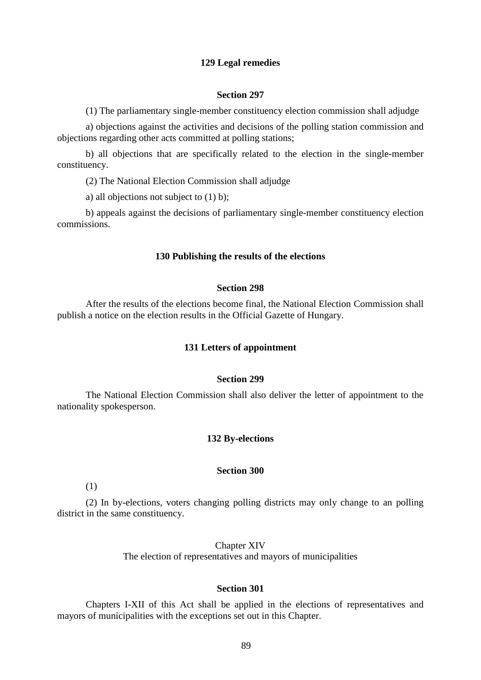# **129 Legal remedies**

## **Section 297**

(1) The parliamentary single-member constituency election commission shall adjudge

a) objections against the activities and decisions of the polling station commission and objections regarding other acts committed at polling stations;

b) all objections that are specifically related to the election in the single-member constituency.

(2) The National Election Commission shall adjudge

a) all objections not subject to (1) b);

b) appeals against the decisions of parliamentary single-member constituency election commissions.

## **130 Publishing the results of the elections**

## **Section 298**

After the results of the elections become final, the National Election Commission shall publish a notice on the election results in the Official Gazette of Hungary.

## **131 Letters of appointment**

# **Section 299**

The National Election Commission shall also deliver the letter of appointment to the nationality spokesperson.

# **132 By-elections**

## **Section 300**

(1)

(2) In by-elections, voters changing polling districts may only change to an polling district in the same constituency.

Chapter XIV

The election of representatives and mayors of municipalities

# **Section 301**

Chapters I-XII of this Act shall be applied in the elections of representatives and mayors of municipalities with the exceptions set out in this Chapter.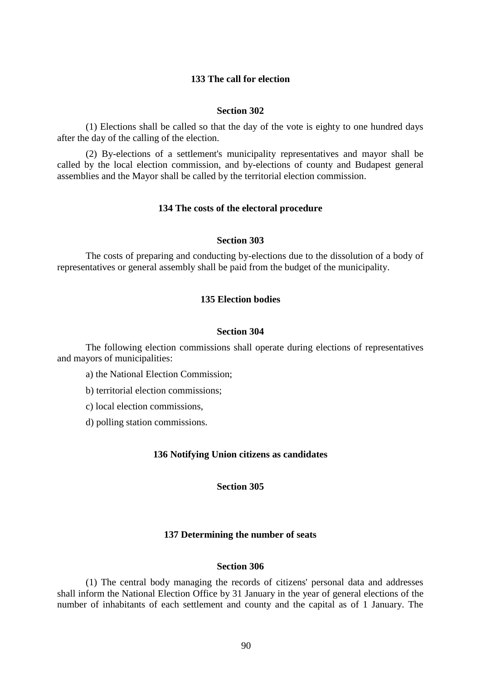# **133 The call for election**

# **Section 302**

(1) Elections shall be called so that the day of the vote is eighty to one hundred days after the day of the calling of the election.

(2) By-elections of a settlement's municipality representatives and mayor shall be called by the local election commission, and by-elections of county and Budapest general assemblies and the Mayor shall be called by the territorial election commission.

## **134 The costs of the electoral procedure**

## **Section 303**

The costs of preparing and conducting by-elections due to the dissolution of a body of representatives or general assembly shall be paid from the budget of the municipality.

## **135 Election bodies**

## **Section 304**

The following election commissions shall operate during elections of representatives and mayors of municipalities:

a) the National Election Commission;

b) territorial election commissions;

c) local election commissions,

d) polling station commissions.

# **136 Notifying Union citizens as candidates**

**Section 305**

### **137 Determining the number of seats**

## **Section 306**

(1) The central body managing the records of citizens' personal data and addresses shall inform the National Election Office by 31 January in the year of general elections of the number of inhabitants of each settlement and county and the capital as of 1 January. The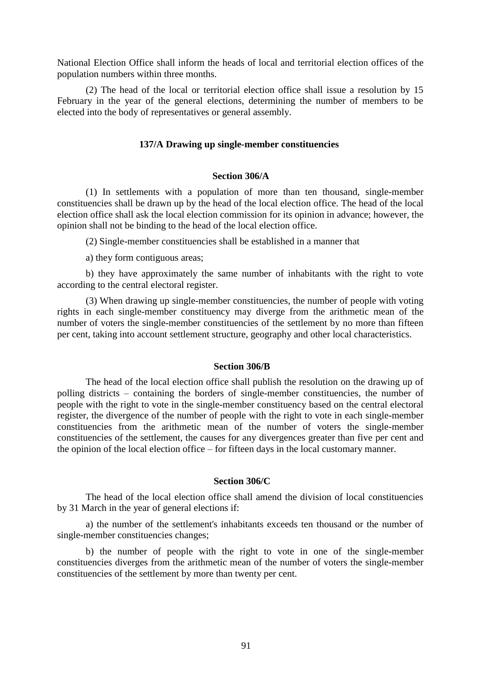National Election Office shall inform the heads of local and territorial election offices of the population numbers within three months.

(2) The head of the local or territorial election office shall issue a resolution by 15 February in the year of the general elections, determining the number of members to be elected into the body of representatives or general assembly.

## **137/A Drawing up single-member constituencies**

## **Section 306/A**

(1) In settlements with a population of more than ten thousand, single-member constituencies shall be drawn up by the head of the local election office. The head of the local election office shall ask the local election commission for its opinion in advance; however, the opinion shall not be binding to the head of the local election office.

(2) Single-member constituencies shall be established in a manner that

a) they form contiguous areas;

b) they have approximately the same number of inhabitants with the right to vote according to the central electoral register.

(3) When drawing up single-member constituencies, the number of people with voting rights in each single-member constituency may diverge from the arithmetic mean of the number of voters the single-member constituencies of the settlement by no more than fifteen per cent, taking into account settlement structure, geography and other local characteristics.

## **Section 306/B**

The head of the local election office shall publish the resolution on the drawing up of polling districts – containing the borders of single-member constituencies, the number of people with the right to vote in the single-member constituency based on the central electoral register, the divergence of the number of people with the right to vote in each single-member constituencies from the arithmetic mean of the number of voters the single-member constituencies of the settlement, the causes for any divergences greater than five per cent and the opinion of the local election office – for fifteen days in the local customary manner.

# **Section 306/C**

The head of the local election office shall amend the division of local constituencies by 31 March in the year of general elections if:

a) the number of the settlement's inhabitants exceeds ten thousand or the number of single-member constituencies changes;

b) the number of people with the right to vote in one of the single-member constituencies diverges from the arithmetic mean of the number of voters the single-member constituencies of the settlement by more than twenty per cent.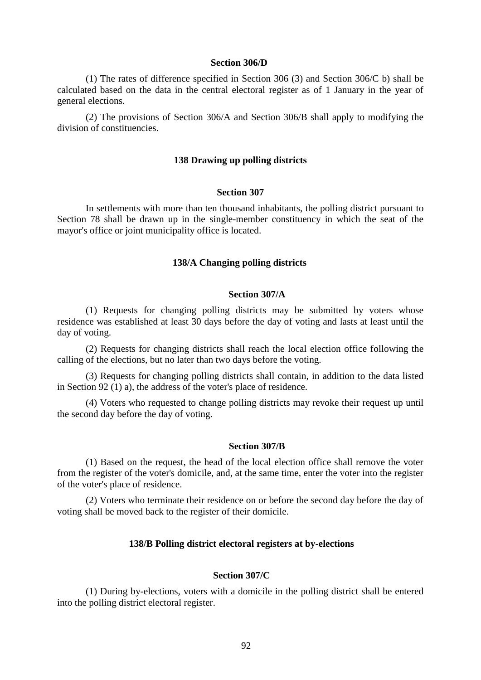### **Section 306/D**

(1) The rates of difference specified in Section 306 (3) and Section 306/C b) shall be calculated based on the data in the central electoral register as of 1 January in the year of general elections.

(2) The provisions of Section 306/A and Section 306/B shall apply to modifying the division of constituencies.

## **138 Drawing up polling districts**

# **Section 307**

In settlements with more than ten thousand inhabitants, the polling district pursuant to Section 78 shall be drawn up in the single-member constituency in which the seat of the mayor's office or joint municipality office is located.

## **138/A Changing polling districts**

#### **Section 307/A**

(1) Requests for changing polling districts may be submitted by voters whose residence was established at least 30 days before the day of voting and lasts at least until the day of voting.

(2) Requests for changing districts shall reach the local election office following the calling of the elections, but no later than two days before the voting.

(3) Requests for changing polling districts shall contain, in addition to the data listed in Section 92 (1) a), the address of the voter's place of residence.

(4) Voters who requested to change polling districts may revoke their request up until the second day before the day of voting.

### **Section 307/B**

(1) Based on the request, the head of the local election office shall remove the voter from the register of the voter's domicile, and, at the same time, enter the voter into the register of the voter's place of residence.

(2) Voters who terminate their residence on or before the second day before the day of voting shall be moved back to the register of their domicile.

## **138/B Polling district electoral registers at by-elections**

### **Section 307/C**

(1) During by-elections, voters with a domicile in the polling district shall be entered into the polling district electoral register.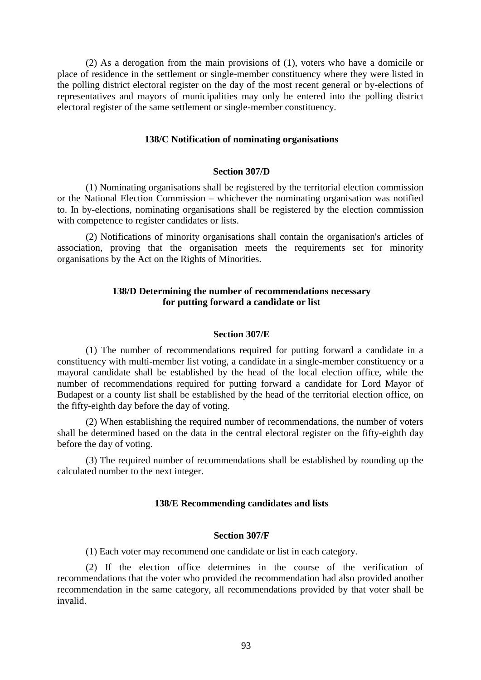(2) As a derogation from the main provisions of (1), voters who have a domicile or place of residence in the settlement or single-member constituency where they were listed in the polling district electoral register on the day of the most recent general or by-elections of representatives and mayors of municipalities may only be entered into the polling district electoral register of the same settlement or single-member constituency.

### **138/C Notification of nominating organisations**

#### **Section 307/D**

(1) Nominating organisations shall be registered by the territorial election commission or the National Election Commission – whichever the nominating organisation was notified to. In by-elections, nominating organisations shall be registered by the election commission with competence to register candidates or lists.

(2) Notifications of minority organisations shall contain the organisation's articles of association, proving that the organisation meets the requirements set for minority organisations by the Act on the Rights of Minorities.

# **138/D Determining the number of recommendations necessary for putting forward a candidate or list**

## **Section 307/E**

(1) The number of recommendations required for putting forward a candidate in a constituency with multi-member list voting, a candidate in a single-member constituency or a mayoral candidate shall be established by the head of the local election office, while the number of recommendations required for putting forward a candidate for Lord Mayor of Budapest or a county list shall be established by the head of the territorial election office, on the fifty-eighth day before the day of voting.

(2) When establishing the required number of recommendations, the number of voters shall be determined based on the data in the central electoral register on the fifty-eighth day before the day of voting.

(3) The required number of recommendations shall be established by rounding up the calculated number to the next integer.

## **138/E Recommending candidates and lists**

# **Section 307/F**

(1) Each voter may recommend one candidate or list in each category.

(2) If the election office determines in the course of the verification of recommendations that the voter who provided the recommendation had also provided another recommendation in the same category, all recommendations provided by that voter shall be invalid.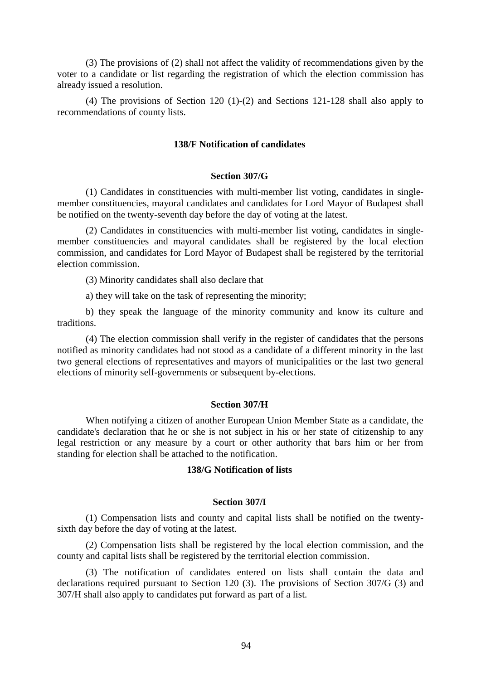(3) The provisions of (2) shall not affect the validity of recommendations given by the voter to a candidate or list regarding the registration of which the election commission has already issued a resolution.

(4) The provisions of Section 120 (1)-(2) and Sections 121-128 shall also apply to recommendations of county lists.

## **138/F Notification of candidates**

## **Section 307/G**

(1) Candidates in constituencies with multi-member list voting, candidates in singlemember constituencies, mayoral candidates and candidates for Lord Mayor of Budapest shall be notified on the twenty-seventh day before the day of voting at the latest.

(2) Candidates in constituencies with multi-member list voting, candidates in singlemember constituencies and mayoral candidates shall be registered by the local election commission, and candidates for Lord Mayor of Budapest shall be registered by the territorial election commission.

(3) Minority candidates shall also declare that

a) they will take on the task of representing the minority;

b) they speak the language of the minority community and know its culture and traditions.

(4) The election commission shall verify in the register of candidates that the persons notified as minority candidates had not stood as a candidate of a different minority in the last two general elections of representatives and mayors of municipalities or the last two general elections of minority self-governments or subsequent by-elections.

### **Section 307/H**

When notifying a citizen of another European Union Member State as a candidate, the candidate's declaration that he or she is not subject in his or her state of citizenship to any legal restriction or any measure by a court or other authority that bars him or her from standing for election shall be attached to the notification.

## **138/G Notification of lists**

# **Section 307/I**

(1) Compensation lists and county and capital lists shall be notified on the twentysixth day before the day of voting at the latest.

(2) Compensation lists shall be registered by the local election commission, and the county and capital lists shall be registered by the territorial election commission.

(3) The notification of candidates entered on lists shall contain the data and declarations required pursuant to Section 120 (3). The provisions of Section 307/G (3) and 307/H shall also apply to candidates put forward as part of a list.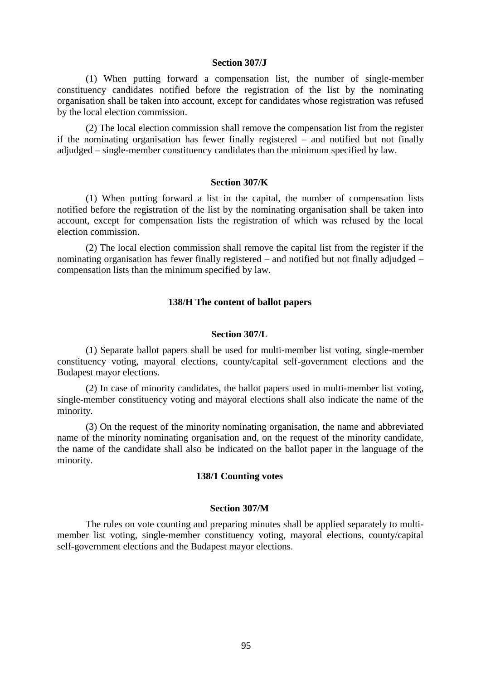#### **Section 307/J**

(1) When putting forward a compensation list, the number of single-member constituency candidates notified before the registration of the list by the nominating organisation shall be taken into account, except for candidates whose registration was refused by the local election commission.

(2) The local election commission shall remove the compensation list from the register if the nominating organisation has fewer finally registered – and notified but not finally adjudged – single-member constituency candidates than the minimum specified by law.

## **Section 307/K**

(1) When putting forward a list in the capital, the number of compensation lists notified before the registration of the list by the nominating organisation shall be taken into account, except for compensation lists the registration of which was refused by the local election commission.

(2) The local election commission shall remove the capital list from the register if the nominating organisation has fewer finally registered – and notified but not finally adjudged – compensation lists than the minimum specified by law.

## **138/H The content of ballot papers**

## **Section 307/L**

(1) Separate ballot papers shall be used for multi-member list voting, single-member constituency voting, mayoral elections, county/capital self-government elections and the Budapest mayor elections.

(2) In case of minority candidates, the ballot papers used in multi-member list voting, single-member constituency voting and mayoral elections shall also indicate the name of the minority.

(3) On the request of the minority nominating organisation, the name and abbreviated name of the minority nominating organisation and, on the request of the minority candidate, the name of the candidate shall also be indicated on the ballot paper in the language of the minority.

## **138/1 Counting votes**

## **Section 307/M**

The rules on vote counting and preparing minutes shall be applied separately to multimember list voting, single-member constituency voting, mayoral elections, county/capital self-government elections and the Budapest mayor elections.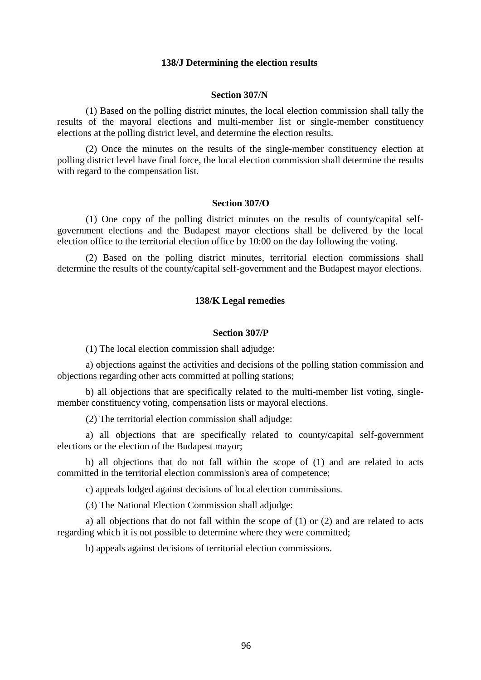## **138/J Determining the election results**

## **Section 307/N**

(1) Based on the polling district minutes, the local election commission shall tally the results of the mayoral elections and multi-member list or single-member constituency elections at the polling district level, and determine the election results.

(2) Once the minutes on the results of the single-member constituency election at polling district level have final force, the local election commission shall determine the results with regard to the compensation list.

## **Section 307/O**

(1) One copy of the polling district minutes on the results of county/capital selfgovernment elections and the Budapest mayor elections shall be delivered by the local election office to the territorial election office by 10:00 on the day following the voting.

(2) Based on the polling district minutes, territorial election commissions shall determine the results of the county/capital self-government and the Budapest mayor elections.

# **138/K Legal remedies**

## **Section 307/P**

(1) The local election commission shall adjudge:

a) objections against the activities and decisions of the polling station commission and objections regarding other acts committed at polling stations;

b) all objections that are specifically related to the multi-member list voting, singlemember constituency voting, compensation lists or mayoral elections.

(2) The territorial election commission shall adjudge:

a) all objections that are specifically related to county/capital self-government elections or the election of the Budapest mayor;

b) all objections that do not fall within the scope of (1) and are related to acts committed in the territorial election commission's area of competence;

c) appeals lodged against decisions of local election commissions.

(3) The National Election Commission shall adjudge:

a) all objections that do not fall within the scope of (1) or (2) and are related to acts regarding which it is not possible to determine where they were committed;

b) appeals against decisions of territorial election commissions.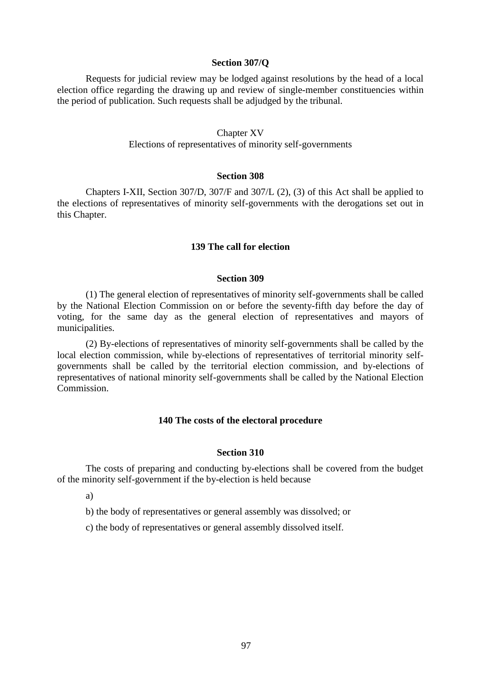# **Section 307/Q**

Requests for judicial review may be lodged against resolutions by the head of a local election office regarding the drawing up and review of single-member constituencies within the period of publication. Such requests shall be adjudged by the tribunal.

## Chapter XV

Elections of representatives of minority self-governments

# **Section 308**

Chapters I-XII, Section 307/D, 307/F and 307/L (2), (3) of this Act shall be applied to the elections of representatives of minority self-governments with the derogations set out in this Chapter.

# **139 The call for election**

## **Section 309**

(1) The general election of representatives of minority self-governments shall be called by the National Election Commission on or before the seventy-fifth day before the day of voting, for the same day as the general election of representatives and mayors of municipalities.

(2) By-elections of representatives of minority self-governments shall be called by the local election commission, while by-elections of representatives of territorial minority selfgovernments shall be called by the territorial election commission, and by-elections of representatives of national minority self-governments shall be called by the National Election Commission.

## **140 The costs of the electoral procedure**

#### **Section 310**

The costs of preparing and conducting by-elections shall be covered from the budget of the minority self-government if the by-election is held because

a)

b) the body of representatives or general assembly was dissolved; or

c) the body of representatives or general assembly dissolved itself.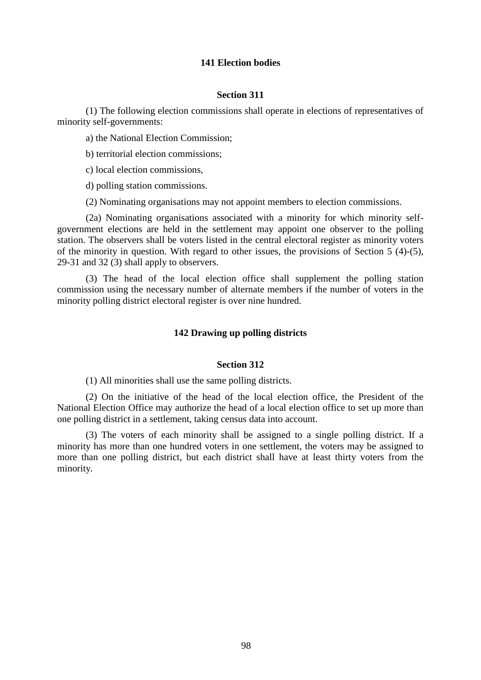## **141 Election bodies**

# **Section 311**

(1) The following election commissions shall operate in elections of representatives of minority self-governments:

a) the National Election Commission;

b) territorial election commissions;

c) local election commissions,

d) polling station commissions.

(2) Nominating organisations may not appoint members to election commissions.

(2a) Nominating organisations associated with a minority for which minority selfgovernment elections are held in the settlement may appoint one observer to the polling station. The observers shall be voters listed in the central electoral register as minority voters of the minority in question. With regard to other issues, the provisions of Section 5 (4)-(5), 29-31 and 32 (3) shall apply to observers.

(3) The head of the local election office shall supplement the polling station commission using the necessary number of alternate members if the number of voters in the minority polling district electoral register is over nine hundred.

## **142 Drawing up polling districts**

## **Section 312**

(1) All minorities shall use the same polling districts.

(2) On the initiative of the head of the local election office, the President of the National Election Office may authorize the head of a local election office to set up more than one polling district in a settlement, taking census data into account.

(3) The voters of each minority shall be assigned to a single polling district. If a minority has more than one hundred voters in one settlement, the voters may be assigned to more than one polling district, but each district shall have at least thirty voters from the minority.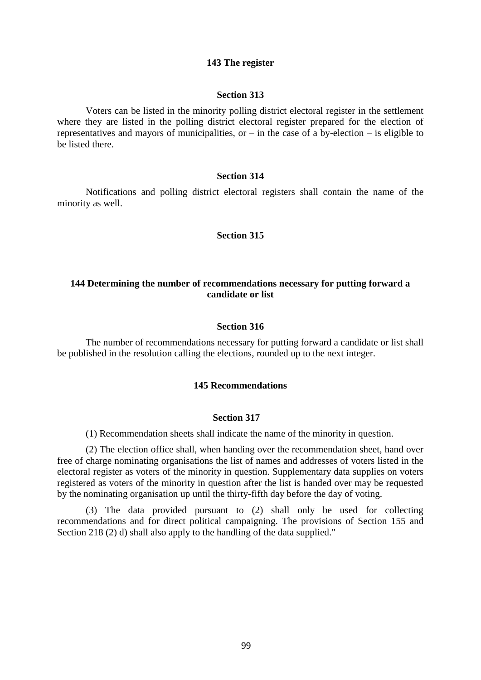## **143 The register**

## **Section 313**

Voters can be listed in the minority polling district electoral register in the settlement where they are listed in the polling district electoral register prepared for the election of representatives and mayors of municipalities, or  $-$  in the case of a by-election  $-$  is eligible to be listed there.

# **Section 314**

Notifications and polling district electoral registers shall contain the name of the minority as well.

# **Section 315**

# **144 Determining the number of recommendations necessary for putting forward a candidate or list**

# **Section 316**

The number of recommendations necessary for putting forward a candidate or list shall be published in the resolution calling the elections, rounded up to the next integer.

# **145 Recommendations**

#### **Section 317**

(1) Recommendation sheets shall indicate the name of the minority in question.

(2) The election office shall, when handing over the recommendation sheet, hand over free of charge nominating organisations the list of names and addresses of voters listed in the electoral register as voters of the minority in question. Supplementary data supplies on voters registered as voters of the minority in question after the list is handed over may be requested by the nominating organisation up until the thirty-fifth day before the day of voting.

(3) The data provided pursuant to (2) shall only be used for collecting recommendations and for direct political campaigning. The provisions of Section 155 and Section 218 (2) d) shall also apply to the handling of the data supplied."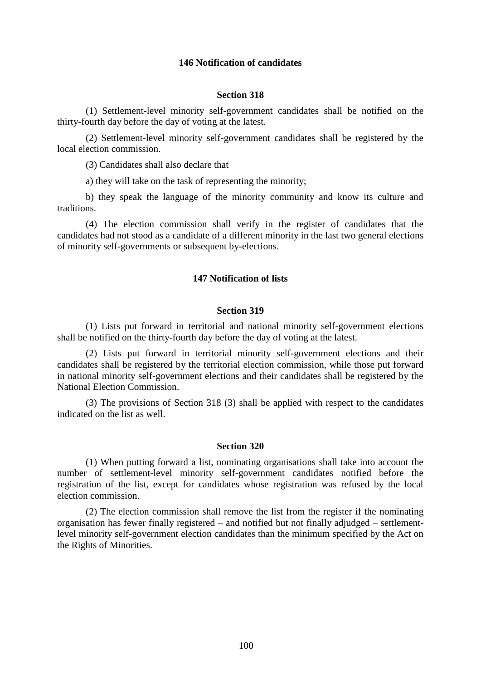# **146 Notification of candidates**

# **Section 318**

(1) Settlement-level minority self-government candidates shall be notified on the thirty-fourth day before the day of voting at the latest.

(2) Settlement-level minority self-government candidates shall be registered by the local election commission.

(3) Candidates shall also declare that

a) they will take on the task of representing the minority;

b) they speak the language of the minority community and know its culture and traditions.

(4) The election commission shall verify in the register of candidates that the candidates had not stood as a candidate of a different minority in the last two general elections of minority self-governments or subsequent by-elections.

# **147 Notification of lists**

#### **Section 319**

(1) Lists put forward in territorial and national minority self-government elections shall be notified on the thirty-fourth day before the day of voting at the latest.

(2) Lists put forward in territorial minority self-government elections and their candidates shall be registered by the territorial election commission, while those put forward in national minority self-government elections and their candidates shall be registered by the National Election Commission.

(3) The provisions of Section 318 (3) shall be applied with respect to the candidates indicated on the list as well.

### **Section 320**

(1) When putting forward a list, nominating organisations shall take into account the number of settlement-level minority self-government candidates notified before the registration of the list, except for candidates whose registration was refused by the local election commission.

(2) The election commission shall remove the list from the register if the nominating organisation has fewer finally registered – and notified but not finally adjudged – settlementlevel minority self-government election candidates than the minimum specified by the Act on the Rights of Minorities.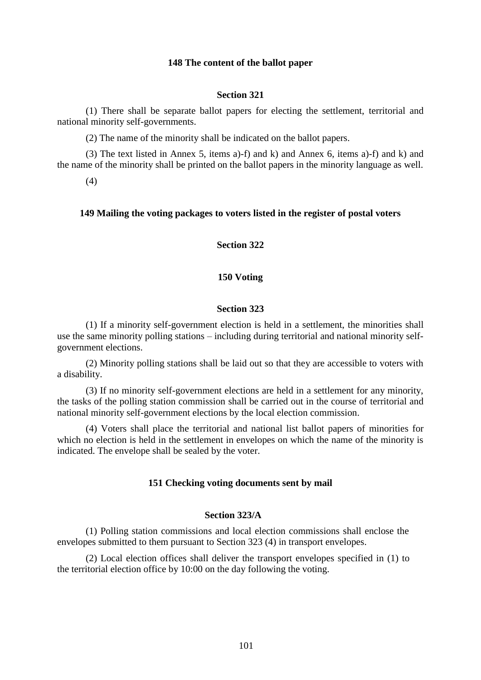## **148 The content of the ballot paper**

# **Section 321**

(1) There shall be separate ballot papers for electing the settlement, territorial and national minority self-governments.

(2) The name of the minority shall be indicated on the ballot papers.

(3) The text listed in Annex 5, items a)-f) and k) and Annex 6, items a)-f) and k) and the name of the minority shall be printed on the ballot papers in the minority language as well.

(4)

## **149 Mailing the voting packages to voters listed in the register of postal voters**

**Section 322**

# **150 Voting**

# **Section 323**

(1) If a minority self-government election is held in a settlement, the minorities shall use the same minority polling stations – including during territorial and national minority selfgovernment elections.

(2) Minority polling stations shall be laid out so that they are accessible to voters with a disability.

(3) If no minority self-government elections are held in a settlement for any minority, the tasks of the polling station commission shall be carried out in the course of territorial and national minority self-government elections by the local election commission.

(4) Voters shall place the territorial and national list ballot papers of minorities for which no election is held in the settlement in envelopes on which the name of the minority is indicated. The envelope shall be sealed by the voter.

## **151 Checking voting documents sent by mail**

#### **Section 323/A**

(1) Polling station commissions and local election commissions shall enclose the envelopes submitted to them pursuant to Section 323 (4) in transport envelopes.

(2) Local election offices shall deliver the transport envelopes specified in (1) to the territorial election office by 10:00 on the day following the voting.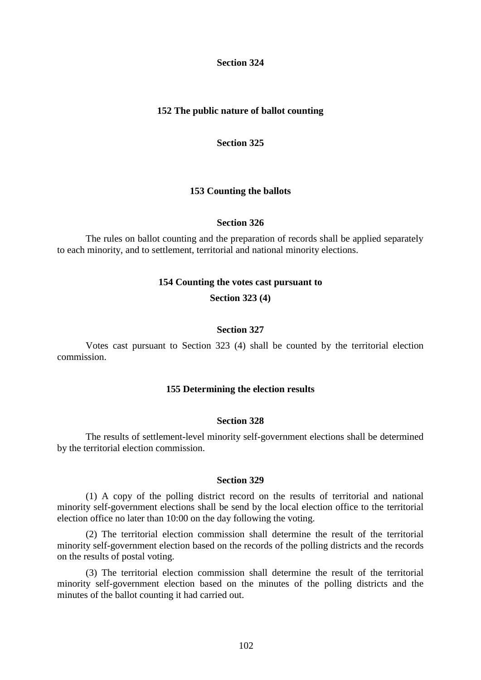**Section 324**

# **152 The public nature of ballot counting**

**Section 325**

## **153 Counting the ballots**

#### **Section 326**

The rules on ballot counting and the preparation of records shall be applied separately to each minority, and to settlement, territorial and national minority elections.

## **154 Counting the votes cast pursuant to**

**Section 323 (4)**

#### **Section 327**

Votes cast pursuant to Section 323 (4) shall be counted by the territorial election commission.

## **155 Determining the election results**

## **Section 328**

The results of settlement-level minority self-government elections shall be determined by the territorial election commission.

## **Section 329**

(1) A copy of the polling district record on the results of territorial and national minority self-government elections shall be send by the local election office to the territorial election office no later than 10:00 on the day following the voting.

(2) The territorial election commission shall determine the result of the territorial minority self-government election based on the records of the polling districts and the records on the results of postal voting.

(3) The territorial election commission shall determine the result of the territorial minority self-government election based on the minutes of the polling districts and the minutes of the ballot counting it had carried out.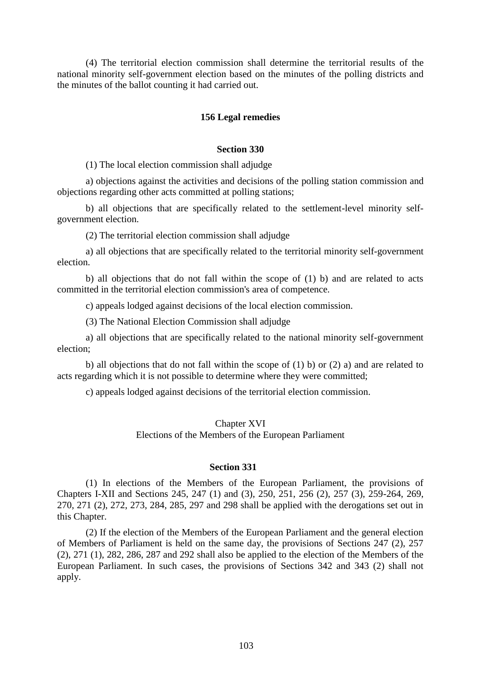(4) The territorial election commission shall determine the territorial results of the national minority self-government election based on the minutes of the polling districts and the minutes of the ballot counting it had carried out.

# **156 Legal remedies**

## **Section 330**

(1) The local election commission shall adjudge

a) objections against the activities and decisions of the polling station commission and objections regarding other acts committed at polling stations;

b) all objections that are specifically related to the settlement-level minority selfgovernment election.

(2) The territorial election commission shall adjudge

a) all objections that are specifically related to the territorial minority self-government election.

b) all objections that do not fall within the scope of (1) b) and are related to acts committed in the territorial election commission's area of competence.

c) appeals lodged against decisions of the local election commission.

(3) The National Election Commission shall adjudge

a) all objections that are specifically related to the national minority self-government election;

b) all objections that do not fall within the scope of (1) b) or (2) a) and are related to acts regarding which it is not possible to determine where they were committed;

c) appeals lodged against decisions of the territorial election commission.

#### Chapter XVI

Elections of the Members of the European Parliament

#### **Section 331**

(1) In elections of the Members of the European Parliament, the provisions of Chapters I-XII and Sections 245, 247 (1) and (3), 250, 251, 256 (2), 257 (3), 259-264, 269, 270, 271 (2), 272, 273, 284, 285, 297 and 298 shall be applied with the derogations set out in this Chapter.

(2) If the election of the Members of the European Parliament and the general election of Members of Parliament is held on the same day, the provisions of Sections 247 (2), 257 (2), 271 (1), 282, 286, 287 and 292 shall also be applied to the election of the Members of the European Parliament. In such cases, the provisions of Sections 342 and 343 (2) shall not apply.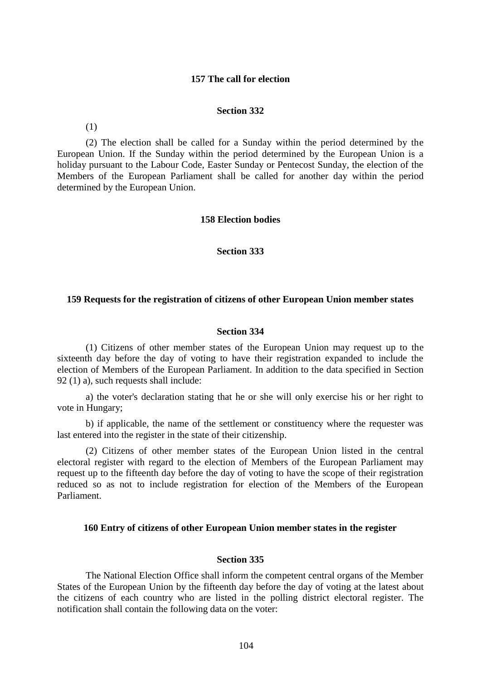# **157 The call for election**

## **Section 332**

(1)

(2) The election shall be called for a Sunday within the period determined by the European Union. If the Sunday within the period determined by the European Union is a holiday pursuant to the Labour Code, Easter Sunday or Pentecost Sunday, the election of the Members of the European Parliament shall be called for another day within the period determined by the European Union.

#### **158 Election bodies**

#### **Section 333**

#### **159 Requests for the registration of citizens of other European Union member states**

#### **Section 334**

(1) Citizens of other member states of the European Union may request up to the sixteenth day before the day of voting to have their registration expanded to include the election of Members of the European Parliament. In addition to the data specified in Section 92 (1) a), such requests shall include:

a) the voter's declaration stating that he or she will only exercise his or her right to vote in Hungary;

b) if applicable, the name of the settlement or constituency where the requester was last entered into the register in the state of their citizenship.

(2) Citizens of other member states of the European Union listed in the central electoral register with regard to the election of Members of the European Parliament may request up to the fifteenth day before the day of voting to have the scope of their registration reduced so as not to include registration for election of the Members of the European Parliament.

#### **160 Entry of citizens of other European Union member states in the register**

#### **Section 335**

The National Election Office shall inform the competent central organs of the Member States of the European Union by the fifteenth day before the day of voting at the latest about the citizens of each country who are listed in the polling district electoral register. The notification shall contain the following data on the voter: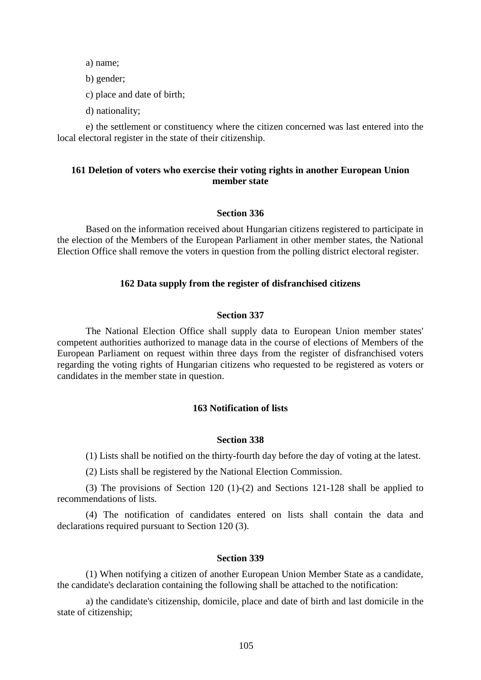a) name;

- b) gender;
- c) place and date of birth;
- d) nationality;

e) the settlement or constituency where the citizen concerned was last entered into the local electoral register in the state of their citizenship.

# **161 Deletion of voters who exercise their voting rights in another European Union member state**

### **Section 336**

Based on the information received about Hungarian citizens registered to participate in the election of the Members of the European Parliament in other member states, the National Election Office shall remove the voters in question from the polling district electoral register.

## **162 Data supply from the register of disfranchised citizens**

# **Section 337**

The National Election Office shall supply data to European Union member states' competent authorities authorized to manage data in the course of elections of Members of the European Parliament on request within three days from the register of disfranchised voters regarding the voting rights of Hungarian citizens who requested to be registered as voters or candidates in the member state in question.

## **163 Notification of lists**

# **Section 338**

(1) Lists shall be notified on the thirty-fourth day before the day of voting at the latest.

(2) Lists shall be registered by the National Election Commission.

(3) The provisions of Section 120 (1)-(2) and Sections 121-128 shall be applied to recommendations of lists.

(4) The notification of candidates entered on lists shall contain the data and declarations required pursuant to Section 120 (3).

#### **Section 339**

(1) When notifying a citizen of another European Union Member State as a candidate, the candidate's declaration containing the following shall be attached to the notification:

a) the candidate's citizenship, domicile, place and date of birth and last domicile in the state of citizenship;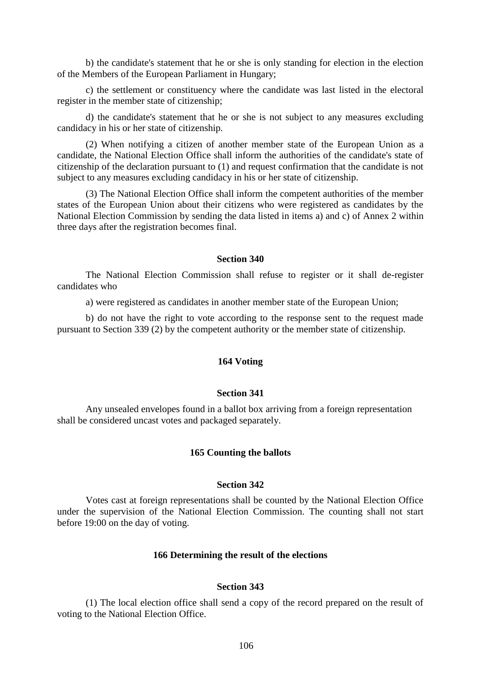b) the candidate's statement that he or she is only standing for election in the election of the Members of the European Parliament in Hungary;

c) the settlement or constituency where the candidate was last listed in the electoral register in the member state of citizenship;

d) the candidate's statement that he or she is not subject to any measures excluding candidacy in his or her state of citizenship.

(2) When notifying a citizen of another member state of the European Union as a candidate, the National Election Office shall inform the authorities of the candidate's state of citizenship of the declaration pursuant to (1) and request confirmation that the candidate is not subject to any measures excluding candidacy in his or her state of citizenship.

(3) The National Election Office shall inform the competent authorities of the member states of the European Union about their citizens who were registered as candidates by the National Election Commission by sending the data listed in items a) and c) of Annex 2 within three days after the registration becomes final.

#### **Section 340**

The National Election Commission shall refuse to register or it shall de-register candidates who

a) were registered as candidates in another member state of the European Union;

b) do not have the right to vote according to the response sent to the request made pursuant to Section 339 (2) by the competent authority or the member state of citizenship.

# **164 Voting**

## **Section 341**

Any unsealed envelopes found in a ballot box arriving from a foreign representation shall be considered uncast votes and packaged separately.

#### **165 Counting the ballots**

#### **Section 342**

Votes cast at foreign representations shall be counted by the National Election Office under the supervision of the National Election Commission. The counting shall not start before 19:00 on the day of voting.

### **166 Determining the result of the elections**

#### **Section 343**

(1) The local election office shall send a copy of the record prepared on the result of voting to the National Election Office.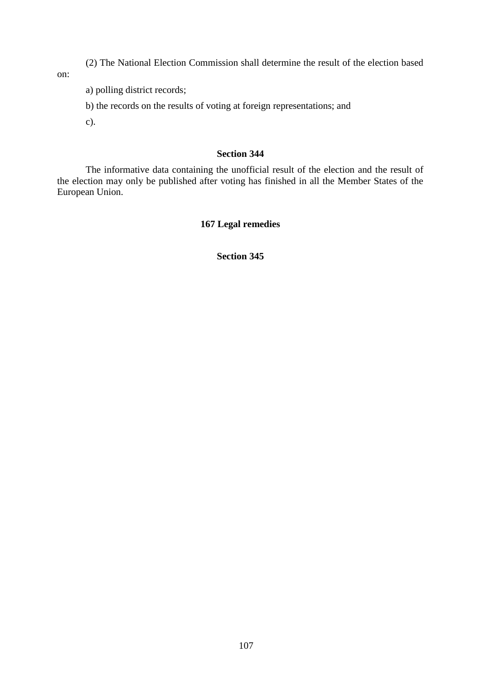(2) The National Election Commission shall determine the result of the election based

on:

a) polling district records;

b) the records on the results of voting at foreign representations; and

c).

# **Section 344**

The informative data containing the unofficial result of the election and the result of the election may only be published after voting has finished in all the Member States of the European Union.

# **167 Legal remedies**

**Section 345**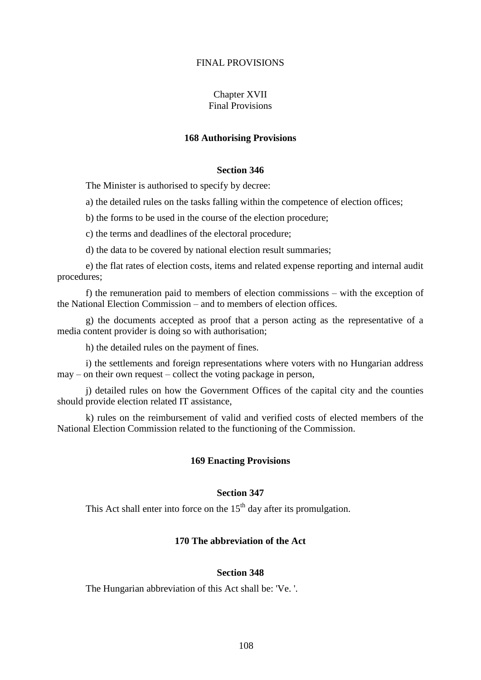## FINAL PROVISIONS

## Chapter XVII Final Provisions

### **168 Authorising Provisions**

#### **Section 346**

The Minister is authorised to specify by decree:

a) the detailed rules on the tasks falling within the competence of election offices;

b) the forms to be used in the course of the election procedure;

c) the terms and deadlines of the electoral procedure;

d) the data to be covered by national election result summaries;

e) the flat rates of election costs, items and related expense reporting and internal audit procedures;

f) the remuneration paid to members of election commissions – with the exception of the National Election Commission – and to members of election offices.

g) the documents accepted as proof that a person acting as the representative of a media content provider is doing so with authorisation;

h) the detailed rules on the payment of fines.

i) the settlements and foreign representations where voters with no Hungarian address may – on their own request – collect the voting package in person,

j) detailed rules on how the Government Offices of the capital city and the counties should provide election related IT assistance,

k) rules on the reimbursement of valid and verified costs of elected members of the National Election Commission related to the functioning of the Commission.

#### **169 Enacting Provisions**

## **Section 347**

This Act shall enter into force on the  $15<sup>th</sup>$  day after its promulgation.

# **170 The abbreviation of the Act**

### **Section 348**

The Hungarian abbreviation of this Act shall be: 'Ve. '.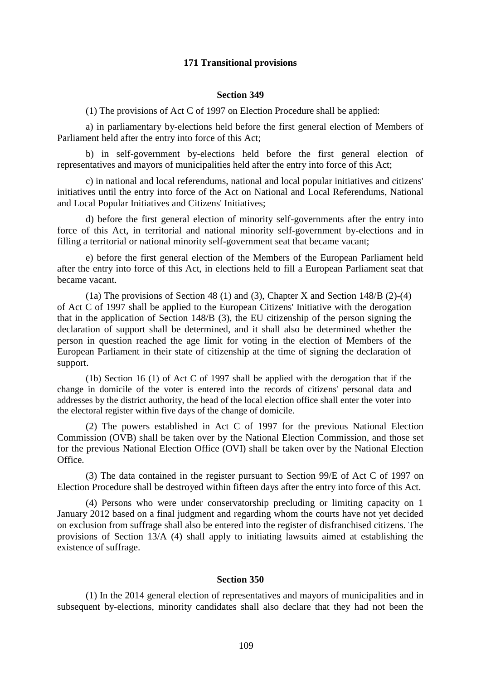### **171 Transitional provisions**

### **Section 349**

(1) The provisions of Act C of 1997 on Election Procedure shall be applied:

a) in parliamentary by-elections held before the first general election of Members of Parliament held after the entry into force of this Act;

b) in self-government by-elections held before the first general election of representatives and mayors of municipalities held after the entry into force of this Act;

c) in national and local referendums, national and local popular initiatives and citizens' initiatives until the entry into force of the Act on National and Local Referendums, National and Local Popular Initiatives and Citizens' Initiatives;

d) before the first general election of minority self-governments after the entry into force of this Act, in territorial and national minority self-government by-elections and in filling a territorial or national minority self-government seat that became vacant;

e) before the first general election of the Members of the European Parliament held after the entry into force of this Act, in elections held to fill a European Parliament seat that became vacant.

(1a) The provisions of Section 48 (1) and (3), Chapter X and Section 148/B (2)-(4) of Act C of 1997 shall be applied to the European Citizens' Initiative with the derogation that in the application of Section 148/B (3), the EU citizenship of the person signing the declaration of support shall be determined, and it shall also be determined whether the person in question reached the age limit for voting in the election of Members of the European Parliament in their state of citizenship at the time of signing the declaration of support.

(1b) Section 16 (1) of Act C of 1997 shall be applied with the derogation that if the change in domicile of the voter is entered into the records of citizens' personal data and addresses by the district authority, the head of the local election office shall enter the voter into the electoral register within five days of the change of domicile.

(2) The powers established in Act C of 1997 for the previous National Election Commission (OVB) shall be taken over by the National Election Commission, and those set for the previous National Election Office (OVI) shall be taken over by the National Election Office.

(3) The data contained in the register pursuant to Section 99/E of Act C of 1997 on Election Procedure shall be destroyed within fifteen days after the entry into force of this Act.

(4) Persons who were under conservatorship precluding or limiting capacity on 1 January 2012 based on a final judgment and regarding whom the courts have not yet decided on exclusion from suffrage shall also be entered into the register of disfranchised citizens. The provisions of Section 13/A (4) shall apply to initiating lawsuits aimed at establishing the existence of suffrage.

## **Section 350**

(1) In the 2014 general election of representatives and mayors of municipalities and in subsequent by-elections, minority candidates shall also declare that they had not been the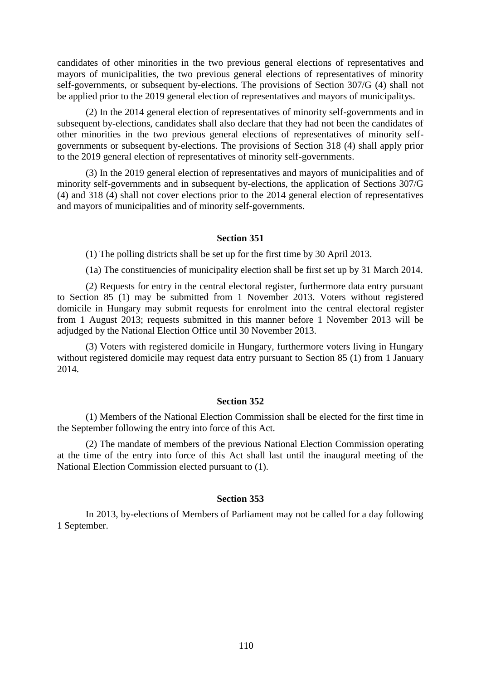candidates of other minorities in the two previous general elections of representatives and mayors of municipalities, the two previous general elections of representatives of minority self-governments, or subsequent by-elections. The provisions of Section 307/G (4) shall not be applied prior to the 2019 general election of representatives and mayors of municipalitys.

(2) In the 2014 general election of representatives of minority self-governments and in subsequent by-elections, candidates shall also declare that they had not been the candidates of other minorities in the two previous general elections of representatives of minority selfgovernments or subsequent by-elections. The provisions of Section 318 (4) shall apply prior to the 2019 general election of representatives of minority self-governments.

(3) In the 2019 general election of representatives and mayors of municipalities and of minority self-governments and in subsequent by-elections, the application of Sections 307/G (4) and 318 (4) shall not cover elections prior to the 2014 general election of representatives and mayors of municipalities and of minority self-governments.

### **Section 351**

(1) The polling districts shall be set up for the first time by 30 April 2013.

(1a) The constituencies of municipality election shall be first set up by 31 March 2014.

(2) Requests for entry in the central electoral register, furthermore data entry pursuant to Section 85 (1) may be submitted from 1 November 2013. Voters without registered domicile in Hungary may submit requests for enrolment into the central electoral register from 1 August 2013; requests submitted in this manner before 1 November 2013 will be adjudged by the National Election Office until 30 November 2013.

(3) Voters with registered domicile in Hungary, furthermore voters living in Hungary without registered domicile may request data entry pursuant to Section 85 (1) from 1 January 2014.

### **Section 352**

(1) Members of the National Election Commission shall be elected for the first time in the September following the entry into force of this Act.

(2) The mandate of members of the previous National Election Commission operating at the time of the entry into force of this Act shall last until the inaugural meeting of the National Election Commission elected pursuant to (1).

### **Section 353**

In 2013, by-elections of Members of Parliament may not be called for a day following 1 September.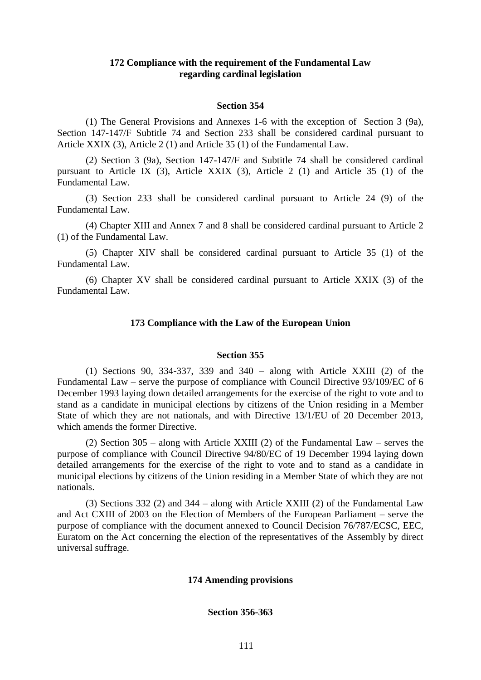## **172 Compliance with the requirement of the Fundamental Law regarding cardinal legislation**

#### **Section 354**

(1) The General Provisions and Annexes 1-6 with the exception of Section 3 (9a), Section 147-147/F Subtitle 74 and Section 233 shall be considered cardinal pursuant to Article XXIX (3), Article 2 (1) and Article 35 (1) of the Fundamental Law.

(2) Section 3 (9a), Section 147-147/F and Subtitle 74 shall be considered cardinal pursuant to Article IX (3), Article XXIX (3), Article 2 (1) and Article 35 (1) of the Fundamental Law.

(3) Section 233 shall be considered cardinal pursuant to Article 24 (9) of the Fundamental Law.

(4) Chapter XIII and Annex 7 and 8 shall be considered cardinal pursuant to Article 2 (1) of the Fundamental Law.

(5) Chapter XIV shall be considered cardinal pursuant to Article 35 (1) of the Fundamental Law.

(6) Chapter XV shall be considered cardinal pursuant to Article XXIX (3) of the Fundamental Law.

## **173 Compliance with the Law of the European Union**

#### **Section 355**

(1) Sections 90, 334-337, 339 and 340 – along with Article XXIII (2) of the Fundamental Law – serve the purpose of compliance with Council Directive 93/109/EC of 6 December 1993 laying down detailed arrangements for the exercise of the right to vote and to stand as a candidate in municipal elections by citizens of the Union residing in a Member State of which they are not nationals, and with Directive 13/1/EU of 20 December 2013, which amends the former Directive.

(2) Section 305 – along with Article XXIII (2) of the Fundamental Law – serves the purpose of compliance with Council Directive 94/80/EC of 19 December 1994 laying down detailed arrangements for the exercise of the right to vote and to stand as a candidate in municipal elections by citizens of the Union residing in a Member State of which they are not nationals.

(3) Sections 332 (2) and 344 – along with Article XXIII (2) of the Fundamental Law and Act CXIII of 2003 on the Election of Members of the European Parliament – serve the purpose of compliance with the document annexed to Council Decision 76/787/ECSC, EEC, Euratom on the Act concerning the election of the representatives of the Assembly by direct universal suffrage.

### **174 Amending provisions**

### **Section 356-363**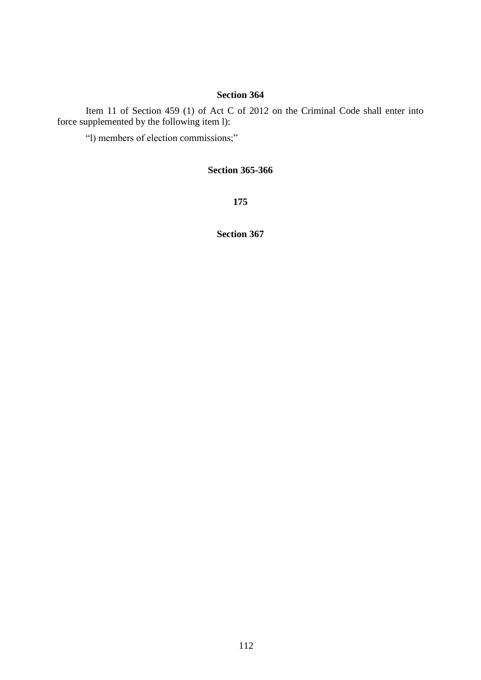# **Section 364**

Item 11 of Section 459 (1) of Act C of 2012 on the Criminal Code shall enter into force supplemented by the following item l):

"l) members of election commissions;"

## **Section 365-366**

**175**

**Section 367**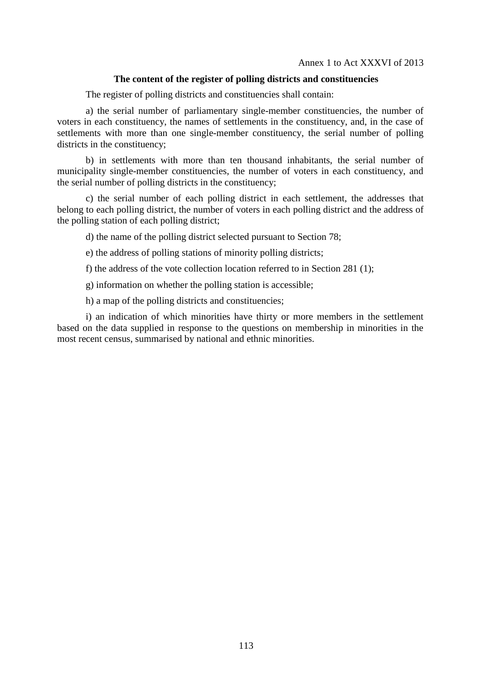### **The content of the register of polling districts and constituencies**

The register of polling districts and constituencies shall contain:

a) the serial number of parliamentary single-member constituencies, the number of voters in each constituency, the names of settlements in the constituency, and, in the case of settlements with more than one single-member constituency, the serial number of polling districts in the constituency;

b) in settlements with more than ten thousand inhabitants, the serial number of municipality single-member constituencies, the number of voters in each constituency, and the serial number of polling districts in the constituency;

c) the serial number of each polling district in each settlement, the addresses that belong to each polling district, the number of voters in each polling district and the address of the polling station of each polling district;

d) the name of the polling district selected pursuant to Section 78;

e) the address of polling stations of minority polling districts;

f) the address of the vote collection location referred to in Section 281 (1);

g) information on whether the polling station is accessible;

h) a map of the polling districts and constituencies;

i) an indication of which minorities have thirty or more members in the settlement based on the data supplied in response to the questions on membership in minorities in the most recent census, summarised by national and ethnic minorities.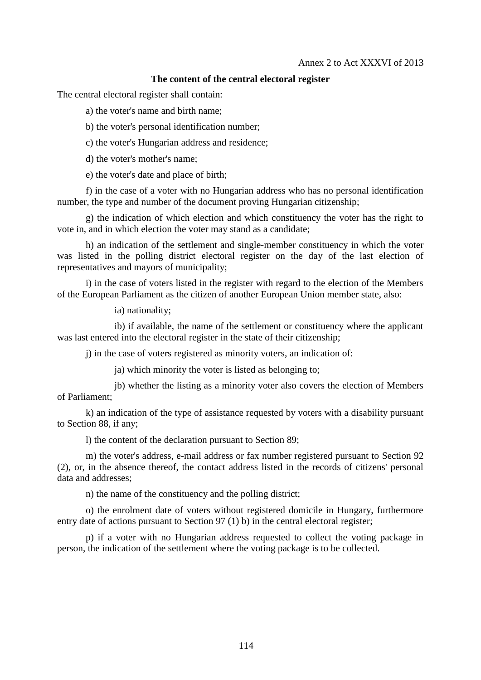## **The content of the central electoral register**

The central electoral register shall contain:

a) the voter's name and birth name;

- b) the voter's personal identification number;
- c) the voter's Hungarian address and residence;
- d) the voter's mother's name;

e) the voter's date and place of birth;

f) in the case of a voter with no Hungarian address who has no personal identification number, the type and number of the document proving Hungarian citizenship;

g) the indication of which election and which constituency the voter has the right to vote in, and in which election the voter may stand as a candidate;

h) an indication of the settlement and single-member constituency in which the voter was listed in the polling district electoral register on the day of the last election of representatives and mayors of municipality;

i) in the case of voters listed in the register with regard to the election of the Members of the European Parliament as the citizen of another European Union member state, also:

ia) nationality;

ib) if available, the name of the settlement or constituency where the applicant was last entered into the electoral register in the state of their citizenship;

j) in the case of voters registered as minority voters, an indication of:

ja) which minority the voter is listed as belonging to;

jb) whether the listing as a minority voter also covers the election of Members of Parliament;

k) an indication of the type of assistance requested by voters with a disability pursuant to Section 88, if any;

l) the content of the declaration pursuant to Section 89;

m) the voter's address, e-mail address or fax number registered pursuant to Section 92 (2), or, in the absence thereof, the contact address listed in the records of citizens' personal data and addresses;

n) the name of the constituency and the polling district;

o) the enrolment date of voters without registered domicile in Hungary, furthermore entry date of actions pursuant to Section 97 (1) b) in the central electoral register;

p) if a voter with no Hungarian address requested to collect the voting package in person, the indication of the settlement where the voting package is to be collected.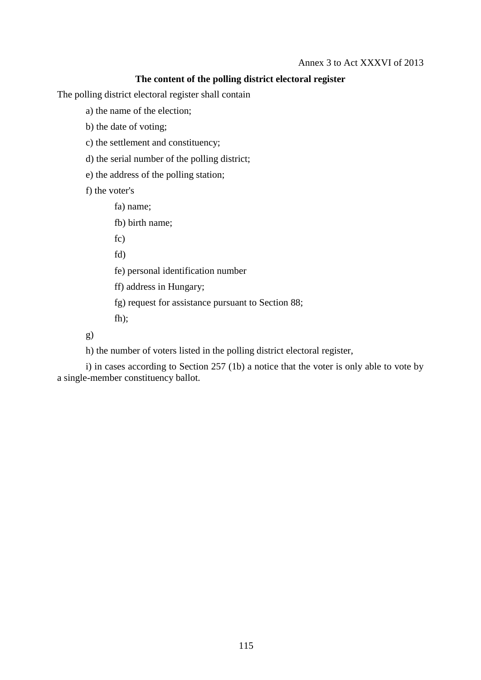## **The content of the polling district electoral register**

The polling district electoral register shall contain

a) the name of the election;

b) the date of voting;

c) the settlement and constituency;

d) the serial number of the polling district;

e) the address of the polling station;

f) the voter's

fa) name;

fb) birth name;

fc)

fd)

fe) personal identification number

ff) address in Hungary;

fg) request for assistance pursuant to Section 88;

fh);

g)

h) the number of voters listed in the polling district electoral register,

i) in cases according to Section 257 (1b) a notice that the voter is only able to vote by a single-member constituency ballot.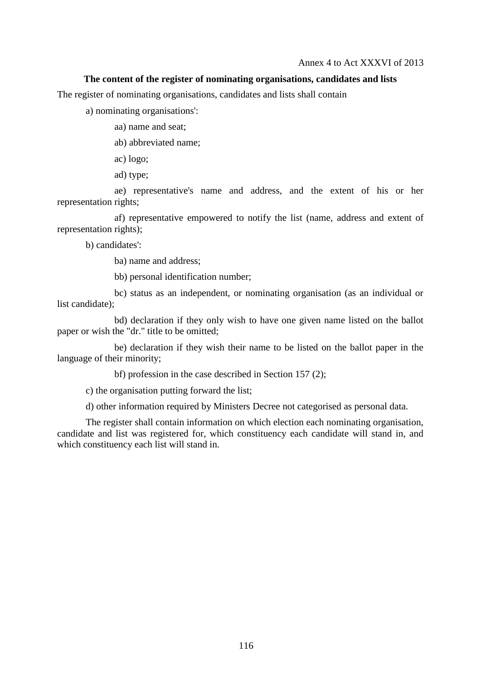### **The content of the register of nominating organisations, candidates and lists**

The register of nominating organisations, candidates and lists shall contain

a) nominating organisations':

aa) name and seat;

ab) abbreviated name;

ac) logo;

ad) type;

ae) representative's name and address, and the extent of his or her representation rights;

af) representative empowered to notify the list (name, address and extent of representation rights);

b) candidates':

ba) name and address;

bb) personal identification number;

bc) status as an independent, or nominating organisation (as an individual or list candidate);

bd) declaration if they only wish to have one given name listed on the ballot paper or wish the "dr." title to be omitted;

be) declaration if they wish their name to be listed on the ballot paper in the language of their minority;

bf) profession in the case described in Section 157 (2);

c) the organisation putting forward the list;

d) other information required by Ministers Decree not categorised as personal data.

The register shall contain information on which election each nominating organisation, candidate and list was registered for, which constituency each candidate will stand in, and which constituency each list will stand in.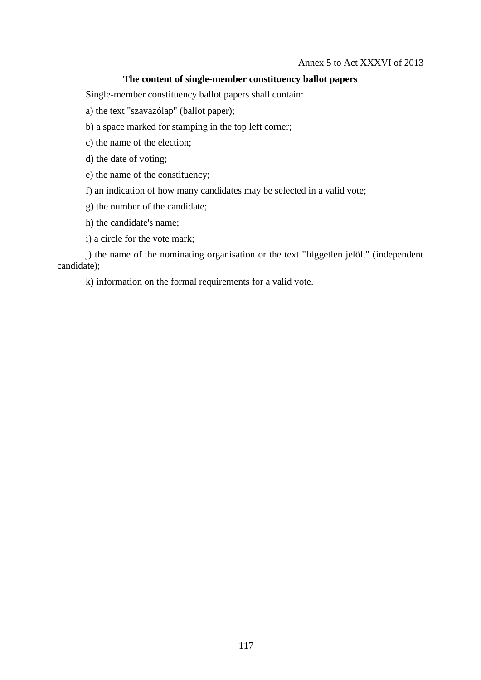## Annex 5 to Act XXXVI of 2013

## **The content of single-member constituency ballot papers**

Single-member constituency ballot papers shall contain:

a) the text "szavazólap" (ballot paper);

b) a space marked for stamping in the top left corner;

c) the name of the election;

d) the date of voting;

e) the name of the constituency;

f) an indication of how many candidates may be selected in a valid vote;

g) the number of the candidate;

h) the candidate's name;

i) a circle for the vote mark;

j) the name of the nominating organisation or the text "független jelölt" (independent candidate);

k) information on the formal requirements for a valid vote.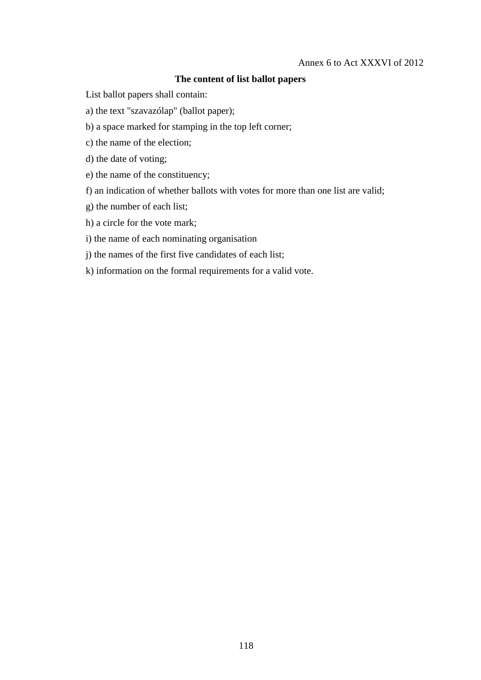# Annex 6 to Act XXXVI of 2012

### **The content of list ballot papers**

List ballot papers shall contain:

- a) the text "szavazólap" (ballot paper);
- b) a space marked for stamping in the top left corner;
- c) the name of the election;
- d) the date of voting;
- e) the name of the constituency;
- f) an indication of whether ballots with votes for more than one list are valid;
- g) the number of each list;
- h) a circle for the vote mark;
- i) the name of each nominating organisation
- j) the names of the first five candidates of each list;
- k) information on the formal requirements for a valid vote.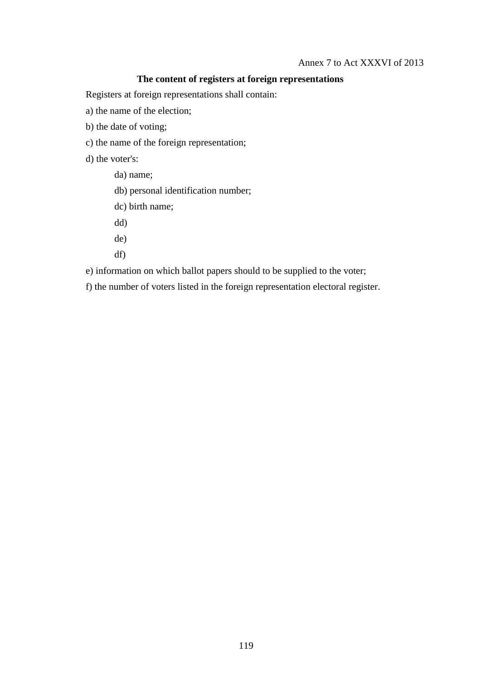## **The content of registers at foreign representations**

Registers at foreign representations shall contain:

- a) the name of the election;
- b) the date of voting;
- c) the name of the foreign representation;
- d) the voter's:
	- da) name;
	- db) personal identification number;
	- dc) birth name;
	- dd)
	- de)
	- df)

e) information on which ballot papers should to be supplied to the voter;

f) the number of voters listed in the foreign representation electoral register.